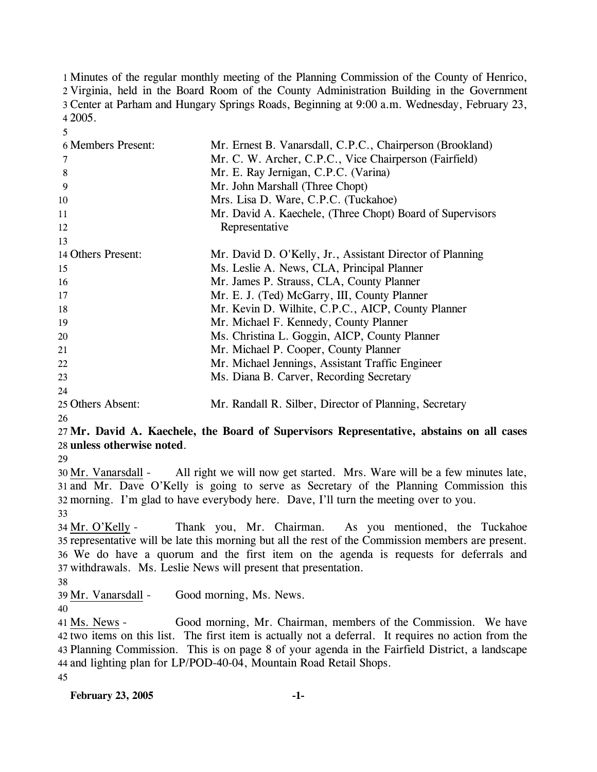Minutes of the regular monthly meeting of the Planning Commission of the County of Henrico, Virginia, held in the Board Room of the County Administration Building in the Government Center at Parham and Hungary Springs Roads, Beginning at 9:00 a.m. Wednesday, February 23, 4 2005.

| 6 Members Present: | Mr. Ernest B. Vanarsdall, C.P.C., Chairperson (Brookland) |
|--------------------|-----------------------------------------------------------|
| 7                  | Mr. C. W. Archer, C.P.C., Vice Chairperson (Fairfield)    |
| 8                  | Mr. E. Ray Jernigan, C.P.C. (Varina)                      |
| 9                  | Mr. John Marshall (Three Chopt)                           |
| 10                 | Mrs. Lisa D. Ware, C.P.C. (Tuckahoe)                      |
| 11                 | Mr. David A. Kaechele, (Three Chopt) Board of Supervisors |
| 12                 | Representative                                            |
| 13                 |                                                           |
| 14 Others Present: | Mr. David D. O'Kelly, Jr., Assistant Director of Planning |
| 15                 | Ms. Leslie A. News, CLA, Principal Planner                |
| 16                 | Mr. James P. Strauss, CLA, County Planner                 |
| 17                 | Mr. E. J. (Ted) McGarry, III, County Planner              |
| 18                 | Mr. Kevin D. Wilhite, C.P.C., AICP, County Planner        |
| 19                 | Mr. Michael F. Kennedy, County Planner                    |
| 20                 | Ms. Christina L. Goggin, AICP, County Planner             |
| 21                 | Mr. Michael P. Cooper, County Planner                     |
| 22                 | Mr. Michael Jennings, Assistant Traffic Engineer          |
| 23                 | Ms. Diana B. Carver, Recording Secretary                  |
| 24                 |                                                           |
| 25 Others Absent:  | Mr. Randall R. Silber, Director of Planning, Secretary    |

26

5

27 **Mr. David A. Kaechele, the Board of Supervisors Representative, abstains on all cases**  28 **unless otherwise noted**.

29

All right we will now get started. Mrs. Ware will be a few minutes late, 31 and Mr. Dave O'Kelly is going to serve as Secretary of the Planning Commission this 32 morning. I'm glad to have everybody here. Dave, I'll turn the meeting over to you. 30 Mr. Vanarsdall -33

Thank you, Mr. Chairman. As you mentioned, the Tuckahoe 35 representative will be late this morning but all the rest of the Commission members are present. We do have a quorum and the first item on the agenda is requests for deferrals and 36 37 withdrawals. Ms. Leslie News will present that presentation. 34 Mr. O'Kelly -

38

39 Mr. Vanarsdall - Good morning, Ms. News.

40

Good morning, Mr. Chairman, members of the Commission. We have 42 two items on this list. The first item is actually not a deferral. It requires no action from the Planning Commission. This is on page 8 of your agenda in the Fairfield District, a landscape 43 and lighting plan for LP/POD-40-04, Mountain Road Retail Shops. 44 41 Ms. News -45

**February 23, 2005 -1-**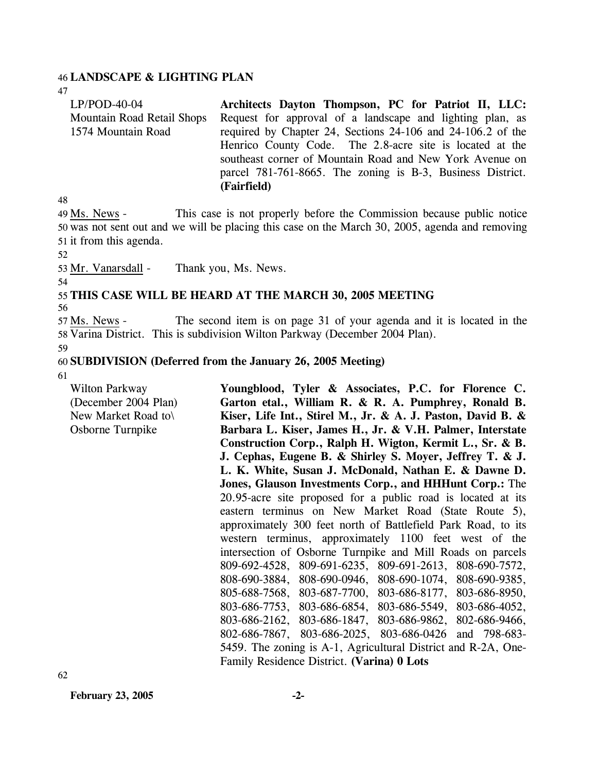#### 46 **LANDSCAPE & LIGHTING PLAN**

47

| $LP/POD-40-04$             | Architects Dayton Thompson, PC for Patriot II, LLC:         |
|----------------------------|-------------------------------------------------------------|
| Mountain Road Retail Shops | Request for approval of a landscape and lighting plan, as   |
| 1574 Mountain Road         | required by Chapter 24, Sections 24-106 and 24-106.2 of the |
|                            | Henrico County Code. The 2.8-acre site is located at the    |
|                            | southeast corner of Mountain Road and New York Avenue on    |
|                            | parcel 781-761-8665. The zoning is B-3, Business District.  |
|                            | (Fairfield)                                                 |

48

This case is not properly before the Commission because public notice 50 was not sent out and we will be placing this case on the March 30, 2005, agenda and removing 51 it from this agenda. 49 Ms. News -

52

53 Mr. Vanarsdall - Thank you, Ms. News.

54 55 **THIS CASE WILL BE HEARD AT THE MARCH 30, 2005 MEETING** 

56

The second item is on page 31 of your agenda and it is located in the 58 Varina District. This is subdivision Wilton Parkway (December 2004 Plan). 57 Ms. News -

59

#### 60 **SUBDIVISION (Deferred from the January 26, 2005 Meeting)**

61

Wilton Parkway (December 2004 Plan) New Market Road to\ Osborne Turnpike **Youngblood, Tyler & Associates, P.C. for Florence C. Garton etal., William R. & R. A. Pumphrey, Ronald B. Kiser, Life Int., Stirel M., Jr. & A. J. Paston, David B. & Barbara L. Kiser, James H., Jr. & V.H. Palmer, Interstate Construction Corp., Ralph H. Wigton, Kermit L., Sr. & B. J. Cephas, Eugene B. & Shirley S. Moyer, Jeffrey T. & J. L. K. White, Susan J. McDonald, Nathan E. & Dawne D. Jones, Glauson Investments Corp., and HHHunt Corp.:** The 20.95-acre site proposed for a public road is located at its eastern terminus on New Market Road (State Route 5), approximately 300 feet north of Battlefield Park Road, to its western terminus, approximately 1100 feet west of the intersection of Osborne Turnpike and Mill Roads on parcels 809-692-4528, 809-691-6235, 809-691-2613, 808-690-7572, 808-690-3884, 808-690-0946, 808-690-1074, 808-690-9385, 805-688-7568, 803-687-7700, 803-686-8177, 803-686-8950, 803-686-7753, 803-686-6854, 803-686-5549, 803-686-4052, 803-686-2162, 803-686-1847, 803-686-9862, 802-686-9466, 802-686-7867, 803-686-2025, 803-686-0426 and 798-683- 5459. The zoning is A-1, Agricultural District and R-2A, One-Family Residence District. **(Varina) 0 Lots** 

**February 23, 2005 -2-**

62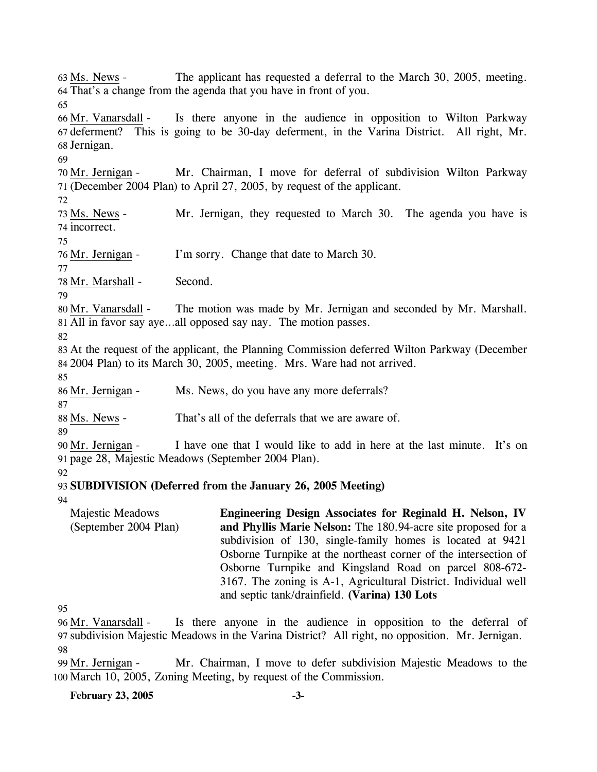The applicant has requested a deferral to the March 30, 2005, meeting. That's a change from the agenda that you have in front of you. 64  $63$  Ms. News -65 Is there anyone in the audience in opposition to Wilton Parkway 67 deferment? This is going to be 30-day deferment, in the Varina District. All right, Mr. 68 Jernigan. 66 Mr. Vanarsdall -69 Mr. Chairman, I move for deferral of subdivision Wilton Parkway (December 2004 Plan) to April 27, 2005, by request of the applicant. 71 70 Mr. Jernigan -72 Mr. Jernigan, they requested to March 30. The agenda you have is 74 incorrect. 73 Ms. News -75 76 Mr. Jernigan - I'm sorry. Change that date to March 30. 77 78 Mr. Marshall - Second. 79 The motion was made by Mr. Jernigan and seconded by Mr. Marshall. All in favor say aye…all opposed say nay. The motion passes. 81 80 Mr. Vanarsdall -82 83 At the request of the applicant, the Planning Commission deferred Wilton Parkway (December 84 2004 Plan) to its March 30, 2005, meeting. Mrs. Ware had not arrived. 85 86 Mr. Jernigan - Ms. News, do you have any more deferrals? 87 88 Ms. News - That's all of the deferrals that we are aware of. 89 I have one that I would like to add in here at the last minute. It's on page 28, Majestic Meadows (September 2004 Plan). 91 90 Mr. Jernigan -92 93 **SUBDIVISION (Deferred from the January 26, 2005 Meeting)**  94 95 Majestic Meadows (September 2004 Plan) **Engineering Design Associates for Reginald H. Nelson, IV and Phyllis Marie Nelson:** The 180.94-acre site proposed for a subdivision of 130, single-family homes is located at 9421 Osborne Turnpike at the northeast corner of the intersection of Osborne Turnpike and Kingsland Road on parcel 808-672- 3167. The zoning is A-1, Agricultural District. Individual well and septic tank/drainfield. **(Varina) 130 Lots**  Is there anyone in the audience in opposition to the deferral of 96 Mr. Vanarsdall -

97 subdivision Majestic Meadows in the Varina District? All right, no opposition. Mr. Jernigan. 98

Mr. Chairman, I move to defer subdivision Majestic Meadows to the 100 March 10, 2005, Zoning Meeting, by request of the Commission. 99 Mr. Jernigan -

**February 23, 2005 -3-**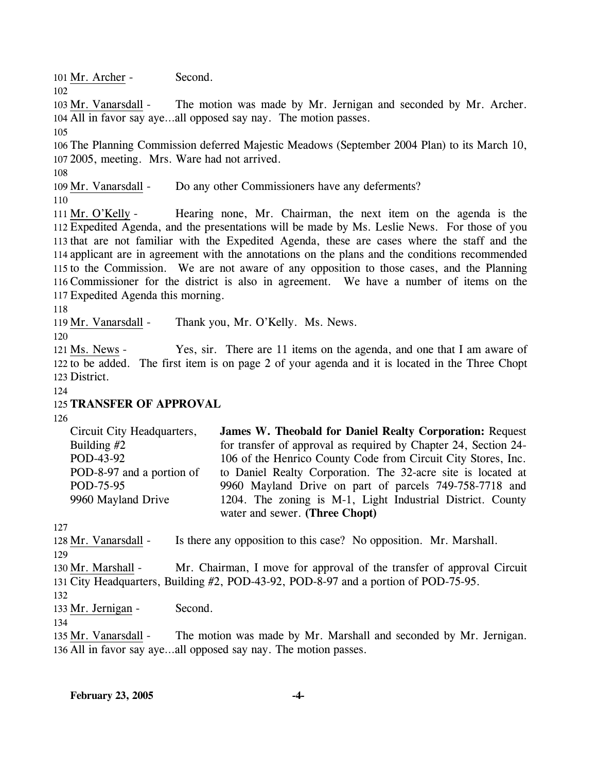101 Mr. Archer - Second.

102

The motion was made by Mr. Jernigan and seconded by Mr. Archer. All in favor say aye…all opposed say nay. The motion passes. 104 103 Mr. Vanarsdall -

105

106 The Planning Commission deferred Majestic Meadows (September 2004 Plan) to its March 10, 107 2005, meeting. Mrs. Ware had not arrived.

108

109 Mr. Vanarsdall - Do any other Commissioners have any deferments?

110

Hearing none, Mr. Chairman, the next item on the agenda is the Expedited Agenda, and the presentations will be made by Ms. Leslie News. For those of you 112 113 that are not familiar with the Expedited Agenda, these are cases where the staff and the 114 applicant are in agreement with the annotations on the plans and the conditions recommended 115 to the Commission. We are not aware of any opposition to those cases, and the Planning 116 Commissioner for the district is also in agreement. We have a number of items on the Expedited Agenda this morning. 117 111 Mr. O'Kelly -

118

119 Mr. Vanarsdall - Thank you, Mr. O'Kelly. Ms. News.

120

Yes, sir. There are 11 items on the agenda, and one that I am aware of 122 to be added. The first item is on page 2 of your agenda and it is located in the Three Chopt 123 District. 121 Ms. News -

124

## 125 **TRANSFER OF APPROVAL**

126

| Circuit City Headquarters, | <b>James W. Theobald for Daniel Realty Corporation: Request</b> |
|----------------------------|-----------------------------------------------------------------|
| Building $#2$              | for transfer of approval as required by Chapter 24, Section 24- |
| POD-43-92                  | 106 of the Henrico County Code from Circuit City Stores, Inc.   |
| POD-8-97 and a portion of  | to Daniel Realty Corporation. The 32-acre site is located at    |
| POD-75-95                  | 9960 Mayland Drive on part of parcels 749-758-7718 and          |
| 9960 Mayland Drive         | 1204. The zoning is M-1, Light Industrial District. County      |
|                            | water and sewer. (Three Chopt)                                  |

127

128 Mr. Vanarsdall - Is there any opposition to this case? No opposition. Mr. Marshall. 129 Mr. Chairman, I move for approval of the transfer of approval Circuit City Headquarters, Building #2, POD-43-92, POD-8-97 and a portion of POD-75-95. 131 130 Mr. Marshall -

132

134

133 Mr. Jernigan - Second.

The motion was made by Mr. Marshall and seconded by Mr. Jernigan. 136 All in favor say aye...all opposed say nay. The motion passes. 135 Mr. Vanarsdall -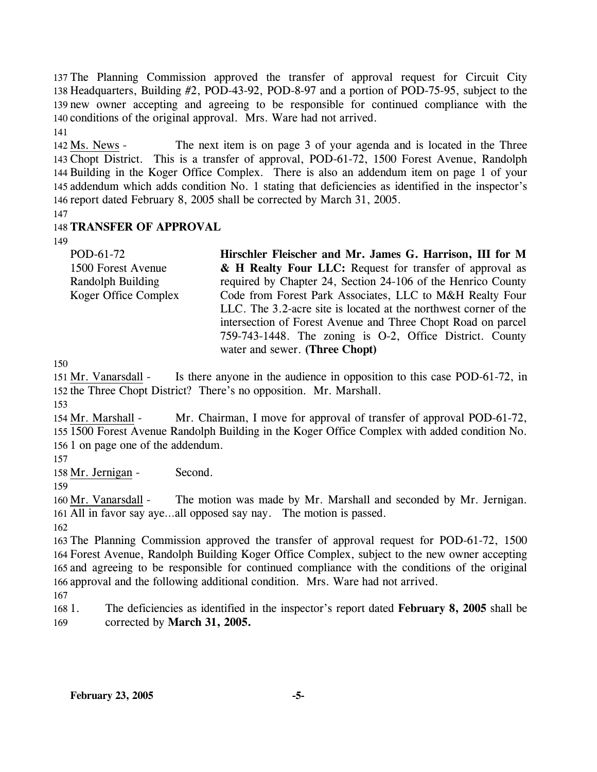The Planning Commission approved the transfer of approval request for Circuit City Headquarters, Building #2, POD-43-92, POD-8-97 and a portion of POD-75-95, subject to the new owner accepting and agreeing to be responsible for continued compliance with the conditions of the original approval. Mrs. Ware had not arrived. 141

The next item is on page 3 of your agenda and is located in the Three Chopt District. This is a transfer of approval, POD-61-72, 1500 Forest Avenue, Randolph 143 144 Building in the Koger Office Complex. There is also an addendum item on page 1 of your 145 addendum which adds condition No. 1 stating that deficiencies as identified in the inspector's 146 report dated February 8, 2005 shall be corrected by March 31, 2005. 142 Ms. News -

147

## 148 **TRANSFER OF APPROVAL**

149

| POD-61-72            | Hirschler Fleischer and Mr. James G. Harrison, III for M         |  |  |  |  |  |  |
|----------------------|------------------------------------------------------------------|--|--|--|--|--|--|
| 1500 Forest Avenue   | & H Realty Four LLC: Request for transfer of approval as         |  |  |  |  |  |  |
| Randolph Building    | required by Chapter 24, Section 24-106 of the Henrico County     |  |  |  |  |  |  |
| Koger Office Complex | Code from Forest Park Associates, LLC to M&H Realty Four         |  |  |  |  |  |  |
|                      | LLC. The 3.2-acre site is located at the northwest corner of the |  |  |  |  |  |  |
|                      | intersection of Forest Avenue and Three Chopt Road on parcel     |  |  |  |  |  |  |
|                      | 759-743-1448. The zoning is O-2, Office District. County         |  |  |  |  |  |  |
|                      | water and sewer. (Three Chopt)                                   |  |  |  |  |  |  |

150

Is there anyone in the audience in opposition to this case POD-61-72, in 152 the Three Chopt District? There's no opposition. Mr. Marshall. 151 Mr. Vanarsdall -

153

Mr. Chairman, I move for approval of transfer of approval POD-61-72, 1500 Forest Avenue Randolph Building in the Koger Office Complex with added condition No. 155 156 1 on page one of the addendum. 154 Mr. Marshall -

157

158 Mr. Jernigan - Second.

The motion was made by Mr. Marshall and seconded by Mr. Jernigan. 161 All in favor say aye...all opposed say nay. The motion is passed. 160 Mr. Vanarsdall -

162

 The Planning Commission approved the transfer of approval request for POD-61-72, 1500 Forest Avenue, Randolph Building Koger Office Complex, subject to the new owner accepting and agreeing to be responsible for continued compliance with the conditions of the original approval and the following additional condition. Mrs. Ware had not arrived.

167

168 1. 169 1. The deficiencies as identified in the inspector's report dated **February 8, 2005** shall be corrected by **March 31, 2005.**

<sup>159</sup>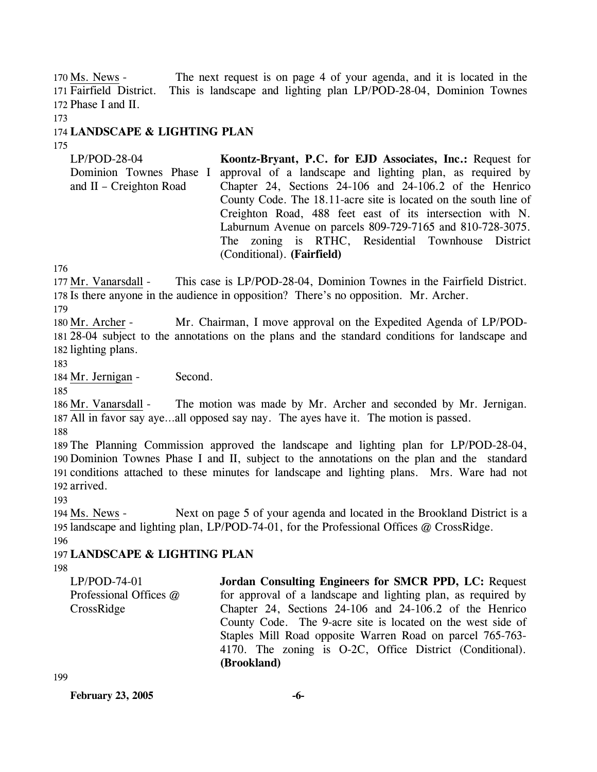The next request is on page 4 of your agenda, and it is located in the This is landscape and lighting plan LP/POD-28-04, Dominion Townes 172 Phase I and II. 170 Ms. News -171 Fairfield District.

173

## 174 **LANDSCAPE & LIGHTING PLAN**

175

LP/POD-28-04 Dominion Townes Phase I and II – Creighton Road **Koontz-Bryant, P.C. for EJD Associates, Inc.:** Request for approval of a landscape and lighting plan, as required by Chapter 24, Sections 24-106 and 24-106.2 of the Henrico County Code. The 18.11-acre site is located on the south line of Creighton Road, 488 feet east of its intersection with N. Laburnum Avenue on parcels 809-729-7165 and 810-728-3075. The zoning is RTHC, Residential Townhouse District (Conditional). **(Fairfield)** 

176

This case is LP/POD-28-04, Dominion Townes in the Fairfield District. 178 Is there anyone in the audience in opposition? There's no opposition. Mr. Archer. 177 Mr. Vanarsdall -

179

Mr. Chairman, I move approval on the Expedited Agenda of LP/POD-28-04 subject to the annotations on the plans and the standard conditions for landscape and 181 182 lighting plans. 180 Mr. Archer -

183

184 Mr. Jernigan - Second.

185

The motion was made by Mr. Archer and seconded by Mr. Jernigan. All in favor say aye…all opposed say nay. The ayes have it. The motion is passed. 187 186 Mr. Vanarsdall -

188

 The Planning Commission approved the landscape and lighting plan for LP/POD-28-04, Dominion Townes Phase I and II, subject to the annotations on the plan and the standard conditions attached to these minutes for landscape and lighting plans. Mrs. Ware had not arrived.

193

Next on page 5 of your agenda and located in the Brookland District is a 195 landscape and lighting plan, LP/POD-74-01, for the Professional Offices @ CrossRidge. 194 Ms. News -196

# 197 **LANDSCAPE & LIGHTING PLAN**

198

| $LP/POD-74-01$         | Jordan Consulting Engineers for SMCR PPD, LC: Request         |
|------------------------|---------------------------------------------------------------|
| Professional Offices @ | for approval of a landscape and lighting plan, as required by |
| CrossRidge             | Chapter 24, Sections 24-106 and 24-106.2 of the Henrico       |
|                        | County Code. The 9-acre site is located on the west side of   |
|                        | Staples Mill Road opposite Warren Road on parcel 765-763-     |
|                        | 4170. The zoning is O-2C, Office District (Conditional).      |
|                        | (Brookland)                                                   |

199

**February 23, 2005 -6-**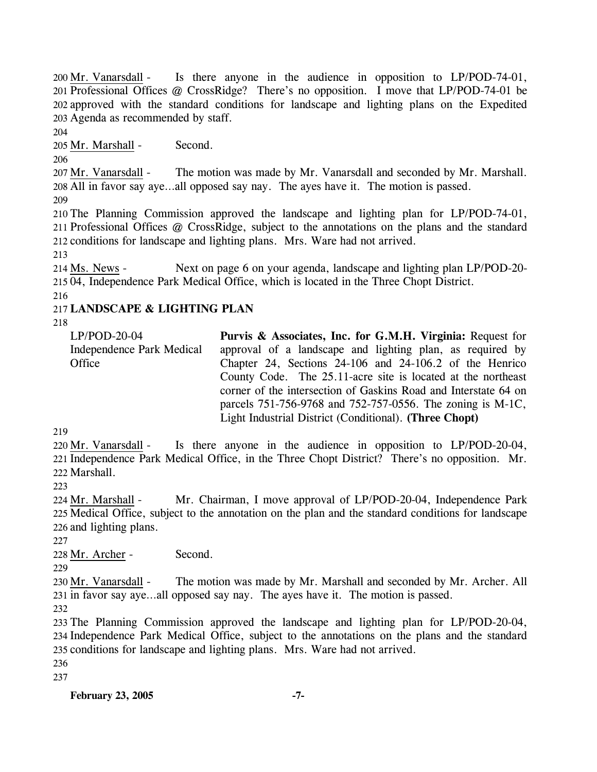Is there anyone in the audience in opposition to  $LP/POD-74-01$ , 201 Professional Offices @ CrossRidge? There's no opposition. I move that LP/POD-74-01 be 202 approved with the standard conditions for landscape and lighting plans on the Expedited Agenda as recommended by staff. 203 200 Mr. Vanarsdall -

204

205 Mr. Marshall - Second.

206

The motion was made by Mr. Vanarsdall and seconded by Mr. Marshall. All in favor say aye…all opposed say nay. The ayes have it. The motion is passed. 208 207 Mr. Vanarsdall -

209

210 The Planning Commission approved the landscape and lighting plan for LP/POD-74-01, 211 Professional Offices @ CrossRidge, subject to the annotations on the plans and the standard 212 conditions for landscape and lighting plans. Mrs. Ware had not arrived.

213

Next on page 6 on your agenda, landscape and lighting plan LP/POD-20-215 04, Independence Park Medical Office, which is located in the Three Chopt District. 214 Ms. News -

216

## 217 **LANDSCAPE & LIGHTING PLAN**

218

| $LP/POD-20-04$            | Purvis & Associates, Inc. for G.M.H. Virginia: Request for      |
|---------------------------|-----------------------------------------------------------------|
| Independence Park Medical | approval of a landscape and lighting plan, as required by       |
| Office                    | Chapter 24, Sections 24-106 and 24-106.2 of the Henrico         |
|                           | County Code. The 25.11-acre site is located at the northeast    |
|                           | corner of the intersection of Gaskins Road and Interstate 64 on |
|                           | parcels 751-756-9768 and 752-757-0556. The zoning is M-1C,      |
|                           | Light Industrial District (Conditional). (Three Chopt)          |

219

Is there anyone in the audience in opposition to LP/POD-20-04, 221 Independence Park Medical Office, in the Three Chopt District? There's no opposition. Mr. 222 Marshall. 220 Mr. Vanarsdall -

223

Mr. Chairman, I move approval of LP/POD-20-04, Independence Park 225 Medical Office, subject to the annotation on the plan and the standard conditions for landscape 226 and lighting plans. 224 Mr. Marshall -

227

228 Mr. Archer - Second.

229

The motion was made by Mr. Marshall and seconded by Mr. Archer. All 231 in favor say aye...all opposed say nay. The ayes have it. The motion is passed. 230 Mr. Vanarsdall -

232

233 The Planning Commission approved the landscape and lighting plan for LP/POD-20-04, 234 Independence Park Medical Office, subject to the annotations on the plans and the standard 235 conditions for landscape and lighting plans. Mrs. Ware had not arrived.

236

237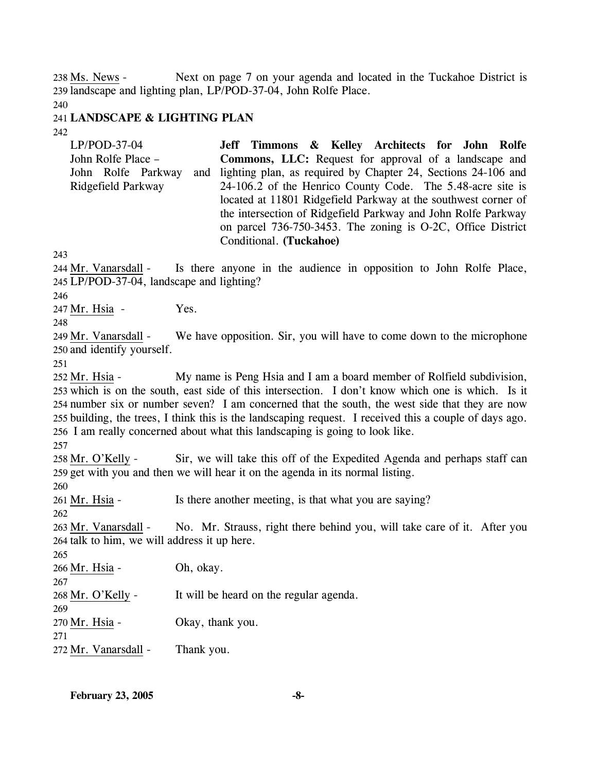Next on page 7 on your agenda and located in the Tuckahoe District is 239 landscape and lighting plan, LP/POD-37-04, John Rolfe Place. 238 Ms. News -

240

### 241 **LANDSCAPE & LIGHTING PLAN**

242

| $LP/POD-37-04$     | Jeff Timmons & Kelley Architects for John Rolfe                   |
|--------------------|-------------------------------------------------------------------|
| John Rolfe Place – | <b>Commons, LLC:</b> Request for approval of a landscape and      |
| John Rolfe Parkway | and lighting plan, as required by Chapter 24, Sections 24-106 and |
| Ridgefield Parkway | 24-106.2 of the Henrico County Code. The 5.48-acre site is        |
|                    | located at 11801 Ridgefield Parkway at the southwest corner of    |
|                    | the intersection of Ridgefield Parkway and John Rolfe Parkway     |
|                    | on parcel 736-750-3453. The zoning is O-2C, Office District       |
|                    | Conditional. (Tuckahoe)                                           |

243

Is there anyone in the audience in opposition to John Rolfe Place, LP/POD-37-04, landscape and lighting? 245 244 Mr. Vanarsdall -

246

247 Mr. Hsia - Yes.

248

We have opposition. Sir, you will have to come down to the microphone 250 and identify yourself. 249 Mr. Vanarsdall -

251

My name is Peng Hsia and I am a board member of Rolfield subdivision, 253 which is on the south, east side of this intersection. I don't know which one is which. Is it 254 number six or number seven? I am concerned that the south, the west side that they are now 255 building, the trees, I think this is the landscaping request. I received this a couple of days ago. 256 I am really concerned about what this landscaping is going to look like. 252 Mr. Hsia -

257

Sir, we will take this off of the Expedited Agenda and perhaps staff can 259 get with you and then we will hear it on the agenda in its normal listing. 258 Mr. O'Kelly -

260

261 Mr. Hsia - Is there another meeting, is that what you are saying?

262

No. Mr. Strauss, right there behind you, will take care of it. After you 264 talk to him, we will address it up here. 263 Mr. Vanarsdall -

265

266 Mr. Hsia - Oh, okay.

267

268 Mr. O'Kelly - It will be heard on the regular agenda.

270 Mr. Hsia - Okay, thank you.

271

269

272 Mr. Vanarsdall - Thank you.

**February 23, 2005 -8-**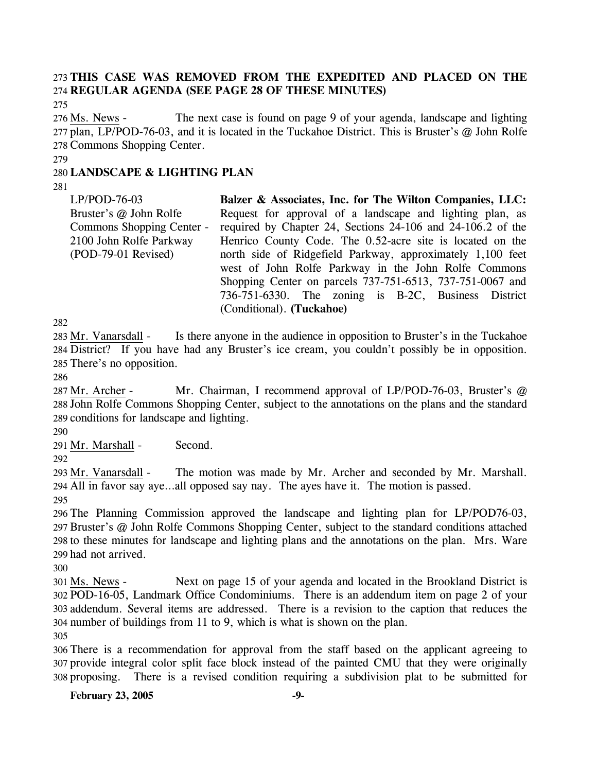# 273 **THIS CASE WAS REMOVED FROM THE EXPEDITED AND PLACED ON THE**  274 **REGULAR AGENDA (SEE PAGE 28 OF THESE MINUTES)**

275

The next case is found on page 9 of your agenda, landscape and lighting 277 plan, LP/POD-76-03, and it is located in the Tuckahoe District. This is Bruster's @ John Rolfe 278 Commons Shopping Center. 276 Ms. News -

279

### 280 **LANDSCAPE & LIGHTING PLAN**

281

LP/POD-76-03 Bruster's @ John Rolfe Commons Shopping Center - 2100 John Rolfe Parkway (POD-79-01 Revised) **Balzer & Associates, Inc. for The Wilton Companies, LLC:**  Request for approval of a landscape and lighting plan, as required by Chapter 24, Sections 24-106 and 24-106.2 of the Henrico County Code. The 0.52-acre site is located on the north side of Ridgefield Parkway, approximately 1,100 feet west of John Rolfe Parkway in the John Rolfe Commons Shopping Center on parcels 737-751-6513, 737-751-0067 and 736-751-6330. The zoning is B-2C, Business District (Conditional). **(Tuckahoe)** 

282

Is there anyone in the audience in opposition to Bruster's in the Tuckahoe 284 District? If you have had any Bruster's ice cream, you couldn't possibly be in opposition. 285 There's no opposition. 283 Mr. Vanarsdall -

286

Mr. Chairman, I recommend approval of LP/POD-76-03, Bruster's  $@$ 288 John Rolfe Commons Shopping Center, subject to the annotations on the plans and the standard 289 conditions for landscape and lighting. 287 Mr. Archer -

290

291 Mr. Marshall - Second.

292

The motion was made by Mr. Archer and seconded by Mr. Marshall. All in favor say aye…all opposed say nay. The ayes have it. The motion is passed. 294 293 Mr. Vanarsdall -

295

 The Planning Commission approved the landscape and lighting plan for LP/POD76-03, Bruster's @ John Rolfe Commons Shopping Center, subject to the standard conditions attached to these minutes for landscape and lighting plans and the annotations on the plan. Mrs. Ware had not arrived.

300

Next on page 15 of your agenda and located in the Brookland District is POD-16-05, Landmark Office Condominiums. There is an addendum item on page 2 of your 302 addendum. Several items are addressed. There is a revision to the caption that reduces the 303 304 number of buildings from 11 to 9, which is what is shown on the plan. 301 Ms. News -305

306 There is a recommendation for approval from the staff based on the applicant agreeing to 307 provide integral color split face block instead of the painted CMU that they were originally 308 proposing. There is a revised condition requiring a subdivision plat to be submitted for

**February 23, 2005** -9-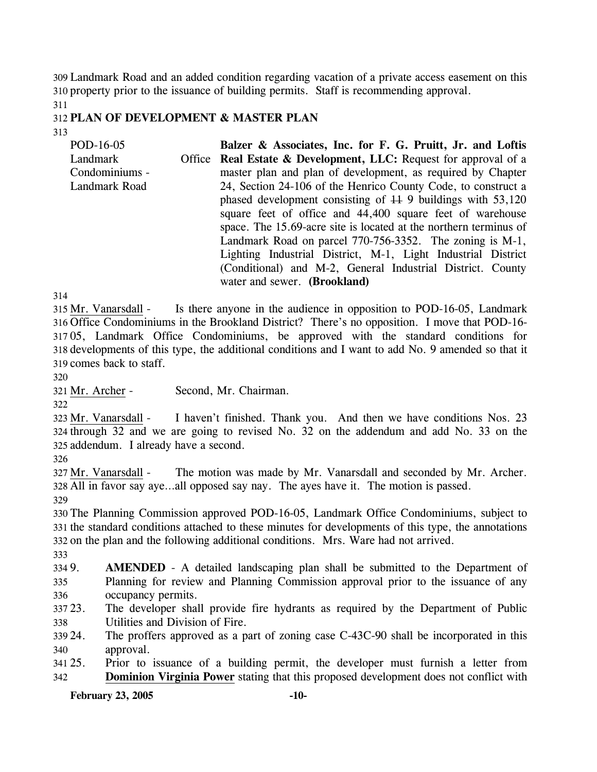309 Landmark Road and an added condition regarding vacation of a private access easement on this 310 property prior to the issuance of building permits. Staff is recommending approval.

311

### 312 **PLAN OF DEVELOPMENT & MASTER PLAN**

313

| POD-16-05      | Balzer & Associates, Inc. for F. G. Pruitt, Jr. and Loftis                                 |  |  |  |  |  |
|----------------|--------------------------------------------------------------------------------------------|--|--|--|--|--|
| Landmark       | Office Real Estate & Development, LLC: Request for approval of a                           |  |  |  |  |  |
| Condominiums - | master plan and plan of development, as required by Chapter                                |  |  |  |  |  |
| Landmark Road  | 24, Section 24-106 of the Henrico County Code, to construct a                              |  |  |  |  |  |
|                | phased development consisting of $\overline{11}$ 9 buildings with 53,120                   |  |  |  |  |  |
|                | square feet of office and 44,400 square feet of warehouse                                  |  |  |  |  |  |
|                | space. The 15.69-acre site is located at the northern terminus of                          |  |  |  |  |  |
|                | Landmark Road on parcel 770-756-3352. The zoning is M-1,                                   |  |  |  |  |  |
|                | Lighting Industrial District, M-1, Light Industrial District                               |  |  |  |  |  |
|                | (Conditional) and M-2, General Industrial District. County<br>water and sewer. (Brookland) |  |  |  |  |  |
|                |                                                                                            |  |  |  |  |  |

314

Is there anyone in the audience in opposition to POD-16-05, Landmark Office Condominiums in the Brookland District? There's no opposition. I move that POD-16- 316 05, Landmark Office Condominiums, be approved with the standard conditions for 317 318 developments of this type, the additional conditions and I want to add No. 9 amended so that it 319 comes back to staff. 315 Mr. Vanarsdall -

320

321 Mr. Archer - Second, Mr. Chairman.

322

I haven't finished. Thank you. And then we have conditions Nos. 23 324 through 32 and we are going to revised No. 32 on the addendum and add No. 33 on the 325 addendum. I already have a second. 323 Mr. Vanarsdall -

326

The motion was made by Mr. Vanarsdall and seconded by Mr. Archer. All in favor say aye…all opposed say nay. The ayes have it. The motion is passed. 328 327 Mr. Vanarsdall -

329

330 The Planning Commission approved POD-16-05, Landmark Office Condominiums, subject to 331 the standard conditions attached to these minutes for developments of this type, the annotations 332 on the plan and the following additional conditions. Mrs. Ware had not arrived.

333

334 9. 335 336 **AMENDED** - A detailed landscaping plan shall be submitted to the Department of Planning for review and Planning Commission approval prior to the issuance of any occupancy permits.

337 23. 338 The developer shall provide fire hydrants as required by the Department of Public Utilities and Division of Fire.

339 24. 340 The proffers approved as a part of zoning case C-43C-90 shall be incorporated in this approval.

341 25. 25. Prior to issuance of a building permit, the developer must furnish a letter from 342 **Dominion Virginia Power** stating that this proposed development does not conflict with

**February 23, 2005 -10-**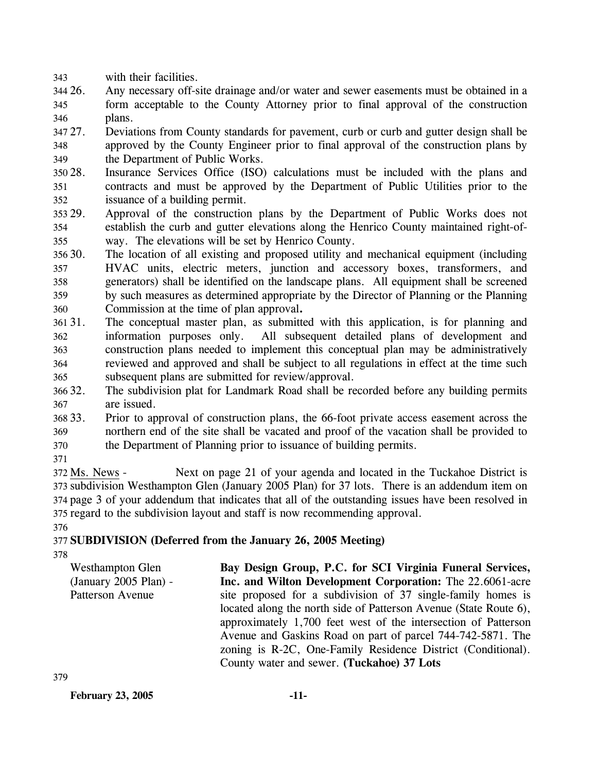343 with their facilities.

- 344 26. 345 346 Any necessary off-site drainage and/or water and sewer easements must be obtained in a form acceptable to the County Attorney prior to final approval of the construction plans.
- 347 27 348 349 27. Deviations from County standards for pavement, curb or curb and gutter design shall be approved by the County Engineer prior to final approval of the construction plans by the Department of Public Works.
- 350 28. 351 352 Insurance Services Office (ISO) calculations must be included with the plans and contracts and must be approved by the Department of Public Utilities prior to the issuance of a building permit.
- 353 29. 354 355 Approval of the construction plans by the Department of Public Works does not establish the curb and gutter elevations along the Henrico County maintained right-ofway. The elevations will be set by Henrico County.
- 30. 357 358 359 360 The location of all existing and proposed utility and mechanical equipment (including HVAC units, electric meters, junction and accessory boxes, transformers, and generators) shall be identified on the landscape plans. All equipment shall be screened by such measures as determined appropriate by the Director of Planning or the Planning Commission at the time of plan approval**.**
- 361 31. 362 363 364 365 The conceptual master plan, as submitted with this application, is for planning and information purposes only. All subsequent detailed plans of development and construction plans needed to implement this conceptual plan may be administratively reviewed and approved and shall be subject to all regulations in effect at the time such subsequent plans are submitted for review/approval.
- 366 32. 367 The subdivision plat for Landmark Road shall be recorded before any building permits are issued.
- 368 33. 369 370 33. Prior to approval of construction plans, the 66-foot private access easement across the northern end of the site shall be vacated and proof of the vacation shall be provided to the Department of Planning prior to issuance of building permits.
- 371

Next on page 21 of your agenda and located in the Tuckahoe District is 373 subdivision Westhampton Glen (January 2005 Plan) for 37 lots. There is an addendum item on 374 page 3 of your addendum that indicates that all of the outstanding issues have been resolved in 375 regard to the subdivision layout and staff is now recommending approval. 372 Ms. News -

376

# 377 **SUBDIVISION (Deferred from the January 26, 2005 Meeting)**

378

Westhampton Glen (January 2005 Plan) - Patterson Avenue **Bay Design Group, P.C. for SCI Virginia Funeral Services, Inc. and Wilton Development Corporation:** The 22.6061-acre site proposed for a subdivision of 37 single-family homes is located along the north side of Patterson Avenue (State Route 6), approximately 1,700 feet west of the intersection of Patterson Avenue and Gaskins Road on part of parcel 744-742-5871. The zoning is R-2C, One-Family Residence District (Conditional). County water and sewer. **(Tuckahoe) 37 Lots** 

**February 23, 2005 -11-**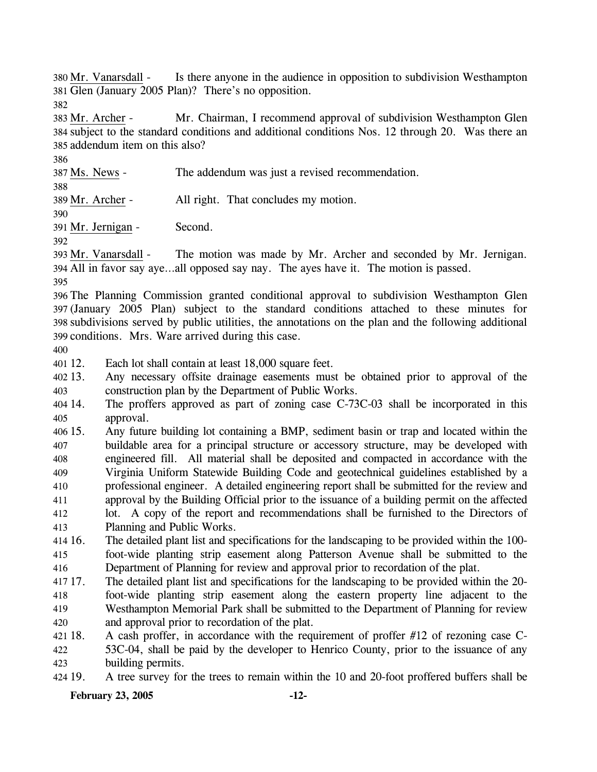Is there anyone in the audience in opposition to subdivision Westhampton 381 Glen (January 2005 Plan)? There's no opposition. 380 Mr. Vanarsdall -

382

Mr. Chairman, I recommend approval of subdivision Westhampton Glen 384 subject to the standard conditions and additional conditions Nos. 12 through 20. Was there an 385 addendum item on this also? 383 Mr. Archer -

386

387 Ms. News - The addendum was just a revised recommendation.

388

389 Mr. Archer - All right. That concludes my motion.

390

391 Mr. Jernigan - Second.

392

The motion was made by Mr. Archer and seconded by Mr. Jernigan. All in favor say aye…all opposed say nay. The ayes have it. The motion is passed. 394 393 Mr. Vanarsdall -

395

 The Planning Commission granted conditional approval to subdivision Westhampton Glen (January 2005 Plan) subject to the standard conditions attached to these minutes for subdivisions served by public utilities, the annotations on the plan and the following additional conditions. Mrs. Ware arrived during this case.

400

401 12. Each lot shall contain at least 18,000 square feet.

 $402$  13. 403 Any necessary offsite drainage easements must be obtained prior to approval of the construction plan by the Department of Public Works.

404 14. 405 The proffers approved as part of zoning case C-73C-03 shall be incorporated in this approval.

406 15. 407 408 409 410 411 412 413 15. Any future building lot containing a BMP, sediment basin or trap and located within the buildable area for a principal structure or accessory structure, may be developed with engineered fill. All material shall be deposited and compacted in accordance with the Virginia Uniform Statewide Building Code and geotechnical guidelines established by a professional engineer. A detailed engineering report shall be submitted for the review and approval by the Building Official prior to the issuance of a building permit on the affected lot. A copy of the report and recommendations shall be furnished to the Directors of Planning and Public Works.

414 16. 415 416 16. The detailed plant list and specifications for the landscaping to be provided within the 100 foot-wide planting strip easement along Patterson Avenue shall be submitted to the Department of Planning for review and approval prior to recordation of the plat.

417 17 418 419 420 17. The detailed plant list and specifications for the landscaping to be provided within the 20 foot-wide planting strip easement along the eastern property line adjacent to the Westhampton Memorial Park shall be submitted to the Department of Planning for review and approval prior to recordation of the plat.

421 18. 422 423 A cash proffer, in accordance with the requirement of proffer  $#12$  of rezoning case C-53C-04, shall be paid by the developer to Henrico County, prior to the issuance of any building permits.

424 19. A tree survey for the trees to remain within the 10 and 20-foot proffered buffers shall be

**February 23, 2005 -12-**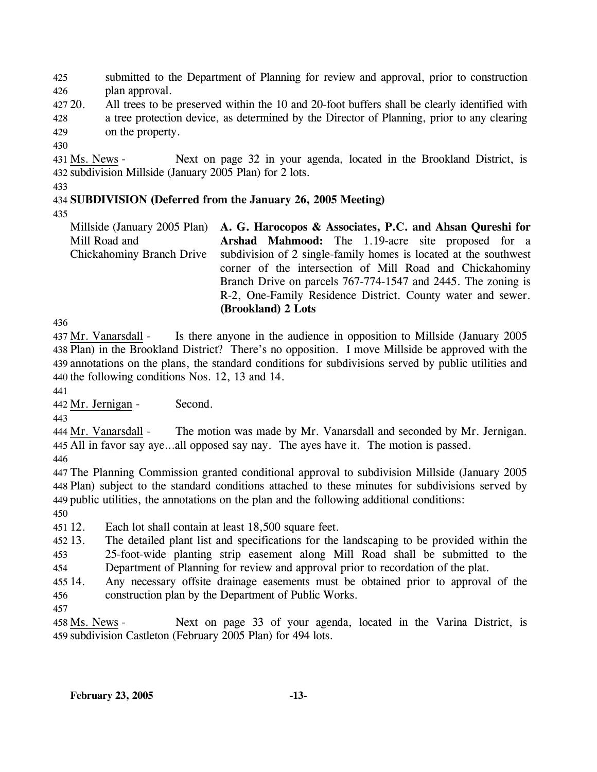425 426 submitted to the Department of Planning for review and approval, prior to construction plan approval.

427 20. 428 20. All trees to be preserved within the 10 and 20-foot buffers shall be clearly identified with a tree protection device, as determined by the Director of Planning, prior to any clearing

429 on the property.

430

Next on page 32 in your agenda, located in the Brookland District, is 432 subdivision Millside (January 2005 Plan) for 2 lots. 431 Ms. News -

433

## 434 **SUBDIVISION (Deferred from the January 26, 2005 Meeting)**

435

Millside (January 2005 Plan) Mill Road and Chickahominy Branch Drive **A. G. Harocopos & Associates, P.C. and Ahsan Qureshi for Arshad Mahmood:** The 1.19-acre site proposed for a subdivision of 2 single-family homes is located at the southwest corner of the intersection of Mill Road and Chickahominy Branch Drive on parcels 767-774-1547 and 2445. The zoning is R-2, One-Family Residence District. County water and sewer. **(Brookland) 2 Lots** 

436

Is there anyone in the audience in opposition to Millside (January 2005) 438 Plan) in the Brookland District? There's no opposition. I move Millside be approved with the annotations on the plans, the standard conditions for subdivisions served by public utilities and 439 440 the following conditions Nos.  $12$ ,  $13$  and  $14$ . 437 Mr. Vanarsdall -

441

442 Mr. Jernigan - Second.

443

The motion was made by Mr. Vanarsdall and seconded by Mr. Jernigan. All in favor say aye…all opposed say nay. The ayes have it. The motion is passed. 445 444 Mr. Vanarsdall -

446

 The Planning Commission granted conditional approval to subdivision Millside (January 2005 Plan) subject to the standard conditions attached to these minutes for subdivisions served by public utilities, the annotations on the plan and the following additional conditions: 450

451 12. Each lot shall contain at least 18,500 square feet.

452 13. 453 454 The detailed plant list and specifications for the landscaping to be provided within the 25-foot-wide planting strip easement along Mill Road shall be submitted to the Department of Planning for review and approval prior to recordation of the plat.

455 14. 456 Any necessary offsite drainage easements must be obtained prior to approval of the construction plan by the Department of Public Works.

457

Next on page 33 of your agenda, located in the Varina District, is 459 subdivision Castleton (February 2005 Plan) for 494 lots. 458 Ms. News -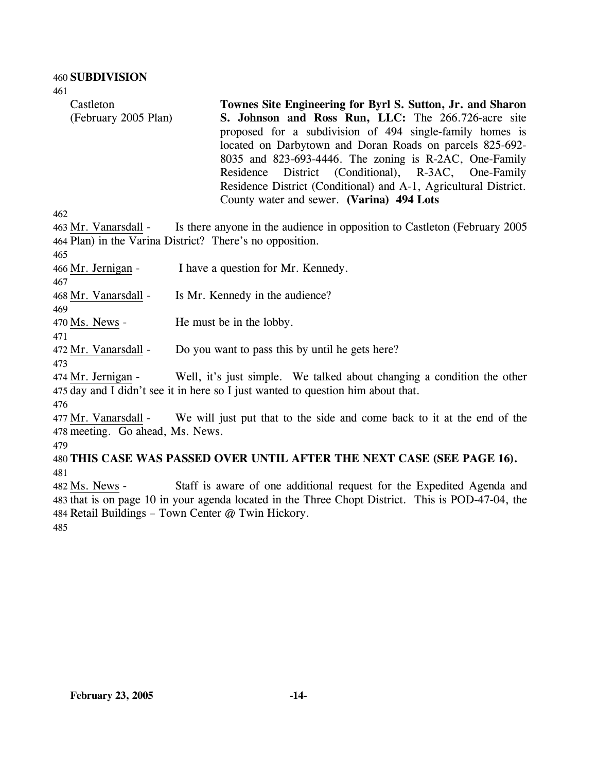461

Castleton (February 2005 Plan) **Townes Site Engineering for Byrl S. Sutton, Jr. and Sharon S. Johnson and Ross Run, LLC:** The 266.726-acre site proposed for a subdivision of 494 single-family homes is located on Darbytown and Doran Roads on parcels 825-692- 8035 and 823-693-4446. The zoning is R-2AC, One-Family Residence District (Conditional), R-3AC, One-Family Residence District (Conditional) and A-1, Agricultural District. County water and sewer. **(Varina) 494 Lots** 

462

465

467

Is there anyone in the audience in opposition to Castleton (February 2005) 464 Plan) in the Varina District? There's no opposition. 463 Mr. Vanarsdall -

466 Mr. Jernigan - I have a question for Mr. Kennedy.

468 Mr. Vanarsdall - Is Mr. Kennedy in the audience?

469 470 Ms. News - He must be in the lobby.

471

472 Mr. Vanarsdall - Do you want to pass this by until he gets here?

473

Well, it's just simple. We talked about changing a condition the other  $475$  day and I didn't see it in here so I just wanted to question him about that. 474 Mr. Jernigan -

476

We will just put that to the side and come back to it at the end of the 478 meeting. Go ahead, Ms. News. 477 Mr. Vanarsdall -

479

480 **THIS CASE WAS PASSED OVER UNTIL AFTER THE NEXT CASE (SEE PAGE 16).**  481

Staff is aware of one additional request for the Expedited Agenda and 483 that is on page 10 in your agenda located in the Three Chopt District. This is POD-47-04, the 484 Retail Buildings - Town Center @ Twin Hickory. 482 Ms. News -

485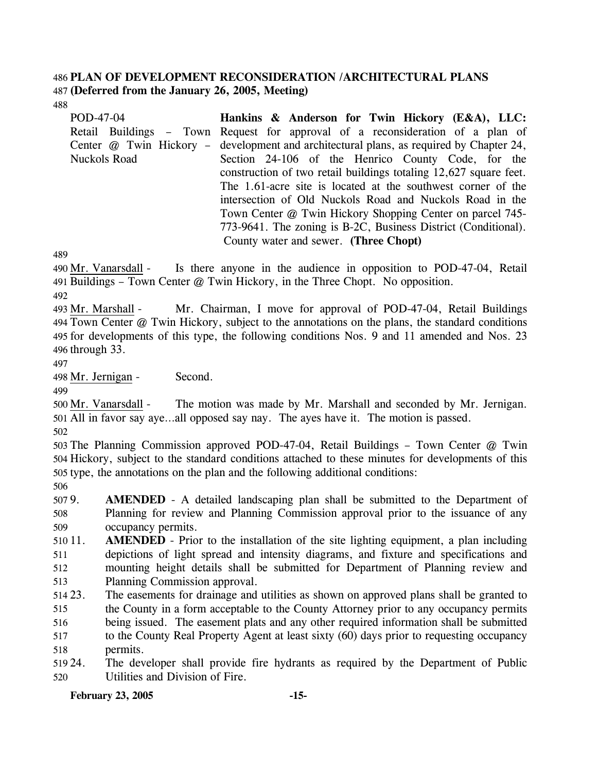### 486 **PLAN OF DEVELOPMENT RECONSIDERATION /ARCHITECTURAL PLANS**  487 **(Deferred from the January 26, 2005, Meeting)**

488

| POD-47-04           | Hankins & Anderson for Twin Hickory (E&A), LLC:                                         |  |  |  |  |  |
|---------------------|-----------------------------------------------------------------------------------------|--|--|--|--|--|
|                     | Retail Buildings – Town Request for approval of a reconsideration of a plan of          |  |  |  |  |  |
|                     | Center @ Twin Hickory – development and architectural plans, as required by Chapter 24, |  |  |  |  |  |
| <b>Nuckols Road</b> | Section 24-106 of the Henrico County Code, for the                                      |  |  |  |  |  |
|                     | construction of two retail buildings totaling 12,627 square feet.                       |  |  |  |  |  |
|                     | The 1.61-acre site is located at the southwest corner of the                            |  |  |  |  |  |
|                     | intersection of Old Nuckols Road and Nuckols Road in the                                |  |  |  |  |  |
|                     | Town Center @ Twin Hickory Shopping Center on parcel 745-                               |  |  |  |  |  |
|                     | 773-9641. The zoning is B-2C, Business District (Conditional).                          |  |  |  |  |  |
|                     | County water and sewer. (Three Chopt)                                                   |  |  |  |  |  |

489

Is there anyone in the audience in opposition to POD-47-04, Retail 491 Buildings – Town Center @ Twin Hickory, in the Three Chopt. No opposition. 490 Mr. Vanarsdall -

492

Mr. Chairman, I move for approval of POD-47-04, Retail Buildings Town Center @ Twin Hickory, subject to the annotations on the plans, the standard conditions 494 495 for developments of this type, the following conditions Nos. 9 and 11 amended and Nos. 23 496 through 33. 493 Mr. Marshall -

497

498 Mr. Jernigan - Second.

499

The motion was made by Mr. Marshall and seconded by Mr. Jernigan. All in favor say aye…all opposed say nay. The ayes have it. The motion is passed. 501 500 Mr. Vanarsdall -502

503 The Planning Commission approved POD-47-04, Retail Buildings – Town Center @ Twin 504 Hickory, subject to the standard conditions attached to these minutes for developments of this 505 type, the annotations on the plan and the following additional conditions:

506

5079. 508 509 AMENDED - A detailed landscaping plan shall be submitted to the Department of Planning for review and Planning Commission approval prior to the issuance of any occupancy permits.

510 11. 511 512 513 **AMENDED** - Prior to the installation of the site lighting equipment, a plan including depictions of light spread and intensity diagrams, and fixture and specifications and mounting height details shall be submitted for Department of Planning review and Planning Commission approval.

514 23. 515 516 517 518 The easements for drainage and utilities as shown on approved plans shall be granted to the County in a form acceptable to the County Attorney prior to any occupancy permits being issued. The easement plats and any other required information shall be submitted to the County Real Property Agent at least sixty (60) days prior to requesting occupancy permits.

519 24. 520 The developer shall provide fire hydrants as required by the Department of Public Utilities and Division of Fire.

**February 23, 2005 -15-**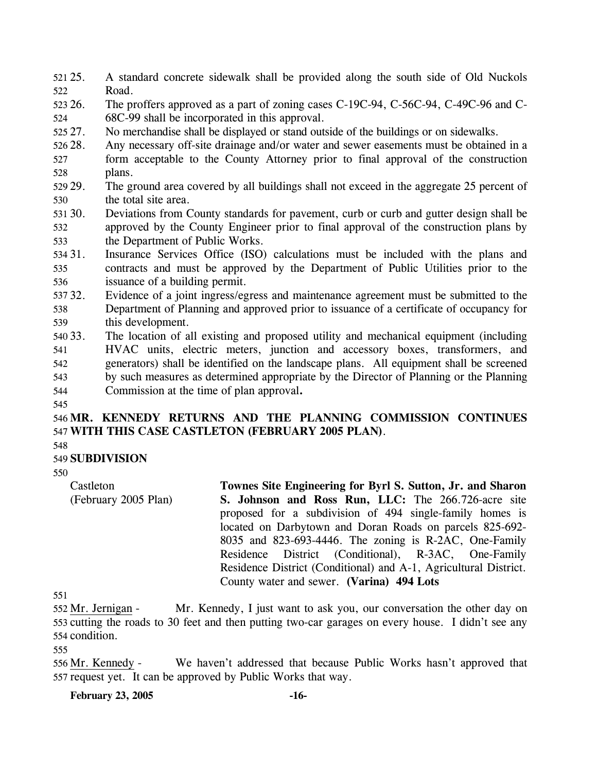- 521 25. 522 25. A standard concrete sidewalk shall be provided along the south side of Old Nuckols Road.
- 523 26. 524 The proffers approved as a part of zoning cases C-19C-94, C-56C-94, C-49C-96 and C-68C-99 shall be incorporated in this approval.
- 525, 27. 27. No merchandise shall be displayed or stand outside of the buildings or on sidewalks.
- 526 28. Any necessary off-site drainage and/or water and sewer easements must be obtained in a
- 527 528 form acceptable to the County Attorney prior to final approval of the construction plans.
- 529 29. 530 The ground area covered by all buildings shall not exceed in the aggregate 25 percent of the total site area.
- 531 30. 532 533 Deviations from County standards for pavement, curb or curb and gutter design shall be approved by the County Engineer prior to final approval of the construction plans by the Department of Public Works.
- 534 31. 535 536 Insurance Services Office (ISO) calculations must be included with the plans and contracts and must be approved by the Department of Public Utilities prior to the issuance of a building permit.
- 537 32. 538 539 Evidence of a joint ingress/egress and maintenance agreement must be submitted to the Department of Planning and approved prior to issuance of a certificate of occupancy for this development.
- 540 33. 541 542 543 544 The location of all existing and proposed utility and mechanical equipment (including HVAC units, electric meters, junction and accessory boxes, transformers, and generators) shall be identified on the landscape plans. All equipment shall be screened by such measures as determined appropriate by the Director of Planning or the Planning Commission at the time of plan approval**.**
- 545

546 **MR. KENNEDY RETURNS AND THE PLANNING COMMISSION CONTINUES**  547 **WITH THIS CASE CASTLETON (FEBRUARY 2005 PLAN)**.

548

# 549 **SUBDIVISION**

550

Castleton (February 2005 Plan) **Townes Site Engineering for Byrl S. Sutton, Jr. and Sharon S. Johnson and Ross Run, LLC:** The 266.726-acre site proposed for a subdivision of 494 single-family homes is located on Darbytown and Doran Roads on parcels 825-692- 8035 and 823-693-4446. The zoning is R-2AC, One-Family Residence District (Conditional), R-3AC, One-Family Residence District (Conditional) and A-1, Agricultural District. County water and sewer. **(Varina) 494 Lots** 

551

Mr. Kennedy, I just want to ask you, our conversation the other day on 553 cutting the roads to 30 feet and then putting two-car garages on every house. I didn't see any 554 condition. 552 Mr. Jernigan -

555

We haven't addressed that because Public Works hasn't approved that 557 request yet. It can be approved by Public Works that way. 556 Mr. Kennedy -

**February 23, 2005 -16-**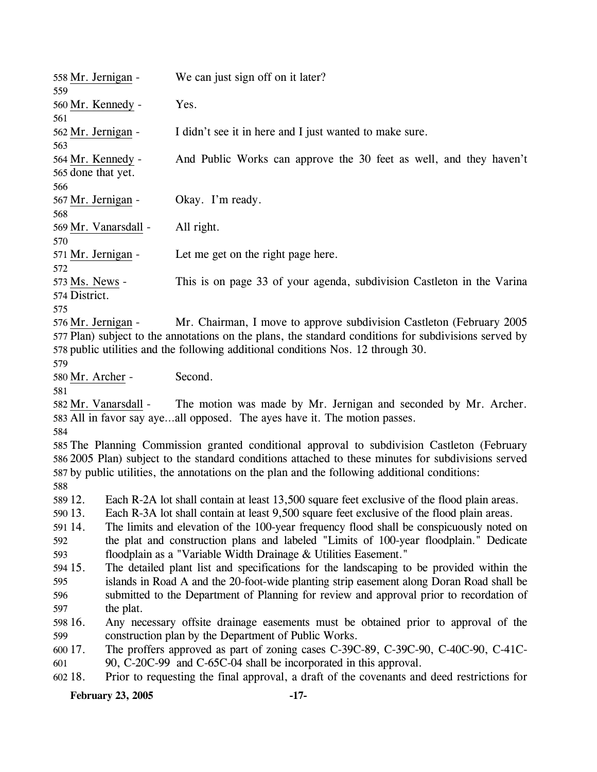| 558 Mr. Jernigan -                                                                                                         |           | We can just sign off on it later?                                                                                                                                                                                                                                                                                                                                                                                                                                                                                                                                                                                                                                                                                                                                                                                                                                                                                                                                                                                                                                                                                                             |
|----------------------------------------------------------------------------------------------------------------------------|-----------|-----------------------------------------------------------------------------------------------------------------------------------------------------------------------------------------------------------------------------------------------------------------------------------------------------------------------------------------------------------------------------------------------------------------------------------------------------------------------------------------------------------------------------------------------------------------------------------------------------------------------------------------------------------------------------------------------------------------------------------------------------------------------------------------------------------------------------------------------------------------------------------------------------------------------------------------------------------------------------------------------------------------------------------------------------------------------------------------------------------------------------------------------|
| 559<br>560 Mr. Kennedy -                                                                                                   |           | Yes.                                                                                                                                                                                                                                                                                                                                                                                                                                                                                                                                                                                                                                                                                                                                                                                                                                                                                                                                                                                                                                                                                                                                          |
| 561<br>562 Mr. Jernigan -                                                                                                  |           | I didn't see it in here and I just wanted to make sure.                                                                                                                                                                                                                                                                                                                                                                                                                                                                                                                                                                                                                                                                                                                                                                                                                                                                                                                                                                                                                                                                                       |
| 563<br>564 Mr. Kennedy -<br>565 done that yet.                                                                             |           | And Public Works can approve the 30 feet as well, and they haven't                                                                                                                                                                                                                                                                                                                                                                                                                                                                                                                                                                                                                                                                                                                                                                                                                                                                                                                                                                                                                                                                            |
| 566<br>567 Mr. Jernigan -<br>568                                                                                           |           | Okay. I'm ready.                                                                                                                                                                                                                                                                                                                                                                                                                                                                                                                                                                                                                                                                                                                                                                                                                                                                                                                                                                                                                                                                                                                              |
| 569 Mr. Vanarsdall -<br>570                                                                                                |           | All right.                                                                                                                                                                                                                                                                                                                                                                                                                                                                                                                                                                                                                                                                                                                                                                                                                                                                                                                                                                                                                                                                                                                                    |
| 571 Mr. Jernigan -<br>572                                                                                                  |           | Let me get on the right page here.                                                                                                                                                                                                                                                                                                                                                                                                                                                                                                                                                                                                                                                                                                                                                                                                                                                                                                                                                                                                                                                                                                            |
| 573 Ms. News -<br>574 District.<br>575                                                                                     |           | This is on page 33 of your agenda, subdivision Castleton in the Varina                                                                                                                                                                                                                                                                                                                                                                                                                                                                                                                                                                                                                                                                                                                                                                                                                                                                                                                                                                                                                                                                        |
| 576 Mr. Jernigan -<br>579                                                                                                  |           | Mr. Chairman, I move to approve subdivision Castleton (February 2005)<br>577 Plan) subject to the annotations on the plans, the standard conditions for subdivisions served by<br>578 public utilities and the following additional conditions Nos. 12 through 30.                                                                                                                                                                                                                                                                                                                                                                                                                                                                                                                                                                                                                                                                                                                                                                                                                                                                            |
| 580 Mr. Archer -                                                                                                           |           | Second.                                                                                                                                                                                                                                                                                                                                                                                                                                                                                                                                                                                                                                                                                                                                                                                                                                                                                                                                                                                                                                                                                                                                       |
| 581<br>582 Mr. Vanarsdall -                                                                                                |           | The motion was made by Mr. Jernigan and seconded by Mr. Archer.<br>583 All in favor say ayeall opposed. The ayes have it. The motion passes.                                                                                                                                                                                                                                                                                                                                                                                                                                                                                                                                                                                                                                                                                                                                                                                                                                                                                                                                                                                                  |
| 584<br>588                                                                                                                 |           | 585 The Planning Commission granted conditional approval to subdivision Castleton (February<br>586 2005 Plan) subject to the standard conditions attached to these minutes for subdivisions served<br>587 by public utilities, the annotations on the plan and the following additional conditions:                                                                                                                                                                                                                                                                                                                                                                                                                                                                                                                                                                                                                                                                                                                                                                                                                                           |
| 589 12.<br>590 13.<br>591 14.<br>592<br>593<br>594 15.<br>595<br>596<br>597<br>598 16.<br>599<br>600 17.<br>601<br>602 18. | the plat. | Each R-2A lot shall contain at least 13,500 square feet exclusive of the flood plain areas.<br>Each R-3A lot shall contain at least 9,500 square feet exclusive of the flood plain areas.<br>The limits and elevation of the 100-year frequency flood shall be conspicuously noted on<br>the plat and construction plans and labeled "Limits of 100-year floodplain." Dedicate<br>floodplain as a "Variable Width Drainage $&$ Utilities Easement."<br>The detailed plant list and specifications for the landscaping to be provided within the<br>islands in Road A and the 20-foot-wide planting strip easement along Doran Road shall be<br>submitted to the Department of Planning for review and approval prior to recordation of<br>Any necessary offsite drainage easements must be obtained prior to approval of the<br>construction plan by the Department of Public Works.<br>The proffers approved as part of zoning cases C-39C-89, C-39C-90, C-40C-90, C-41C-<br>90, C-20C-99 and C-65C-04 shall be incorporated in this approval.<br>Prior to requesting the final approval, a draft of the covenants and deed restrictions for |
|                                                                                                                            |           |                                                                                                                                                                                                                                                                                                                                                                                                                                                                                                                                                                                                                                                                                                                                                                                                                                                                                                                                                                                                                                                                                                                                               |

**February 23, 2005 -17-**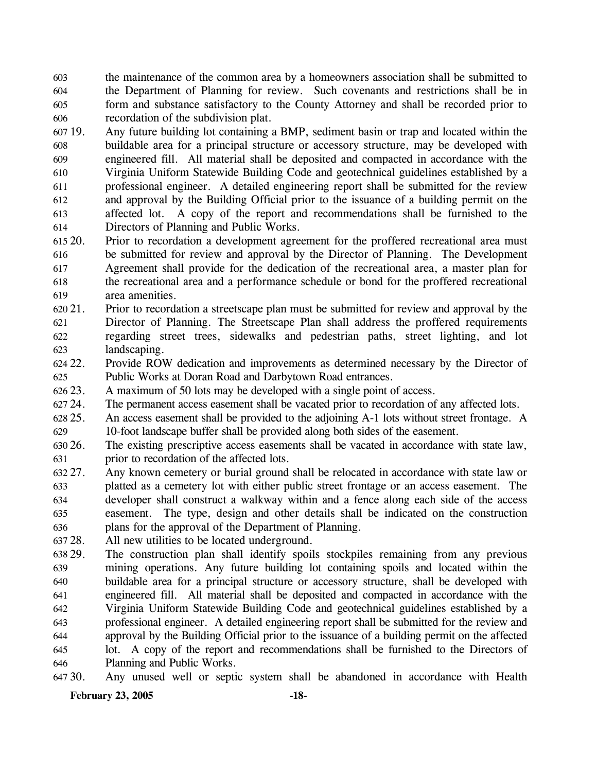603 604 605 606 the maintenance of the common area by a homeowners association shall be submitted to the Department of Planning for review. Such covenants and restrictions shall be in form and substance satisfactory to the County Attorney and shall be recorded prior to recordation of the subdivision plat.

607 19 608 609 610 611 612 613 614 Any future building lot containing a BMP, sediment basin or trap and located within the buildable area for a principal structure or accessory structure, may be developed with engineered fill. All material shall be deposited and compacted in accordance with the Virginia Uniform Statewide Building Code and geotechnical guidelines established by a professional engineer. A detailed engineering report shall be submitted for the review and approval by the Building Official prior to the issuance of a building permit on the affected lot. A copy of the report and recommendations shall be furnished to the Directors of Planning and Public Works.

615 20. 616 617 618 619 Prior to recordation a development agreement for the proffered recreational area must be submitted for review and approval by the Director of Planning. The Development Agreement shall provide for the dedication of the recreational area, a master plan for the recreational area and a performance schedule or bond for the proffered recreational area amenities.

 $62021.$ 621 622 623 21. Prior to recordation a streetscape plan must be submitted for review and approval by the Director of Planning. The Streetscape Plan shall address the proffered requirements regarding street trees, sidewalks and pedestrian paths, street lighting, and lot landscaping.

624 22. 625 Provide ROW dedication and improvements as determined necessary by the Director of Public Works at Doran Road and Darbytown Road entrances.

626 23. A maximum of 50 lots may be developed with a single point of access.

627 24. The permanent access easement shall be vacated prior to recordation of any affected lots.

628 25. 629 An access easement shall be provided to the adjoining A-1 lots without street frontage. A 10-foot landscape buffer shall be provided along both sides of the easement.

630 26. 631 The existing prescriptive access easements shall be vacated in accordance with state law, prior to recordation of the affected lots.

- 632 27. 633 634 635 636 Any known cemetery or burial ground shall be relocated in accordance with state law or platted as a cemetery lot with either public street frontage or an access easement. The developer shall construct a walkway within and a fence along each side of the access easement. The type, design and other details shall be indicated on the construction plans for the approval of the Department of Planning.
- 637 28. All new utilities to be located underground.

638 29. 639 640 641 642 643 644 645 646 The construction plan shall identify spoils stockpiles remaining from any previous mining operations. Any future building lot containing spoils and located within the buildable area for a principal structure or accessory structure, shall be developed with engineered fill. All material shall be deposited and compacted in accordance with the Virginia Uniform Statewide Building Code and geotechnical guidelines established by a professional engineer. A detailed engineering report shall be submitted for the review and approval by the Building Official prior to the issuance of a building permit on the affected lot. A copy of the report and recommendations shall be furnished to the Directors of Planning and Public Works.

647 30. Any unused well or septic system shall be abandoned in accordance with Health

**February 23, 2005 -18-**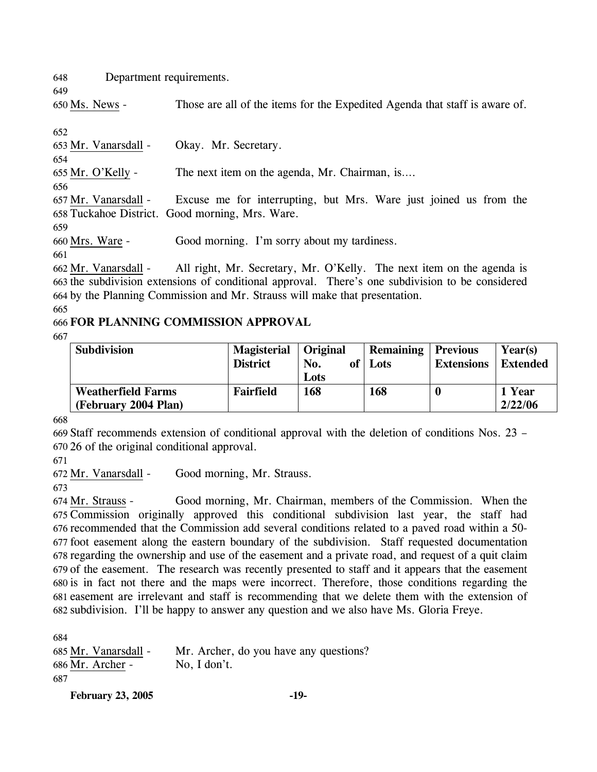648 Department requirements.

650 Ms. News - Those are all of the items for the Expedited Agenda that staff is aware of.

652

649

653 Mr. Vanarsdall - Okay. Mr. Secretary. 654 655 Mr. O'Kelly - The next item on the agenda, Mr. Chairman, is…. 656 Excuse me for interrupting, but Mrs. Ware just joined us from the 658 Tuckahoe District. Good morning, Mrs. Ware. 657 Mr. Vanarsdall -659 660 Mrs. Ware - Good morning. I'm sorry about my tardiness. 661

All right, Mr. Secretary, Mr. O'Kelly. The next item on the agenda is 663 the subdivision extensions of conditional approval. There's one subdivision to be considered by the Planning Commission and Mr. Strauss will make that presentation. 664 662 Mr. Vanarsdall -

665

## 666 **FOR PLANNING COMMISSION APPROVAL**

667

| <b>Subdivision</b>                                | <b>Magisterial</b> | Original    | <b>Remaining   Previous</b> |                   | Year(s)           |
|---------------------------------------------------|--------------------|-------------|-----------------------------|-------------------|-------------------|
|                                                   | <b>District</b>    | of l<br>No. | Lots                        | <b>Extensions</b> | <b>Extended</b>   |
|                                                   |                    | Lots        |                             |                   |                   |
| <b>Weatherfield Farms</b><br>(February 2004 Plan) | Fairfield          | 168         | 168                         |                   | 1 Year<br>2/22/06 |

668

669 Staff recommends extension of conditional approval with the deletion of conditions Nos. 23 – 670 26 of the original conditional approval.

671

672 Mr. Vanarsdall - Good morning, Mr. Strauss.

673

Good morning, Mr. Chairman, members of the Commission. When the 675 Commission originally approved this conditional subdivision last year, the staff had 676 recommended that the Commission add several conditions related to a paved road within a 50foot easement along the eastern boundary of the subdivision. Staff requested documentation 677 678 regarding the ownership and use of the easement and a private road, and request of a quit claim 679 of the easement. The research was recently presented to staff and it appears that the easement 680 is in fact not there and the maps were incorrect. Therefore, those conditions regarding the 681 easement are irrelevant and staff is recommending that we delete them with the extension of 682 subdivision. I'll be happy to answer any question and we also have Ms. Gloria Freye. 674 Mr. Strauss -

684

```
685 Mr. Vanarsdall - Mr. Archer, do you have any questions? 
686 Mr. Archer - No, I don't. 
687
```
**February 23, 2005 -19-**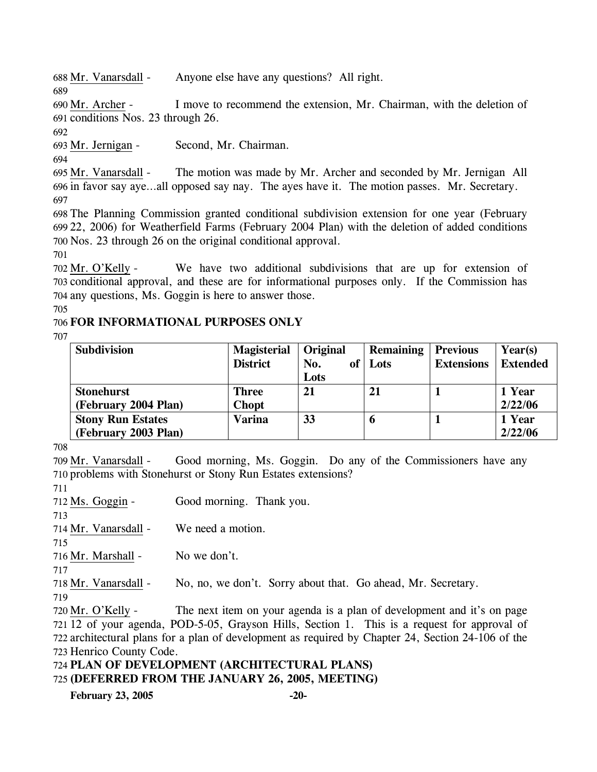688 Mr. Vanarsdall - Anyone else have any questions? All right.

I move to recommend the extension, Mr. Chairman, with the deletion of 691 conditions Nos. 23 through 26. 690 Mr. Archer -

692

689

693 Mr. Jernigan - Second, Mr. Chairman.

694

The motion was made by Mr. Archer and seconded by Mr. Jernigan All 696 in favor say aye...all opposed say nay. The ayes have it. The motion passes. Mr. Secretary. 695 Mr. Vanarsdall -697

698 The Planning Commission granted conditional subdivision extension for one year (February 699 22, 2006) for Weatherfield Farms (February 2004 Plan) with the deletion of added conditions 700 Nos. 23 through 26 on the original conditional approval.

701

We have two additional subdivisions that are up for extension of 703 conditional approval, and these are for informational purposes only. If the Commission has 704 any questions, Ms. Goggin is here to answer those. 702 Mr. O'Kelly -

705

## 706 **FOR INFORMATIONAL PURPOSES ONLY**

707

| <b>Subdivision</b>       | <b>Magisterial</b> | Original | <b>Remaining</b> | <b>Previous</b>   | Year(s)         |
|--------------------------|--------------------|----------|------------------|-------------------|-----------------|
|                          | <b>District</b>    | No.      | of   Lots        | <b>Extensions</b> | <b>Extended</b> |
|                          |                    | Lots     |                  |                   |                 |
| <b>Stonehurst</b>        | <b>Three</b>       | 21       | 21               |                   | 1 Year          |
| (February 2004 Plan)     | <b>Chopt</b>       |          |                  |                   | 2/22/06         |
| <b>Stony Run Estates</b> | <b>Varina</b>      | 33       | O                |                   | 1 Year          |
| (February 2003 Plan)     |                    |          |                  |                   | 2/22/06         |

708

Good morning, Ms. Goggin. Do any of the Commissioners have any 710 problems with Stonehurst or Stony Run Estates extensions? 709 Mr. Vanarsdall -

711

713

712 Ms. Goggin - Good morning. Thank you.

714 Mr. Vanarsdall - We need a motion.

715

716 Mr. Marshall - No we don't.

717

718 Mr. Vanarsdall - No, no, we don't. Sorry about that. Go ahead, Mr. Secretary.

719

The next item on your agenda is a plan of development and it's on page 721 12 of your agenda, POD-5-05, Grayson Hills, Section 1. This is a request for approval of 722 architectural plans for a plan of development as required by Chapter 24, Section 24-106 of the 723 Henrico County Code. 720 Mr. O'Kelly -

724 **PLAN OF DEVELOPMENT (ARCHITECTURAL PLANS)** 

725 **(DEFERRED FROM THE JANUARY 26, 2005, MEETING)** 

**February 23, 2005 -20-**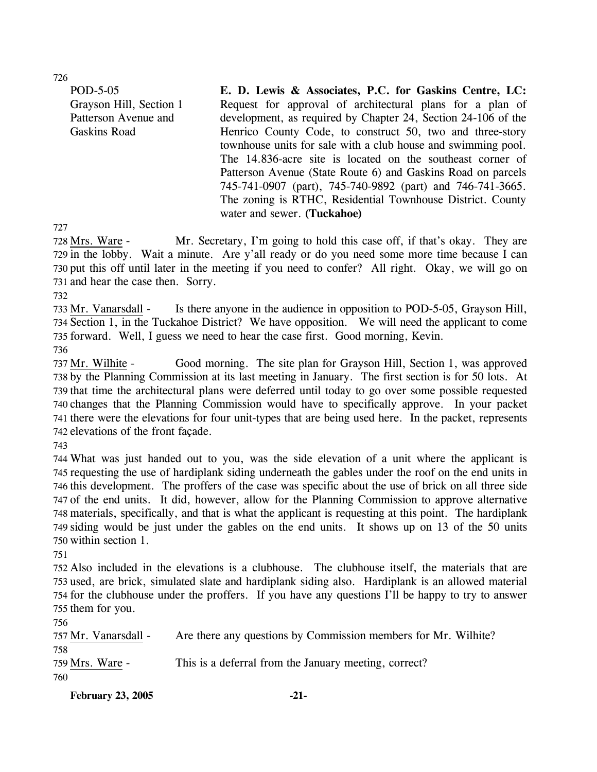726

POD-5-05 Grayson Hill, Section 1 Patterson Avenue and Gaskins Road

**E. D. Lewis & Associates, P.C. for Gaskins Centre, LC:**  Request for approval of architectural plans for a plan of development, as required by Chapter 24, Section 24-106 of the Henrico County Code, to construct 50, two and three-story townhouse units for sale with a club house and swimming pool. The 14.836-acre site is located on the southeast corner of Patterson Avenue (State Route 6) and Gaskins Road on parcels 745-741-0907 (part), 745-740-9892 (part) and 746-741-3665. The zoning is RTHC, Residential Townhouse District. County water and sewer. **(Tuckahoe)** 

727

Mr. Secretary, I'm going to hold this case off, if that's okay. They are 729 in the lobby. Wait a minute. Are y'all ready or do you need some more time because I can 730 put this off until later in the meeting if you need to confer? All right. Okay, we will go on 731 and hear the case then. Sorry. 728 Mrs. Ware -

732

Is there anyone in the audience in opposition to POD-5-05, Grayson Hill, 734 Section 1, in the Tuckahoe District? We have opposition. We will need the applicant to come 735 forward. Well, I guess we need to hear the case first. Good morning, Kevin. 733 Mr. Vanarsdall -

736

Good morning. The site plan for Grayson Hill, Section 1, was approved 738 by the Planning Commission at its last meeting in January. The first section is for 50 lots. At 739 that time the architectural plans were deferred until today to go over some possible requested 740 changes that the Planning Commission would have to specifically approve. In your packet 741 there were the elevations for four unit-types that are being used here. In the packet, represents 742 elevations of the front façade. 737 Mr. Wilhite -

743

 What was just handed out to you, was the side elevation of a unit where the applicant is requesting the use of hardiplank siding underneath the gables under the roof on the end units in this development. The proffers of the case was specific about the use of brick on all three side of the end units. It did, however, allow for the Planning Commission to approve alternative materials, specifically, and that is what the applicant is requesting at this point. The hardiplank siding would be just under the gables on the end units. It shows up on 13 of the 50 units within section 1.

751

 Also included in the elevations is a clubhouse. The clubhouse itself, the materials that are used, are brick, simulated slate and hardiplank siding also. Hardiplank is an allowed material for the clubhouse under the proffers. If you have any questions I'll be happy to try to answer them for you.

756

| 757 Mr. Vanarsdall -    | Are there any questions by Commission members for Mr. Wilhite? |
|-------------------------|----------------------------------------------------------------|
| 758.<br>759 Mrs. Ware - | This is a deferral from the January meeting, correct?          |
| 760                     |                                                                |

February 23, 2005 -21-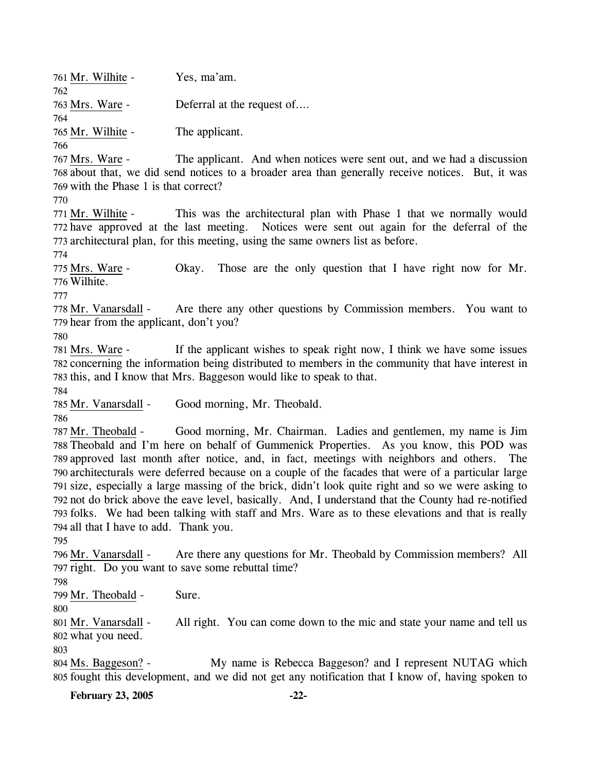761 Mr. Wilhite - Yes, ma'am. 762 763 Mrs. Ware - Deferral at the request of.… 764 765 Mr. Wilhite - The applicant. 766 767 Mrs. Ware -

The applicant. And when notices were sent out, and we had a discussion 768 about that, we did send notices to a broader area than generally receive notices. But, it was 769 with the Phase 1 is that correct?

770

This was the architectural plan with Phase 1 that we normally would Notices were sent out again for the deferral of the 773 architectural plan, for this meeting, using the same owners list as before. 771 Mr. Wilhite -772 have approved at the last meeting.

774

Okay. Those are the only question that I have right now for Mr. Wilhite. 776 775 Mrs. Ware -

777

Are there any other questions by Commission members. You want to 779 hear from the applicant, don't you? 778 Mr. Vanarsdall -

780

If the applicant wishes to speak right now, I think we have some issues 782 concerning the information being distributed to members in the community that have interest in 783 this, and I know that Mrs. Baggeson would like to speak to that. 781 Mrs. Ware -

784

785 Mr. Vanarsdall - Good morning, Mr. Theobald.

786

Good morning, Mr. Chairman. Ladies and gentlemen, my name is Jim 788 Theobald and I'm here on behalf of Gummenick Properties. As you know, this POD was 789 approved last month after notice, and, in fact, meetings with neighbors and others. The 790 architecturals were deferred because on a couple of the facades that were of a particular large 791 size, especially a large massing of the brick, didn't look quite right and so we were asking to 792 not do brick above the eave level, basically. And, I understand that the County had re-notified 793 folks. We had been talking with staff and Mrs. Ware as to these elevations and that is really 794 all that I have to add. Thank you. 787 Mr. Theobald -

795

Are there any questions for Mr. Theobald by Commission members? All 797 right. Do you want to save some rebuttal time? 796 Mr. Vanarsdall -

798

799 Mr. Theobald - Sure.

800

All right. You can come down to the mic and state your name and tell us 802 what you need. 801 Mr. Vanarsdall -

803

My name is Rebecca Baggeson? and I represent NUTAG which 805 fought this development, and we did not get any notification that I know of, having spoken to 804 Ms. Baggeson? -

**February 23, 2005 -22-**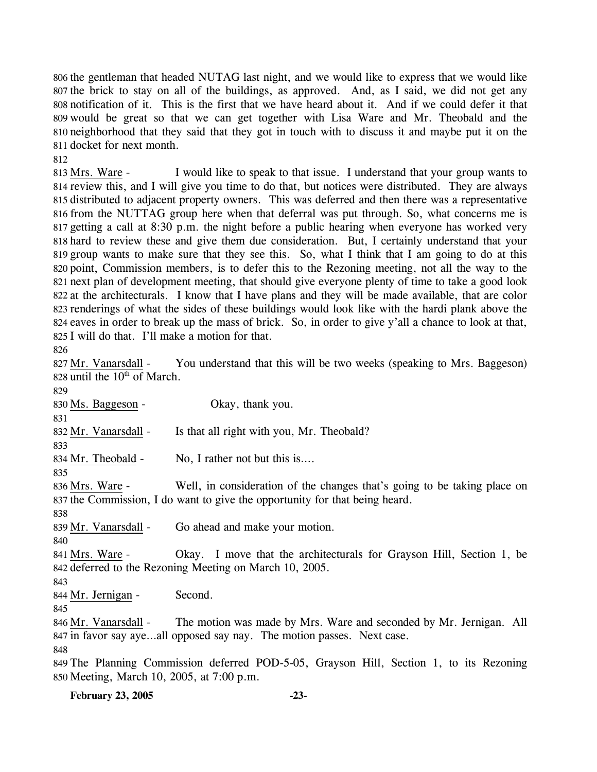the gentleman that headed NUTAG last night, and we would like to express that we would like the brick to stay on all of the buildings, as approved. And, as I said, we did not get any notification of it. This is the first that we have heard about it. And if we could defer it that would be great so that we can get together with Lisa Ware and Mr. Theobald and the neighborhood that they said that they got in touch with to discuss it and maybe put it on the docket for next month.

812

I would like to speak to that issue. I understand that your group wants to 814 review this, and I will give you time to do that, but notices were distributed. They are always 815 distributed to adjacent property owners. This was deferred and then there was a representative 816 from the NUTTAG group here when that deferral was put through. So, what concerns me is 817 getting a call at 8:30 p.m. the night before a public hearing when everyone has worked very 818 hard to review these and give them due consideration. But, I certainly understand that your 819 group wants to make sure that they see this. So, what I think that I am going to do at this 820 point, Commission members, is to defer this to the Rezoning meeting, not all the way to the 821 next plan of development meeting, that should give everyone plenty of time to take a good look 822 at the architecturals. I know that I have plans and they will be made available, that are color 823 renderings of what the sides of these buildings would look like with the hardi plank above the 824 eaves in order to break up the mass of brick. So, in order to give y'all a chance to look at that, 825 I will do that. I'll make a motion for that. 813 Mrs. Ware -

826

You understand that this will be two weeks (speaking to Mrs. Baggeson) 828 until the  $10<sup>th</sup>$  of March. 827 Mr. Vanarsdall -829 830 Ms. Baggeson - Okay, thank you. 831 832 Mr. Vanarsdall - Is that all right with you, Mr. Theobald? 833 834 Mr. Theobald - No, I rather not but this is.... 835 Well, in consideration of the changes that's going to be taking place on 837 the Commission, I do want to give the opportunity for that being heard. 836 Mrs. Ware -838 839 Mr. Vanarsdall - Go ahead and make your motion. 840 Okay. I move that the architecturals for Grayson Hill, Section 1, be 842 deferred to the Rezoning Meeting on March 10, 2005. 841 Mrs. Ware -843 844 Mr. Jernigan - Second. 845 The motion was made by Mrs. Ware and seconded by Mr. Jernigan. All 847 in favor say aye...all opposed say nay. The motion passes. Next case. 846 Mr. Vanarsdall -848 849 The Planning Commission deferred POD-5-05, Grayson Hill, Section 1, to its Rezoning 850 Meeting, March 10, 2005, at 7:00 p.m.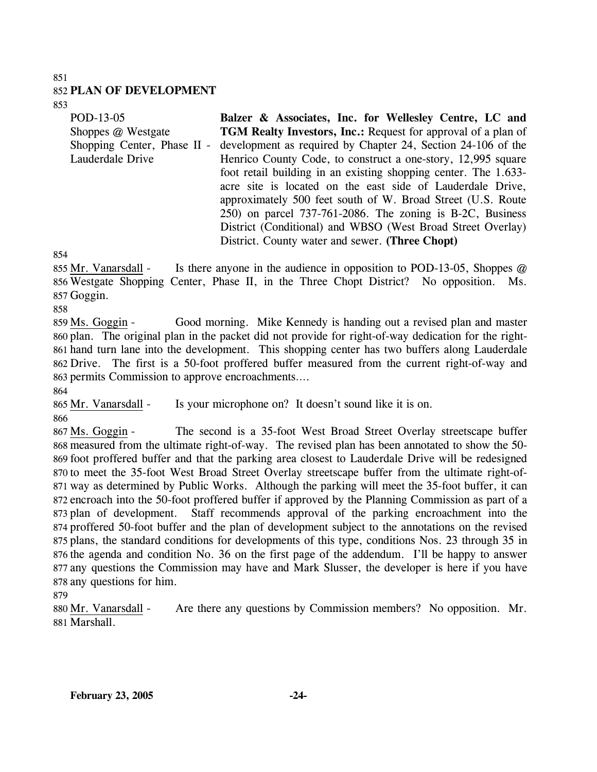#### 851

### 852 **PLAN OF DEVELOPMENT**

853

| POD-13-05                   | Balzer & Associates, Inc. for Wellesley Centre, LC and               |
|-----------------------------|----------------------------------------------------------------------|
| Shoppes @ Westgate          | <b>TGM Realty Investors, Inc.: Request for approval of a plan of</b> |
| Shopping Center, Phase II - | development as required by Chapter 24, Section 24-106 of the         |
| Lauderdale Drive            | Henrico County Code, to construct a one-story, 12,995 square         |
|                             | foot retail building in an existing shopping center. The 1.633-      |
|                             | acre site is located on the east side of Lauderdale Drive,           |
|                             | approximately 500 feet south of W. Broad Street (U.S. Route          |
|                             | 250) on parcel 737-761-2086. The zoning is B-2C, Business            |
|                             | District (Conditional) and WBSO (West Broad Street Overlay)          |
|                             | District. County water and sewer. (Three Chopt)                      |

854

Is there anyone in the audience in opposition to POD-13-05, Shoppes  $@$ 856 Westgate Shopping Center, Phase II, in the Three Chopt District? No opposition. Ms. 857 Goggin. 855 Mr. Vanarsdall -

858

Good morning. Mike Kennedy is handing out a revised plan and master 860 plan. The original plan in the packet did not provide for right-of-way dedication for the right-861 hand turn lane into the development. This shopping center has two buffers along Lauderdale Drive. The first is a 50-foot proffered buffer measured from the current right-of-way and 862 863 permits Commission to approve encroachments.... 859 Ms. Goggin -

864

865 Mr. Vanarsdall - Is your microphone on? It doesn't sound like it is on.

866

The second is a 35-foot West Broad Street Overlay streetscape buffer 868 measured from the ultimate right-of-way. The revised plan has been annotated to show the 50-869 foot proffered buffer and that the parking area closest to Lauderdale Drive will be redesigned 870 to meet the 35-foot West Broad Street Overlay streetscape buffer from the ultimate right-of-871 way as determined by Public Works. Although the parking will meet the 35-foot buffer, it can 872 encroach into the 50-foot proffered buffer if approved by the Planning Commission as part of a Staff recommends approval of the parking encroachment into the 874 proffered 50-foot buffer and the plan of development subject to the annotations on the revised 875 plans, the standard conditions for developments of this type, conditions Nos. 23 through 35 in 876 the agenda and condition No. 36 on the first page of the addendum. I'll be happy to answer 877 any questions the Commission may have and Mark Slusser, the developer is here if you have 878 any questions for him. 867 Ms. Goggin -873 plan of development.

879

Are there any questions by Commission members? No opposition. Mr. Marshall. 881 880 Mr. Vanarsdall -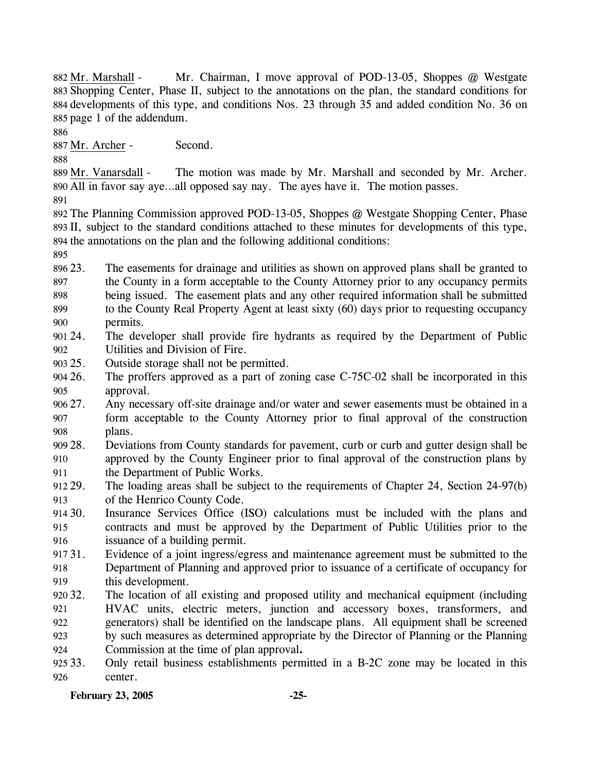Mr. Chairman, I move approval of POD-13-05, Shoppes  $\omega$  Westgate 883 Shopping Center, Phase II, subject to the annotations on the plan, the standard conditions for 884 developments of this type, and conditions Nos. 23 through 35 and added condition No. 36 on 885 page 1 of the addendum. 882 Mr. Marshall -

886

887 Mr. Archer - Second.

888

The motion was made by Mr. Marshall and seconded by Mr. Archer. All in favor say aye…all opposed say nay. The ayes have it. The motion passes. 890 889 Mr. Vanarsdall -

891

892 The Planning Commission approved POD-13-05, Shoppes @ Westgate Shopping Center, Phase 893 II, subject to the standard conditions attached to these minutes for developments of this type, 894 the annotations on the plan and the following additional conditions:

895

896 23. 897 898 899 900 The easements for drainage and utilities as shown on approved plans shall be granted to the County in a form acceptable to the County Attorney prior to any occupancy permits being issued. The easement plats and any other required information shall be submitted to the County Real Property Agent at least sixty (60) days prior to requesting occupancy permits.

- 901 24. 902 The developer shall provide fire hydrants as required by the Department of Public Utilities and Division of Fire.
- 903 25. Outside storage shall not be permitted.
- $904\,26.$ 905 The proffers approved as a part of zoning case C-75C-02 shall be incorporated in this approval.
- $90627.$ 907 908 Any necessary off-site drainage and/or water and sewer easements must be obtained in a form acceptable to the County Attorney prior to final approval of the construction plans.
- 909 28. 910 911 28. Deviations from County standards for pavement, curb or curb and gutter design shall be approved by the County Engineer prior to final approval of the construction plans by the Department of Public Works.
- 912 29. 913 The loading areas shall be subject to the requirements of Chapter 24, Section 24-97(b) of the Henrico County Code.

914 30. 915 916 Insurance Services Office (ISO) calculations must be included with the plans and contracts and must be approved by the Department of Public Utilities prior to the issuance of a building permit.

- 917 31. 918 919 Evidence of a joint ingress/egress and maintenance agreement must be submitted to the Department of Planning and approved prior to issuance of a certificate of occupancy for this development.
- 920 32. 921 922 923 The location of all existing and proposed utility and mechanical equipment (including HVAC units, electric meters, junction and accessory boxes, transformers, and generators) shall be identified on the landscape plans. All equipment shall be screened by such measures as determined appropriate by the Director of Planning or the Planning
- 924 Commission at the time of plan approval**.**
- 925 33. 926 33. Only retail business establishments permitted in a B-2C zone may be located in this center.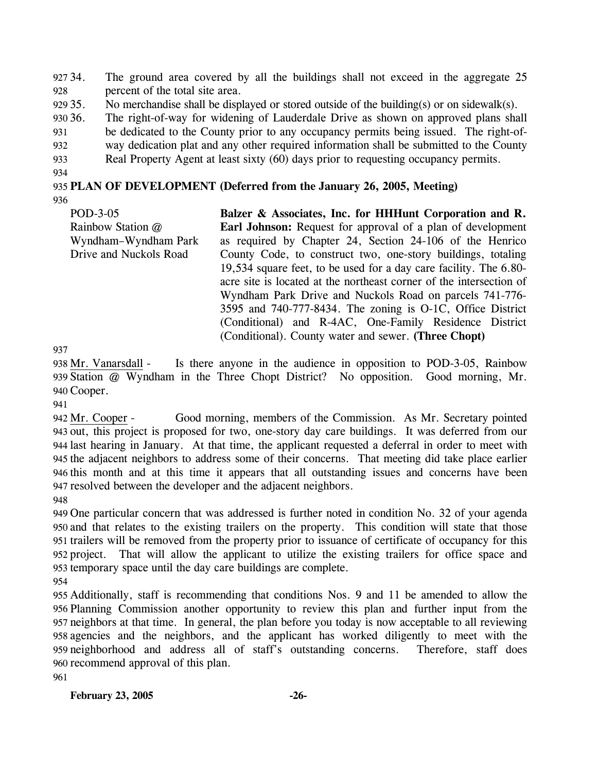927 34. 928 The ground area covered by all the buildings shall not exceed in the aggregate 25 percent of the total site area.

929 35. No merchandise shall be displayed or stored outside of the building(s) or on sidewalk(s).

930 36. The right-of-way for widening of Lauderdale Drive as shown on approved plans shall

931 be dedicated to the County prior to any occupancy permits being issued. The right-of-

932 way dedication plat and any other required information shall be submitted to the County

933 Real Property Agent at least sixty (60) days prior to requesting occupancy permits.

934

### 935 **PLAN OF DEVELOPMENT (Deferred from the January 26, 2005, Meeting)**

936

POD-3-05 Rainbow Station @ Wyndham–Wyndham Park Drive and Nuckols Road **Balzer & Associates, Inc. for HHHunt Corporation and R. Earl Johnson:** Request for approval of a plan of development as required by Chapter 24, Section 24-106 of the Henrico County Code, to construct two, one-story buildings, totaling 19,534 square feet, to be used for a day care facility. The 6.80 acre site is located at the northeast corner of the intersection of Wyndham Park Drive and Nuckols Road on parcels 741-776- 3595 and 740-777-8434. The zoning is O-1C, Office District (Conditional) and R-4AC, One-Family Residence District (Conditional). County water and sewer. **(Three Chopt)** 

937

Is there anyone in the audience in opposition to POD-3-05, Rainbow 939 Station @ Wyndham in the Three Chopt District? No opposition. Good morning, Mr. 940 Cooper. 938 Mr. Vanarsdall -

941

Good morning, members of the Commission. As Mr. Secretary pointed 943 out, this project is proposed for two, one-story day care buildings. It was deferred from our 944 last hearing in January. At that time, the applicant requested a deferral in order to meet with 945 the adjacent neighbors to address some of their concerns. That meeting did take place earlier 946 this month and at this time it appears that all outstanding issues and concerns have been 947 resolved between the developer and the adjacent neighbors. 942 Mr. Cooper -

948

 One particular concern that was addressed is further noted in condition No. 32 of your agenda and that relates to the existing trailers on the property. This condition will state that those trailers will be removed from the property prior to issuance of certificate of occupancy for this project. That will allow the applicant to utilize the existing trailers for office space and temporary space until the day care buildings are complete.

954

 Additionally, staff is recommending that conditions Nos. 9 and 11 be amended to allow the Planning Commission another opportunity to review this plan and further input from the neighbors at that time. In general, the plan before you today is now acceptable to all reviewing agencies and the neighbors, and the applicant has worked diligently to meet with the neighborhood and address all of staff's outstanding concerns. Therefore, staff does recommend approval of this plan.

961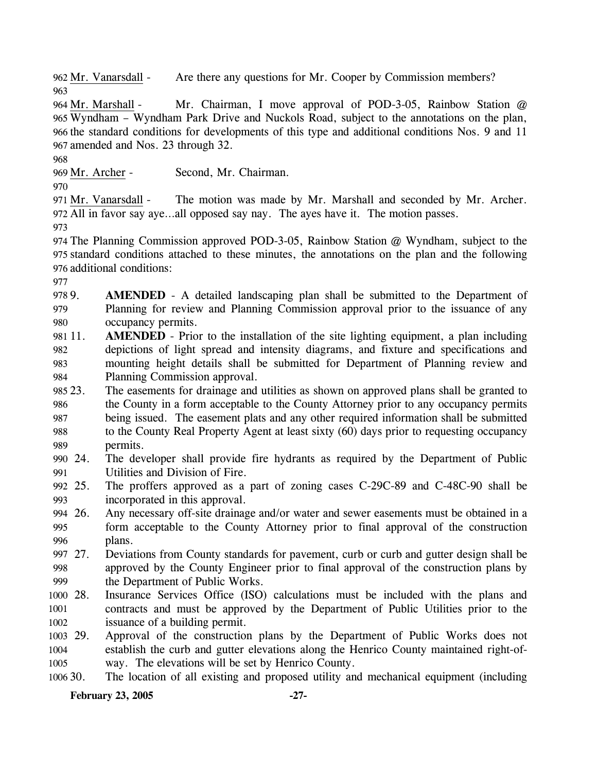962 Mr. Vanarsdall - Are there any questions for Mr. Cooper by Commission members? 963

Mr. Chairman, I move approval of POD-3-05, Rainbow Station  $@$ 965 Wyndham – Wyndham Park Drive and Nuckols Road, subject to the annotations on the plan, 966 the standard conditions for developments of this type and additional conditions Nos. 9 and 11 967 amended and Nos. 23 through 32. 964 Mr. Marshall -

968

969 Mr. Archer - Second, Mr. Chairman.

970

The motion was made by Mr. Marshall and seconded by Mr. Archer. All in favor say aye…all opposed say nay. The ayes have it. The motion passes. 972 971 Mr. Vanarsdall -

973

974 The Planning Commission approved POD-3-05, Rainbow Station @ Wyndham, subject to the 975 standard conditions attached to these minutes, the annotations on the plan and the following 976 additional conditions:

977

978 9. 979 980 AMENDED - A detailed landscaping plan shall be submitted to the Department of Planning for review and Planning Commission approval prior to the issuance of any occupancy permits.

- 981 11. 982 983 984 **AMENDED** - Prior to the installation of the site lighting equipment, a plan including depictions of light spread and intensity diagrams, and fixture and specifications and mounting height details shall be submitted for Department of Planning review and Planning Commission approval.
- 985 23. 986 987 988 989 The easements for drainage and utilities as shown on approved plans shall be granted to the County in a form acceptable to the County Attorney prior to any occupancy permits being issued. The easement plats and any other required information shall be submitted to the County Real Property Agent at least sixty (60) days prior to requesting occupancy permits.
- 990 24. 991 The developer shall provide fire hydrants as required by the Department of Public Utilities and Division of Fire.
- 992 25. 993 The proffers approved as a part of zoning cases C-29C-89 and C-48C-90 shall be incorporated in this approval.
- 994 26. 995 996 Any necessary off-site drainage and/or water and sewer easements must be obtained in a form acceptable to the County Attorney prior to final approval of the construction plans.
- 997 27. 998 999 27. Deviations from County standards for pavement, curb or curb and gutter design shall be approved by the County Engineer prior to final approval of the construction plans by the Department of Public Works.
- 1000 28. 1001 1002 Insurance Services Office (ISO) calculations must be included with the plans and contracts and must be approved by the Department of Public Utilities prior to the issuance of a building permit.
- 1003 29. 1004 1005 Approval of the construction plans by the Department of Public Works does not establish the curb and gutter elevations along the Henrico County maintained right-ofway. The elevations will be set by Henrico County.
- 1006 30. The location of all existing and proposed utility and mechanical equipment (including

## **February 23, 2005 -27-**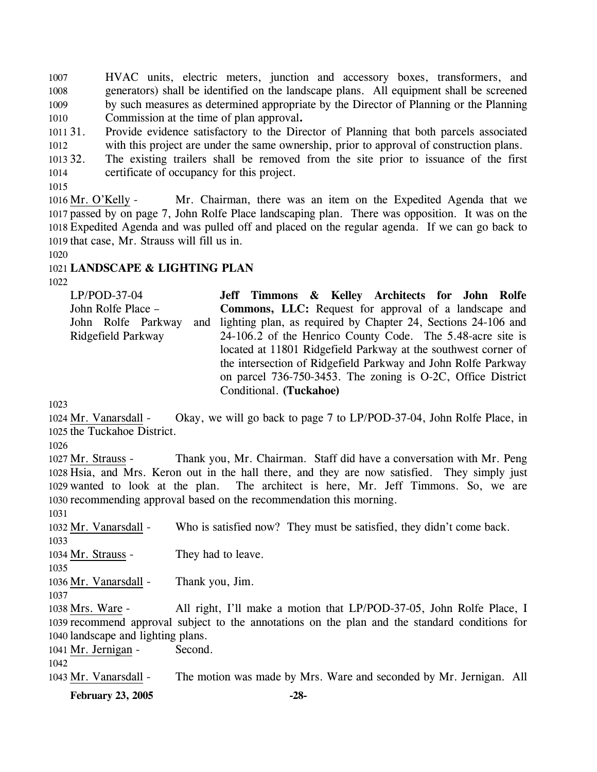1007 1008 1009 1010 HVAC units, electric meters, junction and accessory boxes, transformers, and generators) shall be identified on the landscape plans. All equipment shall be screened by such measures as determined appropriate by the Director of Planning or the Planning Commission at the time of plan approval**.** 

- $101131$ . 1012 31. Provide evidence satisfactory to the Director of Planning that both parcels associated with this project are under the same ownership, prior to approval of construction plans.
- 1013 32. 1014 The existing trailers shall be removed from the site prior to issuance of the first certificate of occupancy for this project.

1015

Mr. Chairman, there was an item on the Expedited Agenda that we 1017 passed by on page 7, John Rolfe Place landscaping plan. There was opposition. It was on the Expedited Agenda and was pulled off and placed on the regular agenda. If we can go back to 1018 1019 that case, Mr. Strauss will fill us in. 1016 Mr. O'Kelly -

1020

### 1021 **LANDSCAPE & LIGHTING PLAN**

1022

LP/POD-37-04 John Rolfe Place – John Rolfe Parkway and Ridgefield Parkway **Jeff Timmons & Kelley Architects for John Rolfe Commons, LLC:** Request for approval of a landscape and lighting plan, as required by Chapter 24, Sections 24-106 and 24-106.2 of the Henrico County Code. The 5.48-acre site is located at 11801 Ridgefield Parkway at the southwest corner of the intersection of Ridgefield Parkway and John Rolfe Parkway on parcel 736-750-3453. The zoning is O-2C, Office District Conditional. **(Tuckahoe)** 

1023

Okay, we will go back to page 7 to LP/POD-37-04, John Rolfe Place, in 1025 the Tuckahoe District. 1024 Mr. Vanarsdall -

1026

Thank you, Mr. Chairman. Staff did have a conversation with Mr. Peng 1028 Hsia, and Mrs. Keron out in the hall there, and they are now satisfied. They simply just 1029 wanted to look at the plan. The architect is here, Mr. Jeff Timmons. So, we are 1030 recommending approval based on the recommendation this morning. 1027 Mr. Strauss -

1031

1032 Mr. Vanarsdall - Who is satisfied now? They must be satisfied, they didn't come back.

1033

1034 Mr. Strauss - They had to leave.

1035

1036 Mr. Vanarsdall - Thank you, Jim.

1037

All right, I'll make a motion that LP/POD-37-05, John Rolfe Place, I 1039 recommend approval subject to the annotations on the plan and the standard conditions for 1040 landscape and lighting plans. 1038 Mrs. Ware -

1041 Mr. Jernigan - Second.

1042

1043 Mr. Vanarsdall - The motion was made by Mrs. Ware and seconded by Mr. Jernigan. All

**February 23, 2005 -28-**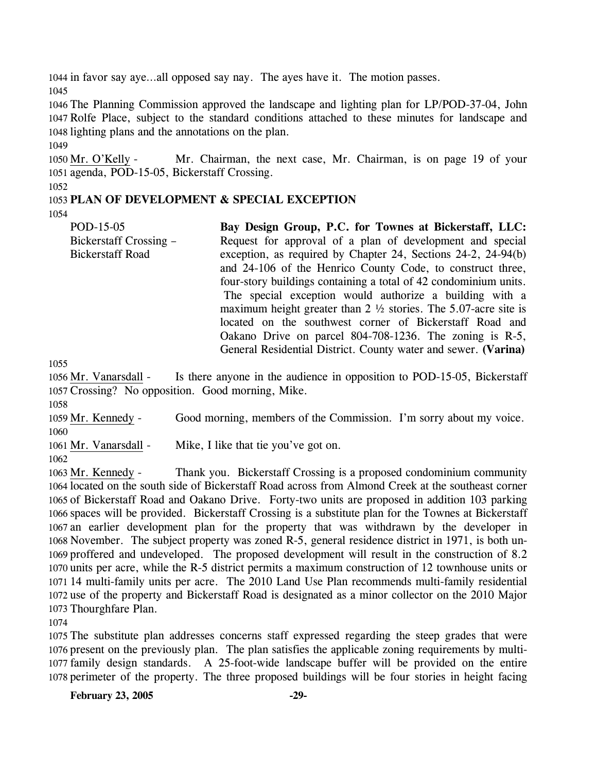1044 in favor say aye…all opposed say nay. The ayes have it. The motion passes. 1045

1046 The Planning Commission approved the landscape and lighting plan for LP/POD-37-04, John 1047 Rolfe Place, subject to the standard conditions attached to these minutes for landscape and 1048 lighting plans and the annotations on the plan.

1049

Mr. Chairman, the next case, Mr. Chairman, is on page 19 of your 1051 agenda, POD-15-05, Bickerstaff Crossing. 1050 Mr. O'Kelly -

1052

## 1053 **PLAN OF DEVELOPMENT & SPECIAL EXCEPTION**

1054

POD-15-05 Bickerstaff Crossing – Bickerstaff Road **Bay Design Group, P.C. for Townes at Bickerstaff, LLC:**  Request for approval of a plan of development and special exception, as required by Chapter 24, Sections 24-2, 24-94(b) and 24-106 of the Henrico County Code, to construct three, four-story buildings containing a total of 42 condominium units. The special exception would authorize a building with a maximum height greater than 2 ½ stories. The 5.07-acre site is located on the southwest corner of Bickerstaff Road and Oakano Drive on parcel 804-708-1236. The zoning is R-5, General Residential District. County water and sewer. **(Varina)**

1055

Is there anyone in the audience in opposition to POD-15-05, Bickerstaff 1057 Crossing? No opposition. Good morning, Mike. 1056 Mr. Vanarsdall -

1058

1059 Mr. Kennedy - Good morning, members of the Commission. I'm sorry about my voice. 1060

1061 Mr. Vanarsdall - Mike, I like that tie you've got on.

1062

Thank you. Bickerstaff Crossing is a proposed condominium community located on the south side of Bickerstaff Road across from Almond Creek at the southeast corner 1064 1065 of Bickerstaff Road and Oakano Drive. Forty-two units are proposed in addition 103 parking 1066 spaces will be provided. Bickerstaff Crossing is a substitute plan for the Townes at Bickerstaff 1067 an earlier development plan for the property that was withdrawn by the developer in 1068 November. The subject property was zoned R-5, general residence district in 1971, is both un-1069 proffered and undeveloped. The proposed development will result in the construction of 8.2 1070 units per acre, while the R-5 district permits a maximum construction of 12 townhouse units or 1071 14 multi-family units per acre. The 2010 Land Use Plan recommends multi-family residential 1072 use of the property and Bickerstaff Road is designated as a minor collector on the 2010 Major 1073 Thourghfare Plan. 1063 Mr. Kennedy -

1074

 The substitute plan addresses concerns staff expressed regarding the steep grades that were present on the previously plan. The plan satisfies the applicable zoning requirements by multi- family design standards. A 25-foot-wide landscape buffer will be provided on the entire perimeter of the property. The three proposed buildings will be four stories in height facing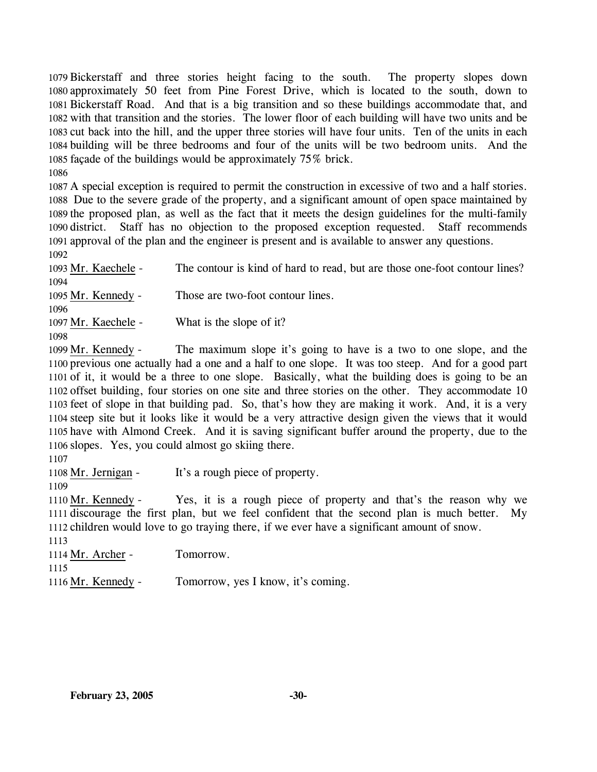Bickerstaff and three stories height facing to the south. The property slopes down approximately 50 feet from Pine Forest Drive, which is located to the south, down to Bickerstaff Road. And that is a big transition and so these buildings accommodate that, and with that transition and the stories. The lower floor of each building will have two units and be cut back into the hill, and the upper three stories will have four units. Ten of the units in each building will be three bedrooms and four of the units will be two bedroom units. And the façade of the buildings would be approximately 75% brick.

1086

 A special exception is required to permit the construction in excessive of two and a half stories. Due to the severe grade of the property, and a significant amount of open space maintained by the proposed plan, as well as the fact that it meets the design guidelines for the multi-family district. Staff has no objection to the proposed exception requested. Staff recommends approval of the plan and the engineer is present and is available to answer any questions. 1092

1093 Mr. Kaechele - The contour is kind of hard to read, but are those one-foot contour lines? 1094 1095 Mr. Kennedy - Those are two-foot contour lines. 1096 1097 Mr. Kaechele - What is the slope of it?

1098

The maximum slope it's going to have is a two to one slope, and the 1100 previous one actually had a one and a half to one slope. It was too steep. And for a good part 1101 of it, it would be a three to one slope. Basically, what the building does is going to be an 1102 offset building, four stories on one site and three stories on the other. They accommodate 10 1103 feet of slope in that building pad. So, that's how they are making it work. And, it is a very 1104 steep site but it looks like it would be a very attractive design given the views that it would 1105 have with Almond Creek. And it is saving significant buffer around the property, due to the 1106 slopes. Yes, you could almost go skiing there. 1099 Mr. Kennedy -

1107

1108 Mr. Jernigan - It's a rough piece of property.

1109

Yes, it is a rough piece of property and that's the reason why we 1111 discourage the first plan, but we feel confident that the second plan is much better. My 1112 children would love to go traying there, if we ever have a significant amount of snow. 1110 Mr. Kennedy -

1113 1114 Mr. Archer - Tomorrow. 1115 1116 Mr. Kennedy - Tomorrow, yes I know, it's coming.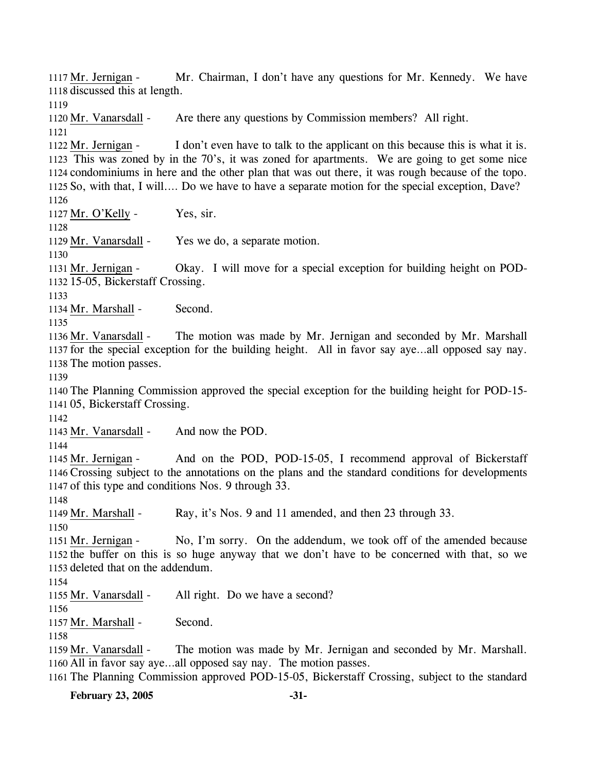Mr. Chairman, I don't have any questions for Mr. Kennedy. We have 1118 discussed this at length. 1117 Mr. Jernigan -1119 1120 Mr. Vanarsdall - Are there any questions by Commission members? All right. 1121 I don't even have to talk to the applicant on this because this is what it is. 1123 This was zoned by in the 70's, it was zoned for apartments. We are going to get some nice 1124 condominiums in here and the other plan that was out there, it was rough because of the topo. 1125 So, with that, I will.... Do we have to have a separate motion for the special exception, Dave? 1122 Mr. Jernigan -1126 1127 Mr. O'Kelly - Yes, sir. 1128 1129 Mr. Vanarsdall - Yes we do, a separate motion. 1130 Okay. I will move for a special exception for building height on POD-1132 15-05, Bickerstaff Crossing. 1131 Mr. Jernigan -1133 1134 Mr. Marshall - Second. 1135 The motion was made by Mr. Jernigan and seconded by Mr. Marshall 1137 for the special exception for the building height. All in favor say aye...all opposed say nay. 1138 The motion passes. 1136 Mr. Vanarsdall -1139 1140 The Planning Commission approved the special exception for the building height for POD-15- 1141 05, Bickerstaff Crossing. 1142 1143 Mr. Vanarsdall - And now the POD. 1144 And on the POD, POD-15-05, I recommend approval of Bickerstaff Crossing subject to the annotations on the plans and the standard conditions for developments 1146 1147 of this type and conditions Nos. 9 through 33. 1145 Mr. Jernigan -1148 1149 Mr. Marshall - Ray, it's Nos. 9 and 11 amended, and then 23 through 33. 1150 No, I'm sorry. On the addendum, we took off of the amended because 1152 the buffer on this is so huge anyway that we don't have to be concerned with that, so we 1153 deleted that on the addendum. 1151 Mr. Jernigan -1154 1155 Mr. Vanarsdall - All right. Do we have a second? 1156 1157 Mr. Marshall - Second. 1158 The motion was made by Mr. Jernigan and seconded by Mr. Marshall. 1160 All in favor say aye...all opposed say nay. The motion passes. 1159 Mr. Vanarsdall -1161 The Planning Commission approved POD-15-05, Bickerstaff Crossing, subject to the standard

**February 23, 2005 -31-**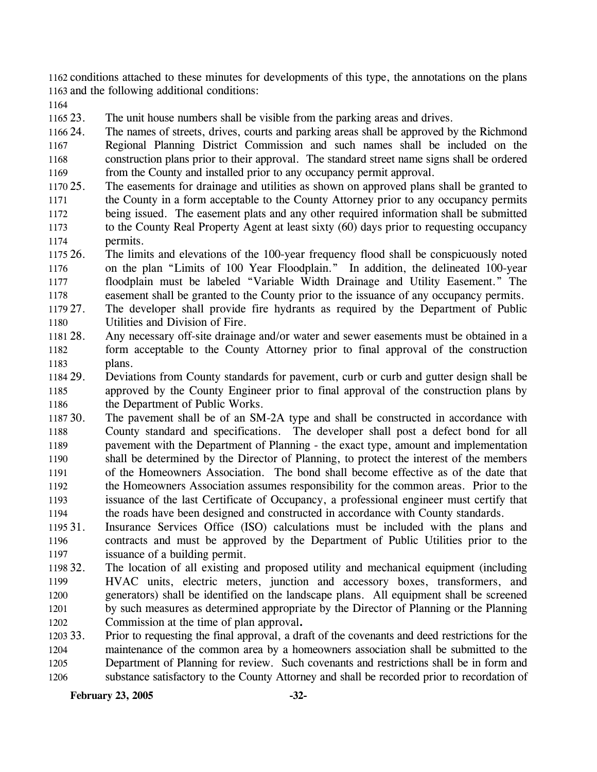1162 conditions attached to these minutes for developments of this type, the annotations on the plans 1163 and the following additional conditions:

1164

1165 23. The unit house numbers shall be visible from the parking areas and drives.

1166 24 1167 1168 1169 The names of streets, drives, courts and parking areas shall be approved by the Richmond Regional Planning District Commission and such names shall be included on the construction plans prior to their approval. The standard street name signs shall be ordered from the County and installed prior to any occupancy permit approval.

- 1170 25. 1171 1172 1173 1174 The easements for drainage and utilities as shown on approved plans shall be granted to the County in a form acceptable to the County Attorney prior to any occupancy permits being issued. The easement plats and any other required information shall be submitted to the County Real Property Agent at least sixty (60) days prior to requesting occupancy permits.
- 1175 26. 1176 1177 1178 26. The limits and elevations of the 100-year frequency flood shall be conspicuously noted on the plan "Limits of 100 Year Floodplain." In addition, the delineated 100-year floodplain must be labeled "Variable Width Drainage and Utility Easement." The easement shall be granted to the County prior to the issuance of any occupancy permits.
- 1179 27. 1180 The developer shall provide fire hydrants as required by the Department of Public Utilities and Division of Fire.
- 1181 28. 1182 1183 Any necessary off-site drainage and/or water and sewer easements must be obtained in a form acceptable to the County Attorney prior to final approval of the construction plans.
- 1184 29. 1185 1186 29. Deviations from County standards for pavement, curb or curb and gutter design shall be approved by the County Engineer prior to final approval of the construction plans by the Department of Public Works.
- 1187 30. 1188 1189 1190 1191 1192 1193 1194 The pavement shall be of an SM-2A type and shall be constructed in accordance with County standard and specifications. The developer shall post a defect bond for all pavement with the Department of Planning - the exact type, amount and implementation shall be determined by the Director of Planning, to protect the interest of the members of the Homeowners Association. The bond shall become effective as of the date that the Homeowners Association assumes responsibility for the common areas. Prior to the issuance of the last Certificate of Occupancy, a professional engineer must certify that the roads have been designed and constructed in accordance with County standards.
- 1195 31. 1196 1197 Insurance Services Office (ISO) calculations must be included with the plans and contracts and must be approved by the Department of Public Utilities prior to the issuance of a building permit.
- 1198 32. 1199 1200 1201 1202 32. The location of all existing and proposed utility and mechanical equipment (including HVAC units, electric meters, junction and accessory boxes, transformers, and generators) shall be identified on the landscape plans. All equipment shall be screened by such measures as determined appropriate by the Director of Planning or the Planning Commission at the time of plan approval**.**
- 1203 33. 1204 1205 1206 33. Prior to requesting the final approval, a draft of the covenants and deed restrictions for the maintenance of the common area by a homeowners association shall be submitted to the Department of Planning for review. Such covenants and restrictions shall be in form and substance satisfactory to the County Attorney and shall be recorded prior to recordation of

**February 23, 2005 -32-**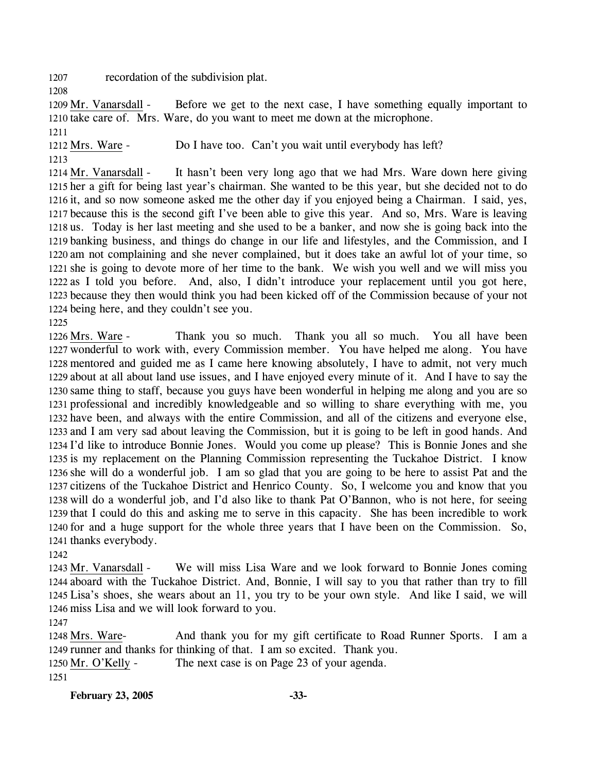1207 recordation of the subdivision plat.

1208

Before we get to the next case, I have something equally important to 1210 take care of. Mrs. Ware, do you want to meet me down at the microphone. 1209 Mr. Vanarsdall -

1211

1212 Mrs. Ware - Do I have too. Can't you wait until everybody has left?

1213

It hasn't been very long ago that we had Mrs. Ware down here giving 1215 her a gift for being last year's chairman. She wanted to be this year, but she decided not to do 1216 it, and so now someone asked me the other day if you enjoyed being a Chairman. I said, yes, 1217 because this is the second gift I've been able to give this year. And so, Mrs. Ware is leaving 1218 us. Today is her last meeting and she used to be a banker, and now she is going back into the 1219 banking business, and things do change in our life and lifestyles, and the Commission, and I 1220 am not complaining and she never complained, but it does take an awful lot of your time, so 1221 she is going to devote more of her time to the bank. We wish you well and we will miss you 1222 as I told you before. And, also, I didn't introduce your replacement until you got here, 1223 because they then would think you had been kicked off of the Commission because of your not 1224 being here, and they couldn't see you. 1214 Mr. Vanarsdall -

1225

Thank you so much. Thank you all so much. You all have been 1227 wonderful to work with, every Commission member. You have helped me along. You have 1228 mentored and guided me as I came here knowing absolutely, I have to admit, not very much 1229 about at all about land use issues, and I have enjoyed every minute of it. And I have to say the 1230 same thing to staff, because you guys have been wonderful in helping me along and you are so 1231 professional and incredibly knowledgeable and so willing to share everything with me, you 1232 have been, and always with the entire Commission, and all of the citizens and everyone else, 1233 and I am very sad about leaving the Commission, but it is going to be left in good hands. And 1234 I'd like to introduce Bonnie Jones. Would you come up please? This is Bonnie Jones and she 1235 is my replacement on the Planning Commission representing the Tuckahoe District. I know 1236 she will do a wonderful job. I am so glad that you are going to be here to assist Pat and the 1237 citizens of the Tuckahoe District and Henrico County. So, I welcome you and know that you 1238 will do a wonderful job, and I'd also like to thank Pat O'Bannon, who is not here, for seeing 1239 that I could do this and asking me to serve in this capacity. She has been incredible to work 1240 for and a huge support for the whole three years that I have been on the Commission. So, 1241 thanks everybody. 1226 Mrs. Ware -

1242

We will miss Lisa Ware and we look forward to Bonnie Jones coming 1244 aboard with the Tuckahoe District. And, Bonnie, I will say to you that rather than try to fill Lisa's shoes, she wears about an 11, you try to be your own style. And like I said, we will 1245 1246 miss Lisa and we will look forward to you. 1243 Mr. Vanarsdall -

1247

And thank you for my gift certificate to Road Runner Sports. I am a 1249 runner and thanks for thinking of that. I am so excited. Thank you. 1248 Mrs. Ware-

1250 Mr. O'Kelly - The next case is on Page 23 of your agenda. 1251

**February 23, 2005 -33-**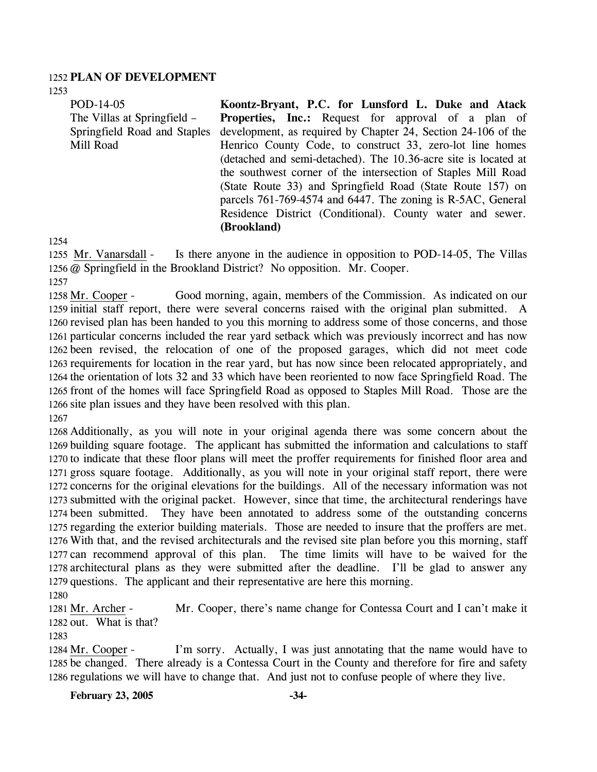### 1252 **PLAN OF DEVELOPMENT**

1253

POD-14-05 The Villas at Springfield – Springfield Road and Staples Mill Road **Koontz-Bryant, P.C. for Lunsford L. Duke and Atack**  Properties, Inc.: Request for approval of a plan of development, as required by Chapter 24, Section 24-106 of the Henrico County Code, to construct 33, zero-lot line homes (detached and semi-detached). The 10.36-acre site is located at the southwest corner of the intersection of Staples Mill Road (State Route 33) and Springfield Road (State Route 157) on parcels 761-769-4574 and 6447. The zoning is R-5AC, General Residence District (Conditional). County water and sewer.

**(Brookland)** 

1254

Is there anyone in the audience in opposition to POD-14-05, The Villas 1256 @ Springfield in the Brookland District? No opposition. Mr. Cooper. 1255 Mr. Vanarsdall -

1257

Good morning, again, members of the Commission. As indicated on our 1259 initial staff report, there were several concerns raised with the original plan submitted. A 1260 revised plan has been handed to you this morning to address some of those concerns, and those 1261 particular concerns included the rear yard setback which was previously incorrect and has now 1262 been revised, the relocation of one of the proposed garages, which did not meet code 1263 requirements for location in the rear yard, but has now since been relocated appropriately, and 1264 the orientation of lots 32 and 33 which have been reoriented to now face Springfield Road. The 1265 front of the homes will face Springfield Road as opposed to Staples Mill Road. Those are the 1266 site plan issues and they have been resolved with this plan. 1258 Mr. Cooper -1267

 Additionally, as you will note in your original agenda there was some concern about the building square footage. The applicant has submitted the information and calculations to staff to indicate that these floor plans will meet the proffer requirements for finished floor area and gross square footage. Additionally, as you will note in your original staff report, there were concerns for the original elevations for the buildings. All of the necessary information was not submitted with the original packet. However, since that time, the architectural renderings have been submitted. They have been annotated to address some of the outstanding concerns regarding the exterior building materials. Those are needed to insure that the proffers are met. With that, and the revised architecturals and the revised site plan before you this morning, staff can recommend approval of this plan. The time limits will have to be waived for the architectural plans as they were submitted after the deadline. I'll be glad to answer any questions. The applicant and their representative are here this morning.

1280

Mr. Cooper, there's name change for Contessa Court and I can't make it 1282 out. What is that? 1281 Mr. Archer -

1283

I'm sorry. Actually, I was just annotating that the name would have to 1285 be changed. There already is a Contessa Court in the County and therefore for fire and safety 1286 regulations we will have to change that. And just not to confuse people of where they live. 1284 Mr. Cooper -

**February 23, 2005 -34-**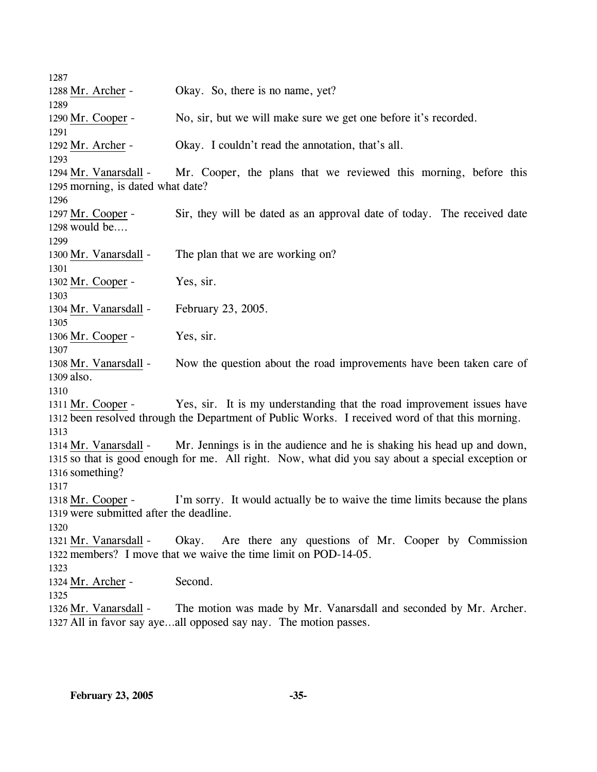1287 1288 Mr. Archer - Okay. So, there is no name, yet? 1289 1290 Mr. Cooper - No, sir, but we will make sure we get one before it's recorded. 1291 1292 Mr. Archer - Okay. I couldn't read the annotation, that's all. 1293 Mr. Cooper, the plans that we reviewed this morning, before this 1295 morning, is dated what date? 1294 Mr. Vanarsdall -1296 Sir, they will be dated as an approval date of today. The received date 1298 would be.... 1297 Mr. Cooper -1299 1300 Mr. Vanarsdall - The plan that we are working on? 1301 1302 Mr. Cooper - Yes, sir. 1303 1304 Mr. Vanarsdall - February 23, 2005. 1305 1306 Mr. Cooper - Yes, sir. 1307 Now the question about the road improvements have been taken care of 1309 also. 1308 Mr. Vanarsdall -1310 Yes, sir. It is my understanding that the road improvement issues have 1312 been resolved through the Department of Public Works. I received word of that this morning. 1311 Mr. Cooper -1313 Mr. Jennings is in the audience and he is shaking his head up and down, 1315 so that is good enough for me. All right. Now, what did you say about a special exception or 1316 something? 1314 Mr. Vanarsdall -1317 I'm sorry. It would actually be to waive the time limits because the plans 1319 were submitted after the deadline. 1318 Mr. Cooper -1320 Okay. Are there any questions of Mr. Cooper by Commission 1322 members? I move that we waive the time limit on POD-14-05. 1321 Mr. Vanarsdall -1323 1324 Mr. Archer - Second. 1325 The motion was made by Mr. Vanarsdall and seconded by Mr. Archer. 1327 All in favor say aye...all opposed say nay. The motion passes. 1326 Mr. Vanarsdall -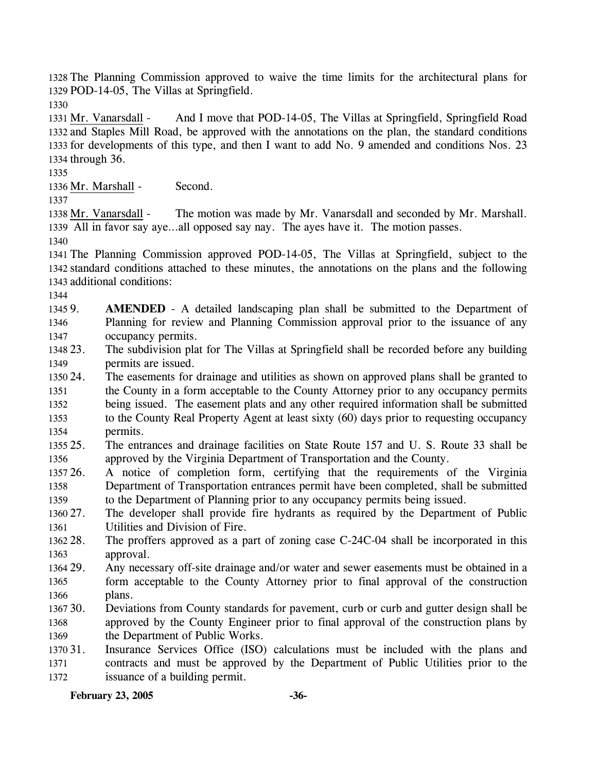1328 The Planning Commission approved to waive the time limits for the architectural plans for 1329 POD-14-05, The Villas at Springfield.

1330

And I move that POD-14-05, The Villas at Springfield, Springfield Road 1332 and Staples Mill Road, be approved with the annotations on the plan, the standard conditions 1333 for developments of this type, and then I want to add No. 9 amended and conditions Nos. 23 1334 through 36. 1331 Mr. Vanarsdall -

1335

1336 Mr. Marshall - Second.

1337

The motion was made by Mr. Vanarsdall and seconded by Mr. Marshall. All in favor say aye…all opposed say nay. The ayes have it. The motion passes. 1339 1338 Mr. Vanarsdall -

1340

1341 The Planning Commission approved POD-14-05, The Villas at Springfield, subject to the 1342 standard conditions attached to these minutes, the annotations on the plans and the following 1343 additional conditions:

1344

1345 9. 1346 1347 AMENDED - A detailed landscaping plan shall be submitted to the Department of Planning for review and Planning Commission approval prior to the issuance of any occupancy permits.

1348 23. 1349 The subdivision plat for The Villas at Springfield shall be recorded before any building permits are issued.

1350 24. 1351 1352 1353 The easements for drainage and utilities as shown on approved plans shall be granted to the County in a form acceptable to the County Attorney prior to any occupancy permits being issued. The easement plats and any other required information shall be submitted to the County Real Property Agent at least sixty (60) days prior to requesting occupancy

1354 permits.

1355 25. 1356 25. The entrances and drainage facilities on State Route 157 and U. S. Route 33 shall be approved by the Virginia Department of Transportation and the County.

1357 26. 1358 1359 26. A notice of completion form, certifying that the requirements of the Virginia Department of Transportation entrances permit have been completed, shall be submitted to the Department of Planning prior to any occupancy permits being issued.

1360 27. 1361 The developer shall provide fire hydrants as required by the Department of Public Utilities and Division of Fire.

1362 28. 1363 The proffers approved as a part of zoning case C-24C-04 shall be incorporated in this approval.

1364 29. 1365 1366 Any necessary off-site drainage and/or water and sewer easements must be obtained in a form acceptable to the County Attorney prior to final approval of the construction plans.

1367 30. 1368 1369 30. Deviations from County standards for pavement, curb or curb and gutter design shall be approved by the County Engineer prior to final approval of the construction plans by the Department of Public Works.

1370 31. 1371 1372 Insurance Services Office (ISO) calculations must be included with the plans and contracts and must be approved by the Department of Public Utilities prior to the issuance of a building permit.

**February 23, 2005 -36-**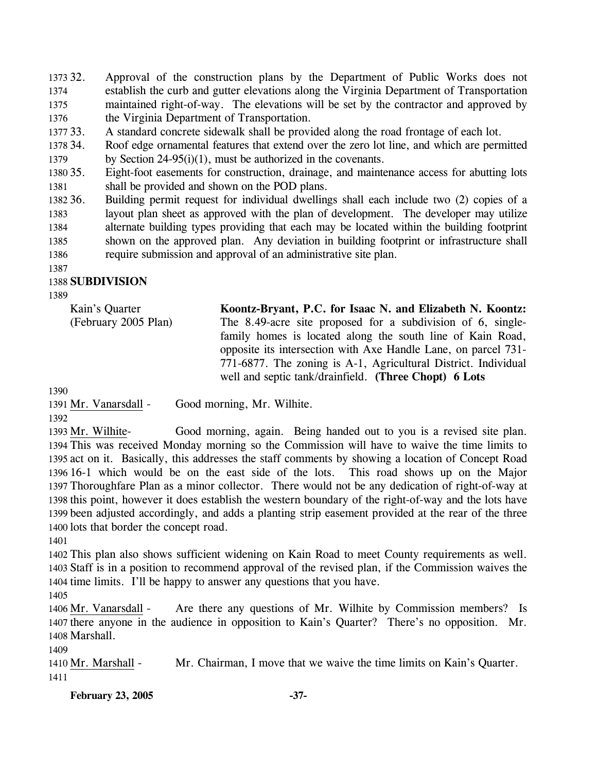1373 32. 1374 1375 1376 32. Approval of the construction plans by the Department of Public Works does not establish the curb and gutter elevations along the Virginia Department of Transportation maintained right-of-way. The elevations will be set by the contractor and approved by the Virginia Department of Transportation.

1377 33. A standard concrete sidewalk shall be provided along the road frontage of each lot.

1378 34. 1379 34. Roof edge ornamental features that extend over the zero lot line, and which are permitted by Section 24-95(i)(1), must be authorized in the covenants.

1380 35. 1381 Eight-foot easements for construction, drainage, and maintenance access for abutting lots shall be provided and shown on the POD plans.

1382 36. 1383 1384 1385 1386 36. Building permit request for individual dwellings shall each include two (2) copies of a layout plan sheet as approved with the plan of development. The developer may utilize alternate building types providing that each may be located within the building footprint shown on the approved plan. Any deviation in building footprint or infrastructure shall require submission and approval of an administrative site plan.

1387

### 1388 **SUBDIVISION**

1389

Kain's Quarter (February 2005 Plan) **Koontz-Bryant, P.C. for Isaac N. and Elizabeth N. Koontz:**  The 8.49-acre site proposed for a subdivision of 6, singlefamily homes is located along the south line of Kain Road, opposite its intersection with Axe Handle Lane, on parcel 731- 771-6877. The zoning is A-1, Agricultural District. Individual well and septic tank/drainfield. **(Three Chopt) 6 Lots** 

1390

1391 Mr. Vanarsdall - Good morning, Mr. Wilhite.

1392

Good morning, again. Being handed out to you is a revised site plan. 1394 This was received Monday morning so the Commission will have to waive the time limits to 1395 act on it. Basically, this addresses the staff comments by showing a location of Concept Road 16-1 which would be on the east side of the lots. This road shows up on the Major 1396 1397 Thoroughfare Plan as a minor collector. There would not be any dedication of right-of-way at 1398 this point, however it does establish the western boundary of the right-of-way and the lots have 1399 been adjusted accordingly, and adds a planting strip easement provided at the rear of the three 1400 lots that border the concept road. 1393 Mr. Wilhite-

1401

1402 This plan also shows sufficient widening on Kain Road to meet County requirements as well. 1403 Staff is in a position to recommend approval of the revised plan, if the Commission waives the 1404 time limits. I'll be happy to answer any questions that you have.

1405

Are there any questions of Mr. Wilhite by Commission members? Is 1407 there anyone in the audience in opposition to Kain's Quarter? There's no opposition. Mr. 1408 Marshall. 1406 Mr. Vanarsdall -

1409

1410 Mr. Marshall - Mr. Chairman, I move that we waive the time limits on Kain's Quarter. 1411

February 23, 2005 -37-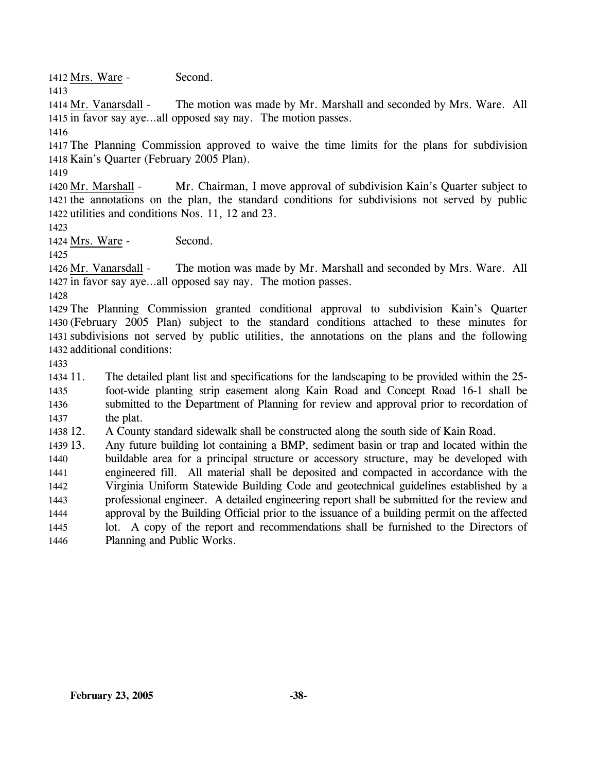1412 Mrs. Ware - Second.

1413

The motion was made by Mr. Marshall and seconded by Mrs. Ware. All 1415 in favor say aye...all opposed say nay. The motion passes. 1414 Mr. Vanarsdall -

1416

1417 The Planning Commission approved to waive the time limits for the plans for subdivision 1418 Kain's Quarter (February 2005 Plan).

1419

Mr. Chairman, I move approval of subdivision Kain's Quarter subject to 1421 the annotations on the plan, the standard conditions for subdivisions not served by public 1422 utilities and conditions Nos. 11, 12 and 23. 1420 Mr. Marshall -

1423

1424 Mrs. Ware - Second.

1425

The motion was made by Mr. Marshall and seconded by Mrs. Ware. All 1427 in favor say aye...all opposed say nay. The motion passes. 1426 Mr. Vanarsdall -

1428

 The Planning Commission granted conditional approval to subdivision Kain's Quarter (February 2005 Plan) subject to the standard conditions attached to these minutes for subdivisions not served by public utilities, the annotations on the plans and the following additional conditions:

1433

1434 11. 1435 1436 1437 The detailed plant list and specifications for the landscaping to be provided within the 25foot-wide planting strip easement along Kain Road and Concept Road 16-1 shall be submitted to the Department of Planning for review and approval prior to recordation of the plat.

1438 12. 12. A County standard sidewalk shall be constructed along the south side of Kain Road.

1439 13. 1440 1441 1442 1443 1444 1445 1446 Any future building lot containing a BMP, sediment basin or trap and located within the buildable area for a principal structure or accessory structure, may be developed with engineered fill. All material shall be deposited and compacted in accordance with the Virginia Uniform Statewide Building Code and geotechnical guidelines established by a professional engineer. A detailed engineering report shall be submitted for the review and approval by the Building Official prior to the issuance of a building permit on the affected lot. A copy of the report and recommendations shall be furnished to the Directors of Planning and Public Works.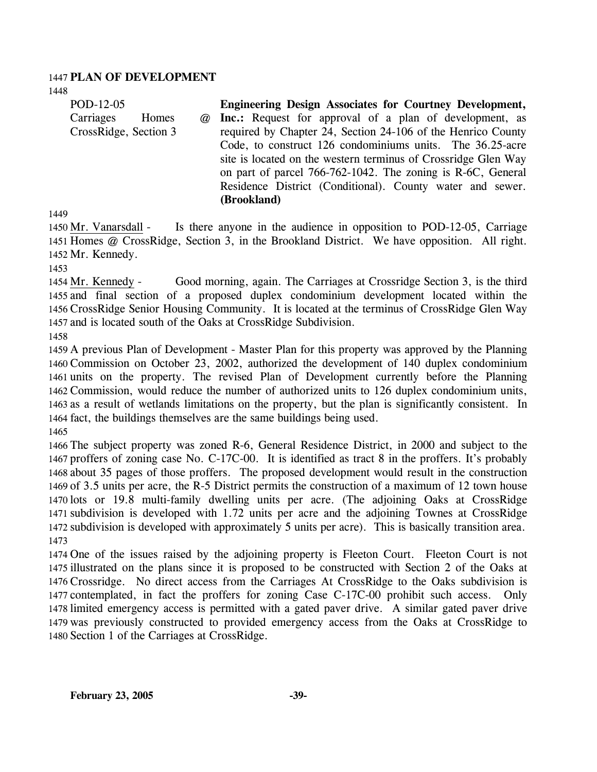#### 1447 **PLAN OF DEVELOPMENT**

1448

| POD-12-05             | <b>Engineering Design Associates for Courtney Development,</b> |
|-----------------------|----------------------------------------------------------------|
| Carriages<br>Homes    | @ Inc.: Request for approval of a plan of development, as      |
| CrossRidge, Section 3 | required by Chapter 24, Section 24-106 of the Henrico County   |
|                       | Code, to construct 126 condominiums units. The 36.25-acre      |
|                       | site is located on the western terminus of Crossridge Glen Way |
|                       | on part of parcel 766-762-1042. The zoning is R-6C, General    |
|                       | Residence District (Conditional). County water and sewer.      |
|                       | (Brookland)                                                    |

1449

Is there anyone in the audience in opposition to POD-12-05, Carriage 1451 Homes @ CrossRidge, Section 3, in the Brookland District. We have opposition. All right. 1452 Mr. Kennedy. 1450 Mr. Vanarsdall -

1453

Good morning, again. The Carriages at Crossridge Section 3, is the third 1455 and final section of a proposed duplex condominium development located within the 1456 CrossRidge Senior Housing Community. It is located at the terminus of CrossRidge Glen Way 1457 and is located south of the Oaks at CrossRidge Subdivision. 1454 Mr. Kennedy -

1458

 A previous Plan of Development - Master Plan for this property was approved by the Planning Commission on October 23, 2002, authorized the development of 140 duplex condominium units on the property. The revised Plan of Development currently before the Planning Commission, would reduce the number of authorized units to 126 duplex condominium units, as a result of wetlands limitations on the property, but the plan is significantly consistent. In fact, the buildings themselves are the same buildings being used. 1465

 The subject property was zoned R-6, General Residence District, in 2000 and subject to the proffers of zoning case No. C-17C-00. It is identified as tract 8 in the proffers. It's probably about 35 pages of those proffers. The proposed development would result in the construction of 3.5 units per acre, the R-5 District permits the construction of a maximum of 12 town house lots or 19.8 multi-family dwelling units per acre. (The adjoining Oaks at CrossRidge subdivision is developed with 1.72 units per acre and the adjoining Townes at CrossRidge subdivision is developed with approximately 5 units per acre). This is basically transition area. 1473

 One of the issues raised by the adjoining property is Fleeton Court. Fleeton Court is not illustrated on the plans since it is proposed to be constructed with Section 2 of the Oaks at Crossridge. No direct access from the Carriages At CrossRidge to the Oaks subdivision is contemplated, in fact the proffers for zoning Case C-17C-00 prohibit such access. Only limited emergency access is permitted with a gated paver drive. A similar gated paver drive was previously constructed to provided emergency access from the Oaks at CrossRidge to Section 1 of the Carriages at CrossRidge.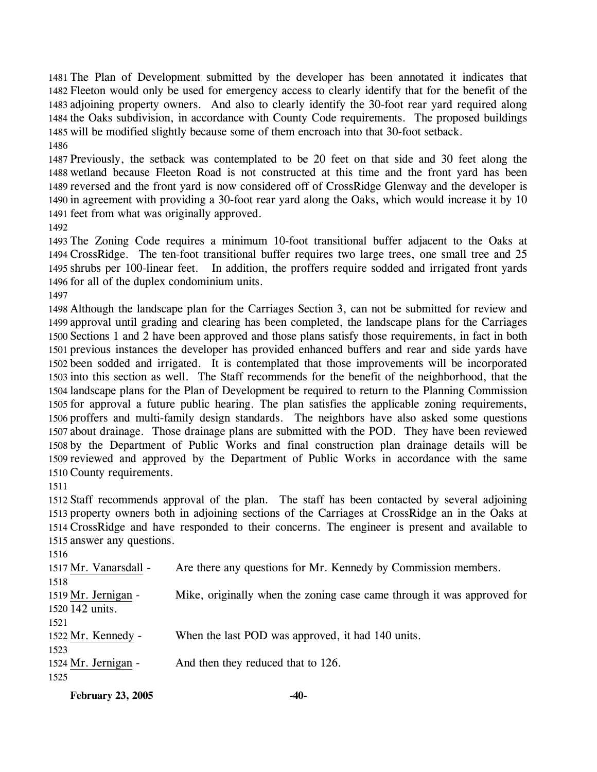The Plan of Development submitted by the developer has been annotated it indicates that Fleeton would only be used for emergency access to clearly identify that for the benefit of the adjoining property owners. And also to clearly identify the 30-foot rear yard required along the Oaks subdivision, in accordance with County Code requirements. The proposed buildings will be modified slightly because some of them encroach into that 30-foot setback. 

 Previously, the setback was contemplated to be 20 feet on that side and 30 feet along the wetland because Fleeton Road is not constructed at this time and the front yard has been reversed and the front yard is now considered off of CrossRidge Glenway and the developer is in agreement with providing a 30-foot rear yard along the Oaks, which would increase it by 10 feet from what was originally approved.

 The Zoning Code requires a minimum 10-foot transitional buffer adjacent to the Oaks at CrossRidge. The ten-foot transitional buffer requires two large trees, one small tree and 25 shrubs per 100-linear feet. In addition, the proffers require sodded and irrigated front yards for all of the duplex condominium units.

 Although the landscape plan for the Carriages Section 3, can not be submitted for review and approval until grading and clearing has been completed, the landscape plans for the Carriages Sections 1 and 2 have been approved and those plans satisfy those requirements, in fact in both previous instances the developer has provided enhanced buffers and rear and side yards have been sodded and irrigated. It is contemplated that those improvements will be incorporated into this section as well. The Staff recommends for the benefit of the neighborhood, that the landscape plans for the Plan of Development be required to return to the Planning Commission for approval a future public hearing. The plan satisfies the applicable zoning requirements, proffers and multi-family design standards. The neighbors have also asked some questions about drainage. Those drainage plans are submitted with the POD. They have been reviewed by the Department of Public Works and final construction plan drainage details will be reviewed and approved by the Department of Public Works in accordance with the same County requirements.

 Staff recommends approval of the plan. The staff has been contacted by several adjoining property owners both in adjoining sections of the Carriages at CrossRidge an in the Oaks at CrossRidge and have responded to their concerns. The engineer is present and available to answer any questions.

 1517 Mr. Vanarsdall - Are there any questions for Mr. Kennedy by Commission members. Mike, originally when the zoning case came through it was approved for 1520 142 units. 1519 Mr. Jernigan - 1522 Mr. Kennedy - When the last POD was approved, it had 140 units. 1524 Mr. Jernigan - And then they reduced that to 126. 

**February 23, 2005 -40-**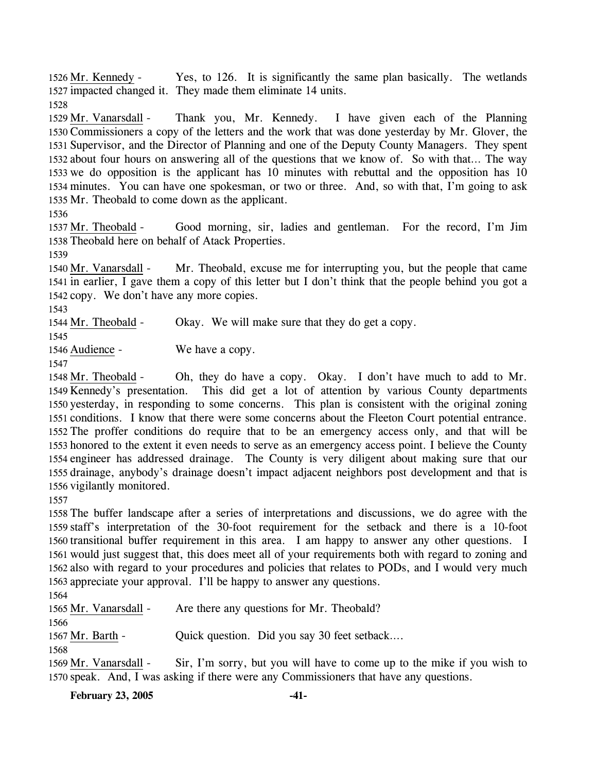Yes, to 126. It is significantly the same plan basically. The wetlands 1527 impacted changed it. They made them eliminate 14 units.  $1526$  Mr. Kennedy -

1528

Thank you, Mr. Kennedy. I have given each of the Planning 1530 Commissioners a copy of the letters and the work that was done yesterday by Mr. Glover, the 1531 Supervisor, and the Director of Planning and one of the Deputy County Managers. They spent 1532 about four hours on answering all of the questions that we know of. So with that... The way 1533 we do opposition is the applicant has  $10$  minutes with rebuttal and the opposition has  $10$ 1534 minutes. You can have one spokesman, or two or three. And, so with that, I'm going to ask 1535 Mr. Theobald to come down as the applicant. 1529 Mr. Vanarsdall -

1536

Good morning, sir, ladies and gentleman. For the record, I'm Jim 1538 Theobald here on behalf of Atack Properties. 1537 Mr. Theobald -

1539

Mr. Theobald, excuse me for interrupting you, but the people that came 1541 in earlier, I gave them a copy of this letter but I don't think that the people behind you got a 1542 copy. We don't have any more copies. 1540 Mr. Vanarsdall -

1543

1544 Mr. Theobald - Okay. We will make sure that they do get a copy.

1545

1546 Audience - We have a copy.

1547

Oh, they do have a copy. Okay. I don't have much to add to Mr. This did get a lot of attention by various County departments 1550 yesterday, in responding to some concerns. This plan is consistent with the original zoning 1551 conditions. I know that there were some concerns about the Fleeton Court potential entrance. 1552 The proffer conditions do require that to be an emergency access only, and that will be 1553 honored to the extent it even needs to serve as an emergency access point. I believe the County 1554 engineer has addressed drainage. The County is very diligent about making sure that our 1555 drainage, anybody's drainage doesn't impact adjacent neighbors post development and that is 1556 vigilantly monitored. 1548 Mr. Theobald -1549 Kennedy's presentation.

1557

 The buffer landscape after a series of interpretations and discussions, we do agree with the staff's interpretation of the 30-foot requirement for the setback and there is a 10-foot transitional buffer requirement in this area. I am happy to answer any other questions. I would just suggest that, this does meet all of your requirements both with regard to zoning and also with regard to your procedures and policies that relates to PODs, and I would very much appreciate your approval. I'll be happy to answer any questions.

1564

1566

1565 Mr. Vanarsdall - Are there any questions for Mr. Theobald?

1567 Mr. Barth - Quick question. Did you say 30 feet setback….

1568

Sir, I'm sorry, but you will have to come up to the mike if you wish to 1570 speak. And, I was asking if there were any Commissioners that have any questions. 1569 Mr. Vanarsdall -

**February 23, 2005 -41-**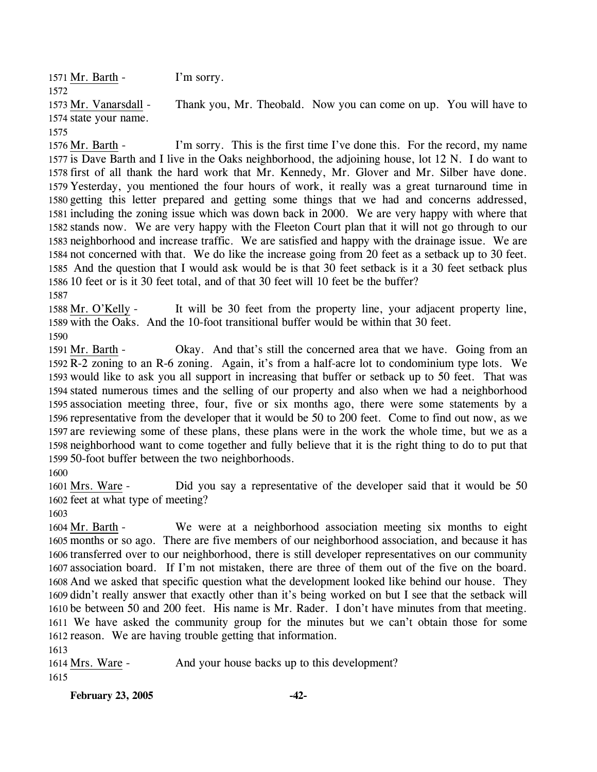1571 Mr. Barth - I'm sorry. 1572 Thank you, Mr. Theobald. Now you can come on up. You will have to 1574 state your name. 1573 Mr. Vanarsdall -1575

I'm sorry. This is the first time I've done this. For the record, my name 1577 is Dave Barth and I live in the Oaks neighborhood, the adjoining house, lot 12 N. I do want to 1578 first of all thank the hard work that Mr. Kennedy, Mr. Glover and Mr. Silber have done. 1579 Yesterday, you mentioned the four hours of work, it really was a great turnaround time in 1580 getting this letter prepared and getting some things that we had and concerns addressed, 1581 including the zoning issue which was down back in 2000. We are very happy with where that 1582 stands now. We are very happy with the Fleeton Court plan that it will not go through to our 1583 neighborhood and increase traffic. We are satisfied and happy with the drainage issue. We are 1584 not concerned with that. We do like the increase going from 20 feet as a setback up to 30 feet. 1585 And the question that I would ask would be is that 30 feet setback is it a 30 feet setback plus 1586 10 feet or is it 30 feet total, and of that 30 feet will 10 feet be the buffer? 1576 Mr. Barth -1587

It will be 30 feet from the property line, your adjacent property line, 1589 with the Oaks. And the 10-foot transitional buffer would be within that 30 feet. 1588 Mr. O'Kelly -1590

Okay. And that's still the concerned area that we have. Going from an 1592 R-2 zoning to an R-6 zoning. Again, it's from a half-acre lot to condominium type lots. We 1593 would like to ask you all support in increasing that buffer or setback up to 50 feet. That was 1594 stated numerous times and the selling of our property and also when we had a neighborhood 1595 association meeting three, four, five or six months ago, there were some statements by a 1596 representative from the developer that it would be 50 to 200 feet. Come to find out now, as we 1597 are reviewing some of these plans, these plans were in the work the whole time, but we as a 1598 neighborhood want to come together and fully believe that it is the right thing to do to put that 50-foot buffer between the two neighborhoods. 1599 1591 Mr. Barth -

1600

Did you say a representative of the developer said that it would be 50 1602 feet at what type of meeting? 1601 Mrs. Ware -

1603

We were at a neighborhood association meeting six months to eight 1605 months or so ago. There are five members of our neighborhood association, and because it has 1606 transferred over to our neighborhood, there is still developer representatives on our community 1607 association board. If I'm not mistaken, there are three of them out of the five on the board. 1608 And we asked that specific question what the development looked like behind our house. They 1609 didn't really answer that exactly other than it's being worked on but I see that the setback will 1610 be between 50 and 200 feet. His name is Mr. Rader. I don't have minutes from that meeting. We have asked the community group for the minutes but we can't obtain those for some 1611 1612 reason. We are having trouble getting that information. 1604 Mr. Barth -

1613

1614 Mrs. Ware - And your house backs up to this development? 1615

**February 23, 2005 -42-**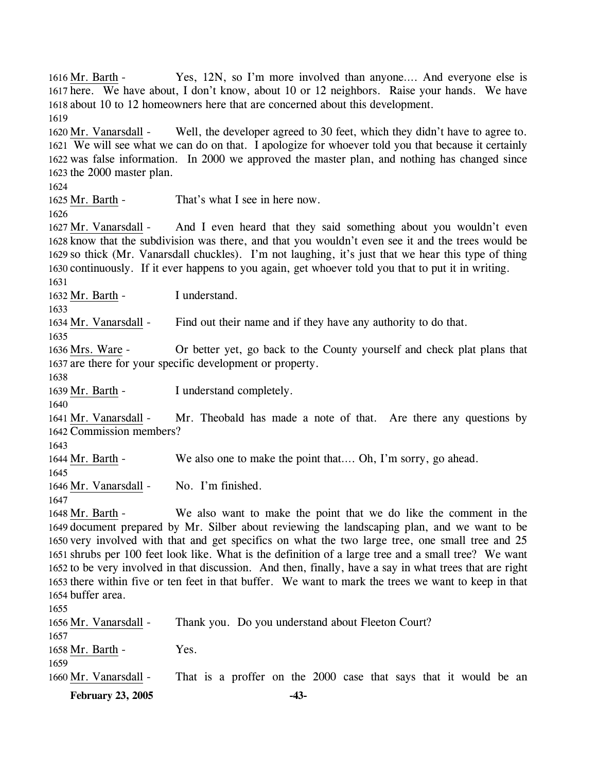**February 23, 2005 -43-** Yes, 12N, so I'm more involved than anyone.... And everyone else is 1617 here. We have about, I don't know, about 10 or 12 neighbors. Raise your hands. We have 1618 about 10 to 12 homeowners here that are concerned about this development. 1616 Mr. Barth -1619 Well, the developer agreed to 30 feet, which they didn't have to agree to. We will see what we can do on that. I apologize for whoever told you that because it certainly 1621 1622 was false information. In 2000 we approved the master plan, and nothing has changed since 1623 the 2000 master plan. 1620 Mr. Vanarsdall -1624 1625 Mr. Barth - That's what I see in here now. 1626 And I even heard that they said something about you wouldn't even 1628 know that the subdivision was there, and that you wouldn't even see it and the trees would be 1629 so thick (Mr. Vanarsdall chuckles). I'm not laughing, it's just that we hear this type of thing 1630 continuously. If it ever happens to you again, get whoever told you that to put it in writing. 1627 Mr. Vanarsdall -1631 1632 Mr. Barth - I understand. 1633 1634 Mr. Vanarsdall - Find out their name and if they have any authority to do that. 1635 Or better yet, go back to the County yourself and check plat plans that 1637 are there for your specific development or property. 1636 Mrs. Ware -1638 1639 Mr. Barth - I understand completely. 1640 Mr. Theobald has made a note of that. Are there any questions by 1642 Commission members? 1641 Mr. Vanarsdall -1643 1644 Mr. Barth - We also one to make the point that…. Oh, I'm sorry, go ahead. 1645 1646 Mr. Vanarsdall - No. I'm finished. 1647 We also want to make the point that we do like the comment in the 1649 document prepared by Mr. Silber about reviewing the landscaping plan, and we want to be 1650 very involved with that and get specifics on what the two large tree, one small tree and 25 1651 shrubs per 100 feet look like. What is the definition of a large tree and a small tree? We want 1652 to be very involved in that discussion. And then, finally, have a say in what trees that are right 1653 there within five or ten feet in that buffer. We want to mark the trees we want to keep in that 1654 buffer area. 1648 Mr. Barth -1655 1656 Mr. Vanarsdall - Thank you. Do you understand about Fleeton Court? 1657 1658 Mr. Barth - Yes. 1659 1660 Mr. Vanarsdall - That is a proffer on the 2000 case that says that it would be an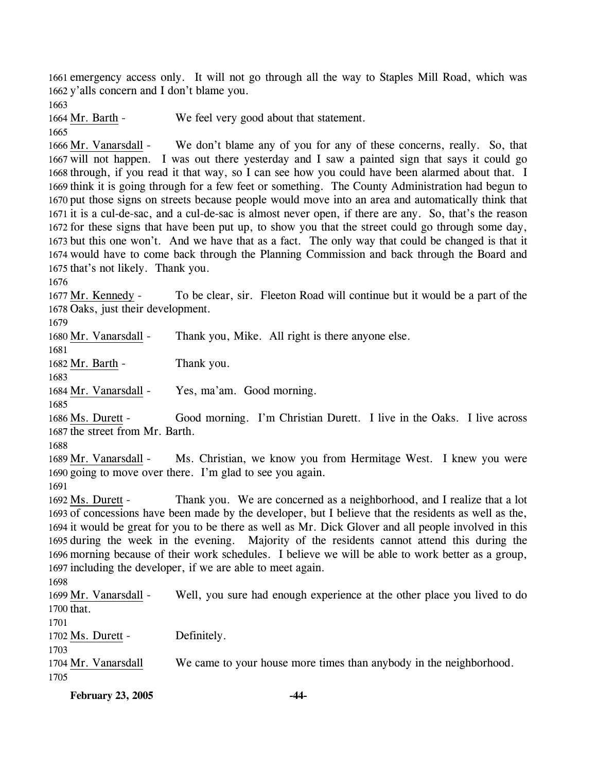1661 emergency access only. It will not go through all the way to Staples Mill Road, which was 1662 y'alls concern and I don't blame you.

1663

1664 Mr. Barth - We feel very good about that statement.

1665

We don't blame any of you for any of these concerns, really. So, that 1667 will not happen. I was out there yesterday and I saw a painted sign that says it could go 1668 through, if you read it that way, so I can see how you could have been alarmed about that. I 1669 think it is going through for a few feet or something. The County Administration had begun to 1670 put those signs on streets because people would move into an area and automatically think that 1671 it is a cul-de-sac, and a cul-de-sac is almost never open, if there are any. So, that's the reason 1672 for these signs that have been put up, to show you that the street could go through some day, 1673 but this one won't. And we have that as a fact. The only way that could be changed is that it 1674 would have to come back through the Planning Commission and back through the Board and 1666 Mr. Vanarsdall -

1675 that's not likely. Thank you. 1676

To be clear, sir. Fleeton Road will continue but it would be a part of the 1678 Oaks, just their development. 1677 Mr. Kennedy -

1679

1680 Mr. Vanarsdall - Thank you, Mike. All right is there anyone else.

1682 Mr. Barth - Thank you.

1683

1681

1684 Mr. Vanarsdall - Yes, ma'am. Good morning.

1685

Good morning. I'm Christian Durett. I live in the Oaks. I live across 1687 the street from Mr. Barth. 1686 Ms. Durett -

1688

Ms. Christian, we know you from Hermitage West. I knew you were 1690 going to move over there. I'm glad to see you again. 1689 Mr. Vanarsdall -

1691

Thank you. We are concerned as a neighborhood, and I realize that a lot 1693 of concessions have been made by the developer, but I believe that the residents as well as the, 1694 it would be great for you to be there as well as Mr. Dick Glover and all people involved in this 1695 during the week in the evening. Majority of the residents cannot attend this during the 1696 morning because of their work schedules. I believe we will be able to work better as a group, 1697 including the developer, if we are able to meet again. 1692 Ms. Durett -

1698

Well, you sure had enough experience at the other place you lived to do 1700 that. 1699 Mr. Vanarsdall -1701

1702 Ms. Durett - Definitely.

1703

1704 Mr. Vanarsdall We came to your house more times than anybody in the neighborhood.

1705

**February 23, 2005 -44-**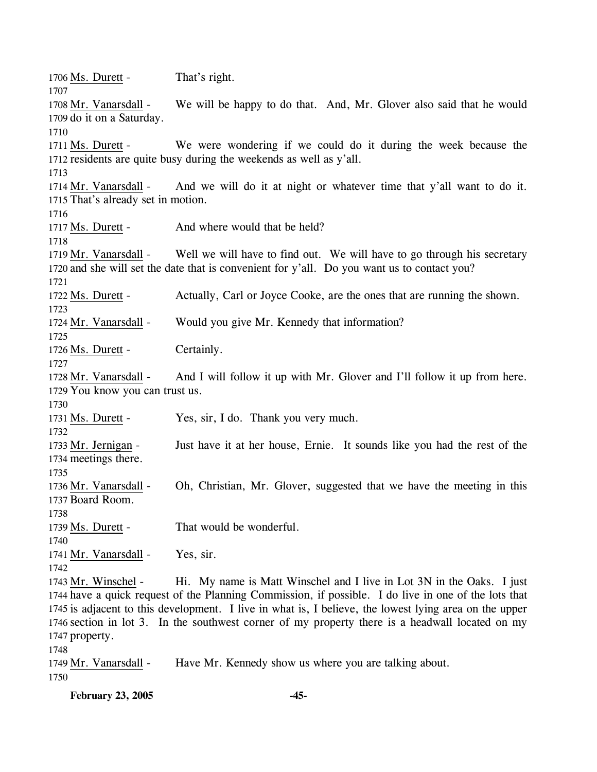1706 Ms. Durett - That's right. 1707 We will be happy to do that. And, Mr. Glover also said that he would 1709 do it on a Saturday. 1708 Mr. Vanarsdall -1710 We were wondering if we could do it during the week because the 1712 residents are quite busy during the weekends as well as y'all. 1711 Ms. Durett -1713 And we will do it at night or whatever time that y'all want to do it. 1715 That's already set in motion. 1714 Mr. Vanarsdall -1716 1717 Ms. Durett - And where would that be held? 1718 Well we will have to find out. We will have to go through his secretary 1720 and she will set the date that is convenient for y'all. Do you want us to contact you? 1719 Mr. Vanarsdall -1721 1722 Ms. Durett - Actually, Carl or Joyce Cooke, are the ones that are running the shown. 1723 1724 Mr. Vanarsdall - Would you give Mr. Kennedy that information? 1725 1726 Ms. Durett - Certainly. 1727 And I will follow it up with Mr. Glover and I'll follow it up from here. 1729 You know you can trust us. 1728 Mr. Vanarsdall -1730 1731 Ms. Durett - Yes, sir, I do. Thank you very much. 1732 Just have it at her house, Ernie. It sounds like you had the rest of the 1734 meetings there. 1733 Mr. Jernigan -1735 Oh, Christian, Mr. Glover, suggested that we have the meeting in this 1737 Board Room. 1736 Mr. Vanarsdall -1738 1739 Ms. Durett - That would be wonderful. 1740 1741 Mr. Vanarsdall - Yes, sir. 1742 Hi. My name is Matt Winschel and I live in Lot 3N in the Oaks. I just 1744 have a quick request of the Planning Commission, if possible. I do live in one of the lots that 1745 is adjacent to this development. I live in what is, I believe, the lowest lying area on the upper 1746 section in lot 3. In the southwest corner of my property there is a headwall located on my 1747 property. 1743 Mr. Winschel -1748 1749 Mr. Vanarsdall - Have Mr. Kennedy show us where you are talking about. 1750

**February 23, 2005 -45-**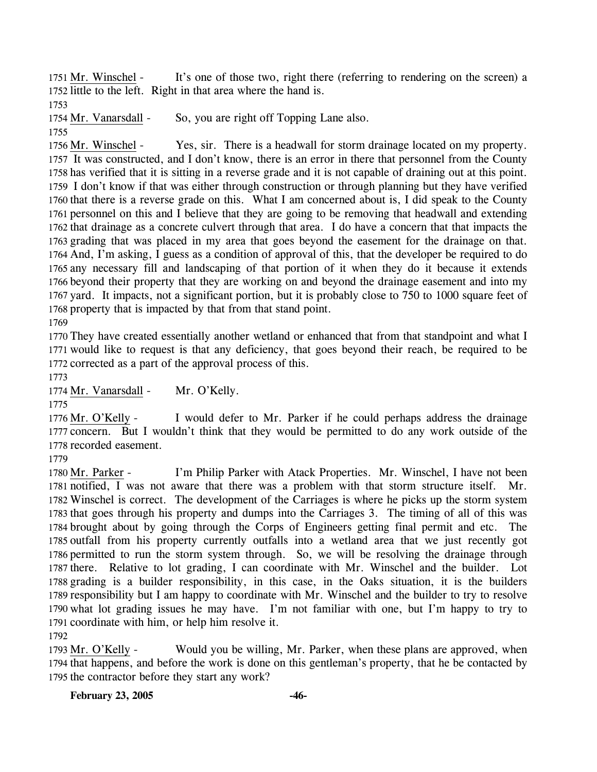It's one of those two, right there (referring to rendering on the screen) a 1752 little to the left. Right in that area where the hand is. 1751 Mr. Winschel -

1753

1754 Mr. Vanarsdall - So, you are right off Topping Lane also.

1755

Yes, sir. There is a headwall for storm drainage located on my property. 1757 It was constructed, and I don't know, there is an error in there that personnel from the County 1758 has verified that it is sitting in a reverse grade and it is not capable of draining out at this point. 1759 I don't know if that was either through construction or through planning but they have verified 1760 that there is a reverse grade on this. What I am concerned about is, I did speak to the County 1761 personnel on this and I believe that they are going to be removing that headwall and extending 1762 that drainage as a concrete culvert through that area. I do have a concern that that impacts the 1763 grading that was placed in my area that goes beyond the easement for the drainage on that. 1764 And, I'm asking, I guess as a condition of approval of this, that the developer be required to do 1765 any necessary fill and landscaping of that portion of it when they do it because it extends 1766 beyond their property that they are working on and beyond the drainage easement and into my 1767 yard. It impacts, not a significant portion, but it is probably close to 750 to 1000 square feet of 1768 property that is impacted by that from that stand point. 1756 Mr. Winschel -

1769

1770 They have created essentially another wetland or enhanced that from that standpoint and what I 1771 would like to request is that any deficiency, that goes beyond their reach, be required to be 1772 corrected as a part of the approval process of this.

1773

1774 Mr. Vanarsdall - Mr. O'Kelly.

1775

I would defer to Mr. Parker if he could perhaps address the drainage 1777 concern. But I wouldn't think that they would be permitted to do any work outside of the 1778 recorded easement. 1776 Mr. O'Kelly -

1779

I'm Philip Parker with Atack Properties. Mr. Winschel, I have not been 1781 notified, I was not aware that there was a problem with that storm structure itself. Mr. Winschel is correct. The development of the Carriages is where he picks up the storm system 1782 1783 that goes through his property and dumps into the Carriages 3. The timing of all of this was 1784 brought about by going through the Corps of Engineers getting final permit and etc. The 1785 outfall from his property currently outfalls into a wetland area that we just recently got 1786 permitted to run the storm system through. So, we will be resolving the drainage through 1787 there. Relative to lot grading, I can coordinate with Mr. Winschel and the builder. Lot 1788 grading is a builder responsibility, in this case, in the Oaks situation, it is the builders 1789 responsibility but I am happy to coordinate with Mr. Winschel and the builder to try to resolve 1790 what lot grading issues he may have. I'm not familiar with one, but I'm happy to try to 1791 coordinate with him, or help him resolve it. 1780 Mr. Parker -1792

Would you be willing, Mr. Parker, when these plans are approved, when 1794 that happens, and before the work is done on this gentleman's property, that he be contacted by 1795 the contractor before they start any work? 1793 Mr. O'Kelly -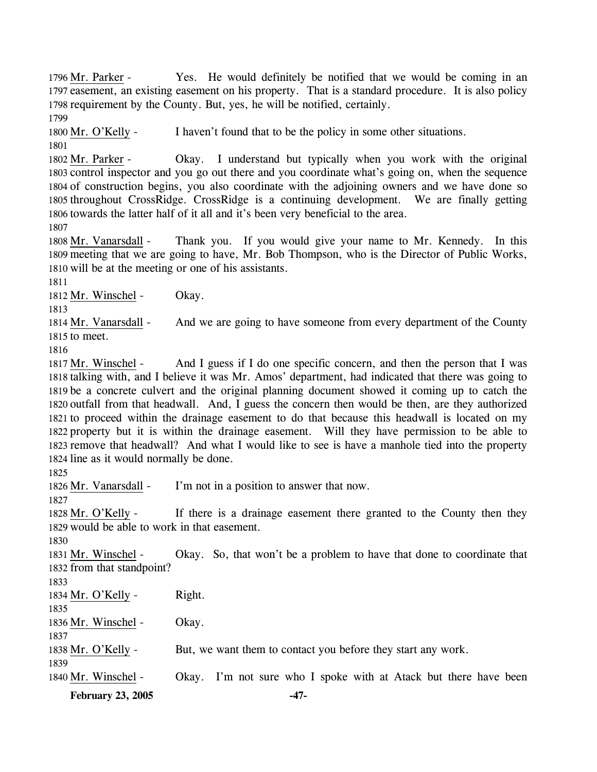Yes. He would definitely be notified that we would be coming in an 1797 easement, an existing easement on his property. That is a standard procedure. It is also policy 1798 requirement by the County. But, yes, he will be notified, certainly. 1796 Mr. Parker -1799

1800 Mr. O'Kelly - I haven't found that to be the policy in some other situations. 1801

Okay. I understand but typically when you work with the original 1803 control inspector and you go out there and you coordinate what's going on, when the sequence 1804 of construction begins, you also coordinate with the adjoining owners and we have done so 1805 throughout CrossRidge. CrossRidge is a continuing development. We are finally getting 1806 towards the latter half of it all and it's been very beneficial to the area. 1802 Mr. Parker -

1807

Thank you. If you would give your name to Mr. Kennedy. In this 1809 meeting that we are going to have, Mr. Bob Thompson, who is the Director of Public Works, 1810 will be at the meeting or one of his assistants. 1808 Mr. Vanarsdall -

1811

1812 Mr. Winschel - Okay.

1813

And we are going to have someone from every department of the County  $1815$  to meet. 1814 Mr. Vanarsdall -

1816

And I guess if I do one specific concern, and then the person that I was 1818 talking with, and I believe it was Mr. Amos' department, had indicated that there was going to 1819 be a concrete culvert and the original planning document showed it coming up to catch the 1820 outfall from that headwall. And, I guess the concern then would be then, are they authorized 1821 to proceed within the drainage easement to do that because this headwall is located on my 1822 property but it is within the drainage easement. Will they have permission to be able to 1823 remove that headwall? And what I would like to see is have a manhole tied into the property 1824 line as it would normally be done. 1817 Mr. Winschel -

1825

1826 Mr. Vanarsdall - I'm not in a position to answer that now.

1827

If there is a drainage easement there granted to the County then they 1829 would be able to work in that easement. 1828 Mr. O'Kelly -

1830

Okay. So, that won't be a problem to have that done to coordinate that 1832 from that standpoint? 1831 Mr. Winschel -

1833

1834 Mr. O'Kelly - Right. 1835 1836 Mr. Winschel - Okay. 1837 1838 Mr. O'Kelly - But, we want them to contact you before they start any work. 1839

1840 Mr. Winschel - Okay. I'm not sure who I spoke with at Atack but there have been

**February 23, 2005 -47-**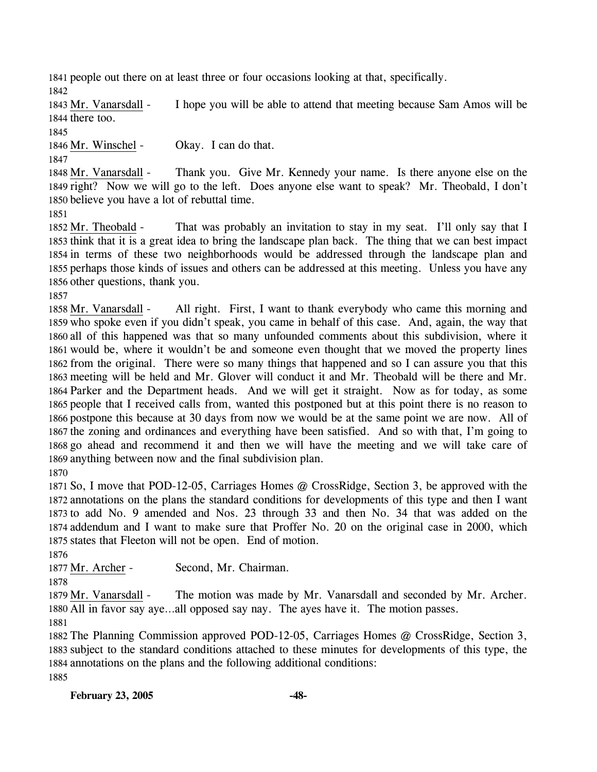1841 people out there on at least three or four occasions looking at that, specifically. 1842

I hope you will be able to attend that meeting because Sam Amos will be 1844 there too. 1843 Mr. Vanarsdall -

1845

1846 Mr. Winschel - Okay. I can do that.

1847

Thank you. Give Mr. Kennedy your name. Is there anyone else on the 1849 right? Now we will go to the left. Does anyone else want to speak? Mr. Theobald, I don't 1850 believe you have a lot of rebuttal time. 1848 Mr. Vanarsdall -

1851

That was probably an invitation to stay in my seat. I'll only say that I 1853 think that it is a great idea to bring the landscape plan back. The thing that we can best impact 1854 in terms of these two neighborhoods would be addressed through the landscape plan and 1855 perhaps those kinds of issues and others can be addressed at this meeting. Unless you have any 1856 other questions, thank you. 1852 Mr. Theobald -

1857

All right. First, I want to thank everybody who came this morning and 1859 who spoke even if you didn't speak, you came in behalf of this case. And, again, the way that 1860 all of this happened was that so many unfounded comments about this subdivision, where it 1861 would be, where it wouldn't be and someone even thought that we moved the property lines 1862 from the original. There were so many things that happened and so I can assure you that this 1863 meeting will be held and Mr. Glover will conduct it and Mr. Theobald will be there and Mr. 1864 Parker and the Department heads. And we will get it straight. Now as for today, as some 1865 people that I received calls from, wanted this postponed but at this point there is no reason to 1866 postpone this because at 30 days from now we would be at the same point we are now. All of 1867 the zoning and ordinances and everything have been satisfied. And so with that, I'm going to 1868 go ahead and recommend it and then we will have the meeting and we will take care of 1869 anything between now and the final subdivision plan. 1858 Mr. Vanarsdall -1870

 So, I move that POD-12-05, Carriages Homes @ CrossRidge, Section 3, be approved with the annotations on the plans the standard conditions for developments of this type and then I want to add No. 9 amended and Nos. 23 through 33 and then No. 34 that was added on the addendum and I want to make sure that Proffer No. 20 on the original case in 2000, which states that Fleeton will not be open. End of motion.

1876

1877 Mr. Archer - Second, Mr. Chairman.

1878

The motion was made by Mr. Vanarsdall and seconded by Mr. Archer. 1880 All in favor say aye...all opposed say nay. The ayes have it. The motion passes. 1879 Mr. Vanarsdall -

1881

 The Planning Commission approved POD-12-05, Carriages Homes @ CrossRidge, Section 3, subject to the standard conditions attached to these minutes for developments of this type, the annotations on the plans and the following additional conditions: 1885

**February 23, 2005 -48-**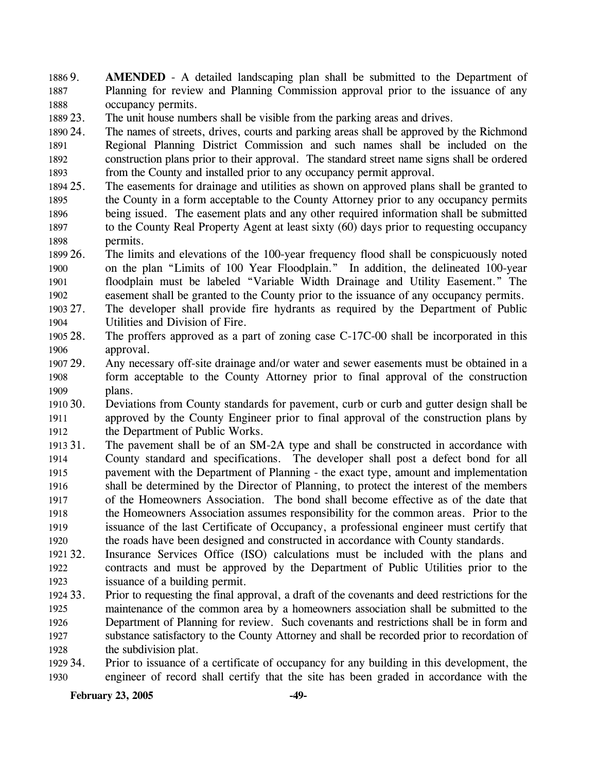1886 9. 1887 1888 AMENDED - A detailed landscaping plan shall be submitted to the Department of Planning for review and Planning Commission approval prior to the issuance of any occupancy permits.

1889 23. The unit house numbers shall be visible from the parking areas and drives.

1890 24 1891 1892 1893 24. The names of streets, drives, courts and parking areas shall be approved by the Richmond Regional Planning District Commission and such names shall be included on the construction plans prior to their approval. The standard street name signs shall be ordered from the County and installed prior to any occupancy permit approval.

- 1894 25. 1895 1896 1897 1898 The easements for drainage and utilities as shown on approved plans shall be granted to the County in a form acceptable to the County Attorney prior to any occupancy permits being issued. The easement plats and any other required information shall be submitted to the County Real Property Agent at least sixty (60) days prior to requesting occupancy permits.
- 1899 26. 1900 1901 1902 26. The limits and elevations of the 100-year frequency flood shall be conspicuously noted on the plan "Limits of 100 Year Floodplain." In addition, the delineated 100-year floodplain must be labeled "Variable Width Drainage and Utility Easement." The easement shall be granted to the County prior to the issuance of any occupancy permits.
- 1903 27. 1904 The developer shall provide fire hydrants as required by the Department of Public Utilities and Division of Fire.
- 1905 28. 1906 The proffers approved as a part of zoning case C-17C-00 shall be incorporated in this approval.
- 1907 29. 1908 1909 Any necessary off-site drainage and/or water and sewer easements must be obtained in a form acceptable to the County Attorney prior to final approval of the construction plans.
- $191030.$ 1911 1912 30. Deviations from County standards for pavement, curb or curb and gutter design shall be approved by the County Engineer prior to final approval of the construction plans by the Department of Public Works.
- 1913 31. 1914 1915 1916 1917 1918 1919 1920 The pavement shall be of an SM-2A type and shall be constructed in accordance with County standard and specifications. The developer shall post a defect bond for all pavement with the Department of Planning - the exact type, amount and implementation shall be determined by the Director of Planning, to protect the interest of the members of the Homeowners Association. The bond shall become effective as of the date that the Homeowners Association assumes responsibility for the common areas. Prior to the issuance of the last Certificate of Occupancy, a professional engineer must certify that the roads have been designed and constructed in accordance with County standards.
- 1921 32. 1922 1923 Insurance Services Office (ISO) calculations must be included with the plans and contracts and must be approved by the Department of Public Utilities prior to the issuance of a building permit.
- 1924 33. 1925 1926 1927 1928 33. Prior to requesting the final approval, a draft of the covenants and deed restrictions for the maintenance of the common area by a homeowners association shall be submitted to the Department of Planning for review. Such covenants and restrictions shall be in form and substance satisfactory to the County Attorney and shall be recorded prior to recordation of the subdivision plat.
- 1929 34. 1930 34. Prior to issuance of a certificate of occupancy for any building in this development, the engineer of record shall certify that the site has been graded in accordance with the

**February 23, 2005** -49-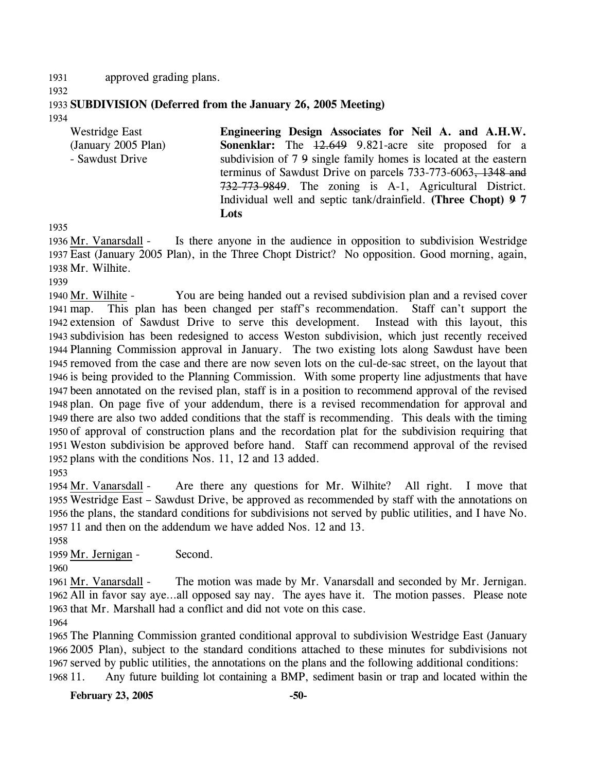1931 approved grading plans.

- 1932
- 1933 **SUBDIVISION (Deferred from the January 26, 2005 Meeting)**
- 1934

| <b>Westridge East</b> | Engineering Design Associates for Neil A. and A.H.W.             |
|-----------------------|------------------------------------------------------------------|
| (January 2005 Plan)   | <b>Sonenklar:</b> The 12.649 9.821-acre site proposed for a      |
| - Sawdust Drive       | subdivision of 7.9 single family homes is located at the eastern |
|                       | terminus of Sawdust Drive on parcels 733-773-6063, 1348 and      |
|                       | 732-773-9849. The zoning is A-1, Agricultural District.          |
|                       | Individual well and septic tank/drainfield. (Three Chopt) 9 7    |
|                       | Lots                                                             |

1935

Is there anyone in the audience in opposition to subdivision Westridge East (January 2005 Plan), in the Three Chopt District? No opposition. Good morning, again, 1937 1938 Mr. Wilhite. 1936 Mr. Vanarsdall -

1939

You are being handed out a revised subdivision plan and a revised cover This plan has been changed per staff's recommendation. Staff can't support the 1942 extension of Sawdust Drive to serve this development. Instead with this layout, this 1943 subdivision has been redesigned to access Weston subdivision, which just recently received 1944 Planning Commission approval in January. The two existing lots along Sawdust have been 1945 removed from the case and there are now seven lots on the cul-de-sac street, on the layout that 1946 is being provided to the Planning Commission. With some property line adjustments that have 1947 been annotated on the revised plan, staff is in a position to recommend approval of the revised 1948 plan. On page five of your addendum, there is a revised recommendation for approval and 1949 there are also two added conditions that the staff is recommending. This deals with the timing 1950 of approval of construction plans and the recordation plat for the subdivision requiring that Weston subdivision be approved before hand. Staff can recommend approval of the revised 1951 1952 plans with the conditions Nos. 11, 12 and 13 added. 1940 Mr. Wilhite -1941 map. 1953

Are there any questions for Mr. Wilhite? All right. I move that 1955 Westridge East - Sawdust Drive, be approved as recommended by staff with the annotations on 1956 the plans, the standard conditions for subdivisions not served by public utilities, and I have No. 1957 11 and then on the addendum we have added Nos. 12 and 13. 1954 Mr. Vanarsdall -

1958

1959 Mr. Jernigan - Second.

1960

The motion was made by Mr. Vanarsdall and seconded by Mr. Jernigan. 1962 All in favor say aye...all opposed say nay. The ayes have it. The motion passes. Please note 1963 that Mr. Marshall had a conflict and did not vote on this case. 1961 Mr. Vanarsdall -

1964

1965 The Planning Commission granted conditional approval to subdivision Westridge East (January 1966 2005 Plan), subject to the standard conditions attached to these minutes for subdivisions not 1967 served by public utilities, the annotations on the plans and the following additional conditions: 1968 11. Any future building lot containing a BMP, sediment basin or trap and located within the

**February 23, 2005 -50-**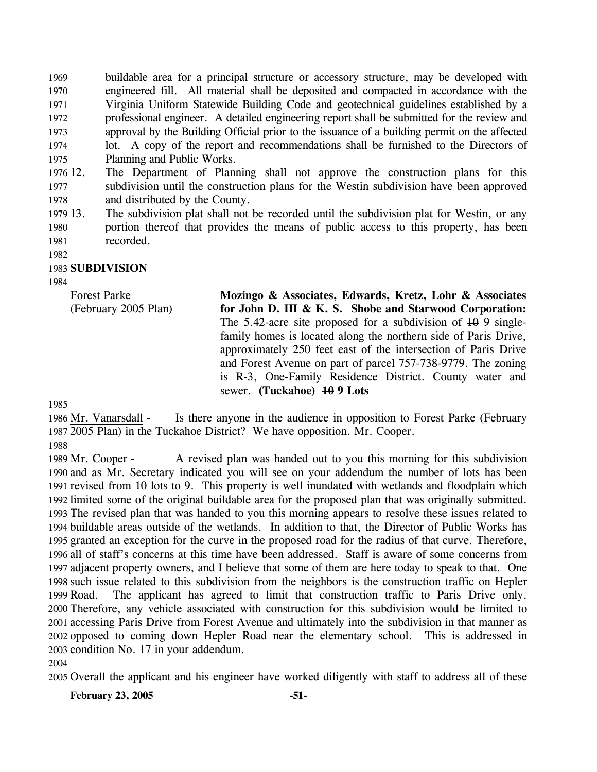1969 1970 1971 1972 1973 1974 1975 buildable area for a principal structure or accessory structure, may be developed with engineered fill. All material shall be deposited and compacted in accordance with the Virginia Uniform Statewide Building Code and geotechnical guidelines established by a professional engineer. A detailed engineering report shall be submitted for the review and approval by the Building Official prior to the issuance of a building permit on the affected lot. A copy of the report and recommendations shall be furnished to the Directors of Planning and Public Works.

- 1976 12. 1977 1978 The Department of Planning shall not approve the construction plans for this subdivision until the construction plans for the Westin subdivision have been approved and distributed by the County.
- 1979 13. 1980 1981 The subdivision plat shall not be recorded until the subdivision plat for Westin, or any portion thereof that provides the means of public access to this property, has been recorded.
- 1982

## 1983 **SUBDIVISION**

1984

Forest Parke (February 2005 Plan) **Mozingo & Associates, Edwards, Kretz, Lohr & Associates for John D. III & K. S. Shobe and Starwood Corporation:**  The 5.42-acre site proposed for a subdivision of  $10\overline{9}$  singlefamily homes is located along the northern side of Paris Drive, approximately 250 feet east of the intersection of Paris Drive and Forest Avenue on part of parcel 757-738-9779. The zoning is R-3, One-Family Residence District. County water and sewer. **(Tuckahoe) 10 9 Lots** 

1985

Is there anyone in the audience in opposition to Forest Parke (February 2005 Plan) in the Tuckahoe District? We have opposition. Mr. Cooper. 1987 1986 Mr. Vanarsdall -1988

A revised plan was handed out to you this morning for this subdivision 1990 and as Mr. Secretary indicated you will see on your addendum the number of lots has been 1991 revised from 10 lots to 9. This property is well inundated with wetlands and floodplain which 1992 limited some of the original buildable area for the proposed plan that was originally submitted. 1993 The revised plan that was handed to you this morning appears to resolve these issues related to 1994 buildable areas outside of the wetlands. In addition to that, the Director of Public Works has 1995 granted an exception for the curve in the proposed road for the radius of that curve. Therefore, 1996 all of staff's concerns at this time have been addressed. Staff is aware of some concerns from 1997 adjacent property owners, and I believe that some of them are here today to speak to that. One 1998 such issue related to this subdivision from the neighbors is the construction traffic on Hepler The applicant has agreed to limit that construction traffic to Paris Drive only. 2000 Therefore, any vehicle associated with construction for this subdivision would be limited to 2001 accessing Paris Drive from Forest Avenue and ultimately into the subdivision in that manner as 2002 opposed to coming down Hepler Road near the elementary school. This is addressed in 2003 condition No. 17 in your addendum. 1989 Mr. Cooper -1999 Road.

2004

2005 Overall the applicant and his engineer have worked diligently with staff to address all of these

**February 23, 2005 -51-**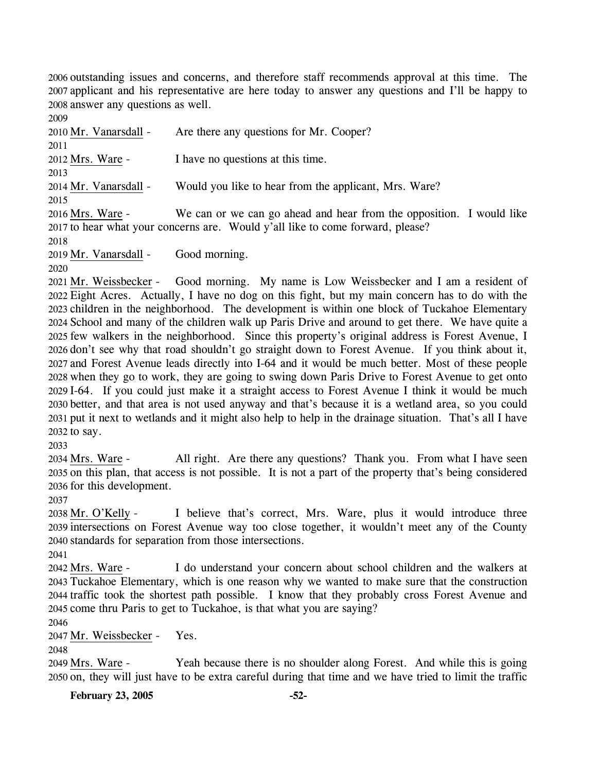2006 outstanding issues and concerns, and therefore staff recommends approval at this time. The 2007 applicant and his representative are here today to answer any questions and I'll be happy to 2008 answer any questions as well.

2009 2010 Mr. Vanarsdall - Are there any questions for Mr. Cooper? 2011 2012 Mrs. Ware - I have no questions at this time. 2013 2014 Mr. Vanarsdall - Would you like to hear from the applicant, Mrs. Ware? 2015 We can or we can go ahead and hear from the opposition. I would like 2017 to hear what your concerns are. Would y'all like to come forward, please? 2016 Mrs. Ware -2018 2019 Mr. Vanarsdall - Good morning. 2020

Good morning. My name is Low Weissbecker and I am a resident of Eight Acres. Actually, I have no dog on this fight, but my main concern has to do with the 2022 2023 children in the neighborhood. The development is within one block of Tuckahoe Elementary 2024 School and many of the children walk up Paris Drive and around to get there. We have quite a 2025 few walkers in the neighborhood. Since this property's original address is Forest Avenue, I 2026 don't see why that road shouldn't go straight down to Forest Avenue. If you think about it, 2027 and Forest Avenue leads directly into I-64 and it would be much better. Most of these people 2028 when they go to work, they are going to swing down Paris Drive to Forest Avenue to get onto 2029 I-64. If you could just make it a straight access to Forest Avenue I think it would be much better, and that area is not used anyway and that's because it is a wetland area, so you could 2030 2031 put it next to wetlands and it might also help to help in the drainage situation. That's all I have  $2032$  to say. 2021 Mr. Weissbecker -

2033

All right. Are there any questions? Thank you. From what I have seen 2035 on this plan, that access is not possible. It is not a part of the property that's being considered 2036 for this development. 2034 Mrs. Ware -

2037

I believe that's correct, Mrs. Ware, plus it would introduce three 2039 intersections on Forest Avenue way too close together, it wouldn't meet any of the County 2040 standards for separation from those intersections. 2038 Mr. O'Kelly -

2041

I do understand your concern about school children and the walkers at Tuckahoe Elementary, which is one reason why we wanted to make sure that the construction 2043 2044 traffic took the shortest path possible. I know that they probably cross Forest Avenue and 2045 come thru Paris to get to Tuckahoe, is that what you are saying? 2042 Mrs. Ware -

2046

2047 Mr. Weissbecker - Yes.

2048

Yeah because there is no shoulder along Forest. And while this is going 2050 on, they will just have to be extra careful during that time and we have tried to limit the traffic 2049 Mrs. Ware -

**February 23, 2005 -52-**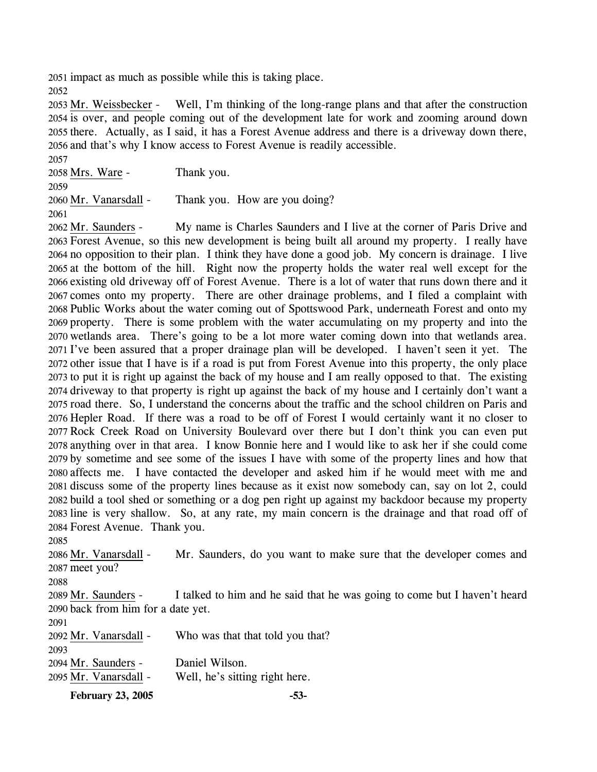2051 impact as much as possible while this is taking place.

2052

Well, I'm thinking of the long-range plans and that after the construction 2054 is over, and people coming out of the development late for work and zooming around down 2055 there. Actually, as I said, it has a Forest Avenue address and there is a driveway down there, 2056 and that's why I know access to Forest Avenue is readily accessible. 2053 Mr. Weissbecker -

2058 Mrs. Ware - Thank you.

2059

2060 Mr. Vanarsdall - Thank you. How are you doing?

2061

My name is Charles Saunders and I live at the corner of Paris Drive and 2063 Forest Avenue, so this new development is being built all around my property. I really have 2064 no opposition to their plan. I think they have done a good job. My concern is drainage. I live 2065 at the bottom of the hill. Right now the property holds the water real well except for the 2066 existing old driveway off of Forest Avenue. There is a lot of water that runs down there and it 2067 comes onto my property. There are other drainage problems, and I filed a complaint with 2068 Public Works about the water coming out of Spottswood Park, underneath Forest and onto my 2069 property. There is some problem with the water accumulating on my property and into the 2070 wetlands area. There's going to be a lot more water coming down into that wetlands area. 2071 I've been assured that a proper drainage plan will be developed. I haven't seen it yet. The 2072 other issue that I have is if a road is put from Forest Avenue into this property, the only place 2073 to put it is right up against the back of my house and I am really opposed to that. The existing 2074 driveway to that property is right up against the back of my house and I certainly don't want a 2075 road there. So, I understand the concerns about the traffic and the school children on Paris and 2076 Hepler Road. If there was a road to be off of Forest I would certainly want it no closer to 2077 Rock Creek Road on University Boulevard over there but I don't think you can even put 2078 anything over in that area. I know Bonnie here and I would like to ask her if she could come 2079 by sometime and see some of the issues I have with some of the property lines and how that 2080 affects me. I have contacted the developer and asked him if he would meet with me and 2081 discuss some of the property lines because as it exist now somebody can, say on lot 2, could 2082 build a tool shed or something or a dog pen right up against my backdoor because my property 2083 line is very shallow. So, at any rate, my main concern is the drainage and that road off of 2084 Forest Avenue. Thank you. 2062 Mr. Saunders -

2085

Mr. Saunders, do you want to make sure that the developer comes and 2087 meet you? 2086 Mr. Vanarsdall -

2088

I talked to him and he said that he was going to come but I haven't heard 2090 back from him for a date yet. 2089 Mr. Saunders -

2091 2092 Mr. Vanarsdall - Who was that that told you that? 2093 2094 Mr. Saunders - Daniel Wilson. 2095 Mr. Vanarsdall - Well, he's sitting right here.

**February 23, 2005 -53-**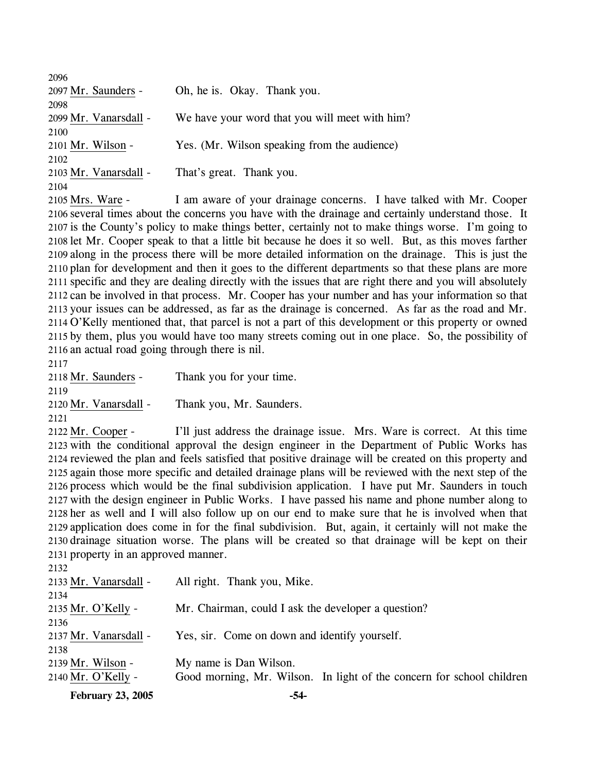| 2096                  |                                                |
|-----------------------|------------------------------------------------|
| 2097 Mr. Saunders -   | Oh, he is. Okay. Thank you.                    |
| 2098                  |                                                |
| 2099 Mr. Vanarsdall - | We have your word that you will meet with him? |
| 2100                  |                                                |
| 2101 Mr. Wilson -     | Yes. (Mr. Wilson speaking from the audience)   |
| 2102                  |                                                |
| 2103 Mr. Vanarsdall - | That's great. Thank you.                       |
| 2104                  |                                                |
|                       |                                                |

I am aware of your drainage concerns. I have talked with Mr. Cooper 2106 several times about the concerns you have with the drainage and certainly understand those. It 2107 is the County's policy to make things better, certainly not to make things worse. I'm going to 2108 let Mr. Cooper speak to that a little bit because he does it so well. But, as this moves farther 2109 along in the process there will be more detailed information on the drainage. This is just the 2110 plan for development and then it goes to the different departments so that these plans are more 2111 specific and they are dealing directly with the issues that are right there and you will absolutely 2112 can be involved in that process. Mr. Cooper has your number and has your information so that 2113 your issues can be addressed, as far as the drainage is concerned. As far as the road and Mr. 2114 O'Kelly mentioned that, that parcel is not a part of this development or this property or owned 2115 by them, plus you would have too many streets coming out in one place. So, the possibility of 2116 an actual road going through there is nil. 2105 Mrs. Ware -

2117

2118 Mr. Saunders - Thank you for your time. 2119 2120 Mr. Vanarsdall - Thank you, Mr. Saunders. 2121

I'll just address the drainage issue. Mrs. Ware is correct. At this time 2123 with the conditional approval the design engineer in the Department of Public Works has 2124 reviewed the plan and feels satisfied that positive drainage will be created on this property and 2125 again those more specific and detailed drainage plans will be reviewed with the next step of the 2126 process which would be the final subdivision application. I have put Mr. Saunders in touch 2127 with the design engineer in Public Works. I have passed his name and phone number along to 2128 her as well and I will also follow up on our end to make sure that he is involved when that 2129 application does come in for the final subdivision. But, again, it certainly will not make the 2130 drainage situation worse. The plans will be created so that drainage will be kept on their 2131 property in an approved manner. 2122 Mr. Cooper -

| <b>February 23, 2005</b> | -54-                                                                  |
|--------------------------|-----------------------------------------------------------------------|
| 2140 Mr. O'Kelly -       | Good morning, Mr. Wilson. In light of the concern for school children |
| 2139 Mr. Wilson -        | My name is Dan Wilson.                                                |
| 2138                     |                                                                       |
| 2137 Mr. Vanarsdall -    | Yes, sir. Come on down and identify yourself.                         |
| 2136                     |                                                                       |
| 2135 Mr. O'Kelly -       | Mr. Chairman, could I ask the developer a question?                   |
| 2134                     |                                                                       |
| 2133 Mr. Vanarsdall -    | All right. Thank you, Mike.                                           |
| 2132                     |                                                                       |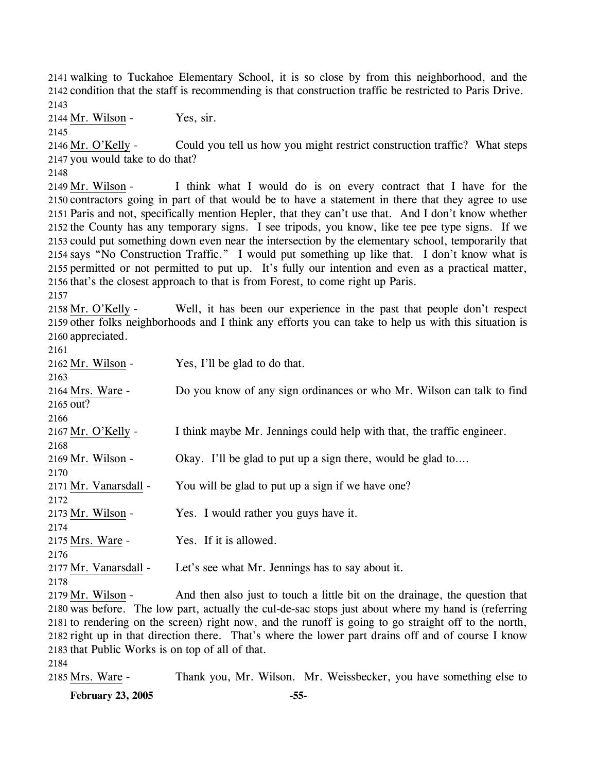2141 walking to Tuckahoe Elementary School, it is so close by from this neighborhood, and the 2142 condition that the staff is recommending is that construction traffic be restricted to Paris Drive. 2143

 $2144$  Mr. Wilson - Yes, sir.

2145

Could you tell us how you might restrict construction traffic? What steps 2147 you would take to do that? 2146 Mr. O'Kelly -

2148

I think what I would do is on every contract that I have for the 2150 contractors going in part of that would be to have a statement in there that they agree to use 2151 Paris and not, specifically mention Hepler, that they can't use that. And I don't know whether 2152 the County has any temporary signs. I see tripods, you know, like tee pee type signs. If we 2153 could put something down even near the intersection by the elementary school, temporarily that 2154 says "No Construction Traffic." I would put something up like that. I don't know what is 2155 permitted or not permitted to put up. It's fully our intention and even as a practical matter, 2156 that's the closest approach to that is from Forest, to come right up Paris. 2149 Mr. Wilson -

2157

Well, it has been our experience in the past that people don't respect 2159 other folks neighborhoods and I think any efforts you can take to help us with this situation is 2160 appreciated. 2158 Mr. O'Kelly -

| 2161                                             |                                                                                                      |
|--------------------------------------------------|------------------------------------------------------------------------------------------------------|
| 2162 Mr. Wilson -                                | Yes, I'll be glad to do that.                                                                        |
| 2163                                             |                                                                                                      |
| 2164 Mrs. Ware -                                 | Do you know of any sign ordinances or who Mr. Wilson can talk to find                                |
| 2165 out?                                        |                                                                                                      |
| 2166                                             |                                                                                                      |
| 2167 Mr. O'Kelly -                               | I think maybe Mr. Jennings could help with that, the traffic engineer.                               |
| 2168                                             |                                                                                                      |
| 2169 Mr. Wilson -                                | Okay. I'll be glad to put up a sign there, would be glad to                                          |
| 2170                                             |                                                                                                      |
| 2171 Mr. Vanarsdall -                            | You will be glad to put up a sign if we have one?                                                    |
| 2172                                             |                                                                                                      |
| 2173 Mr. Wilson -                                | Yes. I would rather you guys have it.                                                                |
| 2174                                             |                                                                                                      |
| 2175 Mrs. Ware -                                 | Yes. If it is allowed.                                                                               |
| 2176                                             |                                                                                                      |
| 2177 Mr. Vanarsdall -                            | Let's see what Mr. Jennings has to say about it.                                                     |
| 2178                                             |                                                                                                      |
| 2179 Mr. Wilson -                                | And then also just to touch a little bit on the drainage, the question that                          |
|                                                  | 2180 was before. The low part, actually the cul-de-sac stops just about where my hand is (referring  |
|                                                  | 2181 to rendering on the screen) right now, and the runoff is going to go straight off to the north, |
|                                                  | 2182 right up in that direction there. That's where the lower part drains off and of course I know   |
| 2183 that Public Works is on top of all of that. |                                                                                                      |
| 2184                                             |                                                                                                      |

2185 Mrs. Ware - Thank you, Mr. Wilson. Mr. Weissbecker, you have something else to

**February 23, 2005 -55-**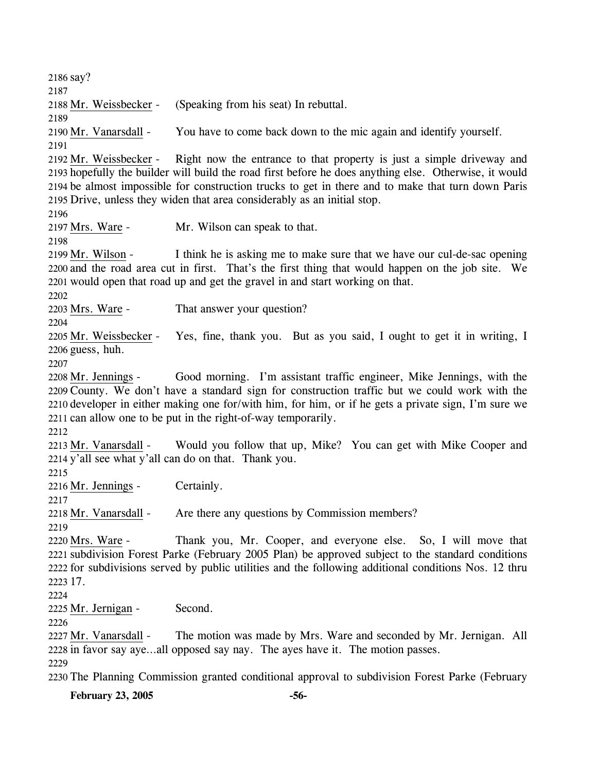2186 say? 2187 2188 Mr. Weissbecker - (Speaking from his seat) In rebuttal. 2189 2190 Mr. Vanarsdall - You have to come back down to the mic again and identify yourself. 2191 Right now the entrance to that property is just a simple driveway and 2193 hopefully the builder will build the road first before he does anything else. Otherwise, it would 2194 be almost impossible for construction trucks to get in there and to make that turn down Paris 2195 Drive, unless they widen that area considerably as an initial stop. 2192 Mr. Weissbecker -2196 2197 Mrs. Ware - Mr. Wilson can speak to that. 2198 I think he is asking me to make sure that we have our cul-de-sac opening 2200 and the road area cut in first. That's the first thing that would happen on the job site. We 2201 would open that road up and get the gravel in and start working on that. 2199 Mr. Wilson -2202 2203 Mrs. Ware - That answer your question? 2204 Yes, fine, thank you. But as you said, I ought to get it in writing, I 2206 guess, huh. 2205 Mr. Weissbecker -2207 Good morning. I'm assistant traffic engineer, Mike Jennings, with the 2209 County. We don't have a standard sign for construction traffic but we could work with the 2210 developer in either making one for/with him, for him, or if he gets a private sign, I'm sure we 2211 can allow one to be put in the right-of-way temporarily. 2208 Mr. Jennings -2212 Would you follow that up, Mike? You can get with Mike Cooper and 2214 y'all see what y'all can do on that. Thank you. 2213 Mr. Vanarsdall -2215 2216 Mr. Jennings - Certainly. 2217 2218 Mr. Vanarsdall - Are there any questions by Commission members? 2219 Thank you, Mr. Cooper, and everyone else. So, I will move that 2221 subdivision Forest Parke (February 2005 Plan) be approved subject to the standard conditions 2222 for subdivisions served by public utilities and the following additional conditions Nos. 12 thru 17. 2223 2220 Mrs. Ware -2224 2225 Mr. Jernigan - Second. 2226 The motion was made by Mrs. Ware and seconded by Mr. Jernigan. All 2228 in favor say aye...all opposed say nay. The ayes have it. The motion passes. 2227 Mr. Vanarsdall -2229 2230 The Planning Commission granted conditional approval to subdivision Forest Parke (February

**February 23, 2005 -56-**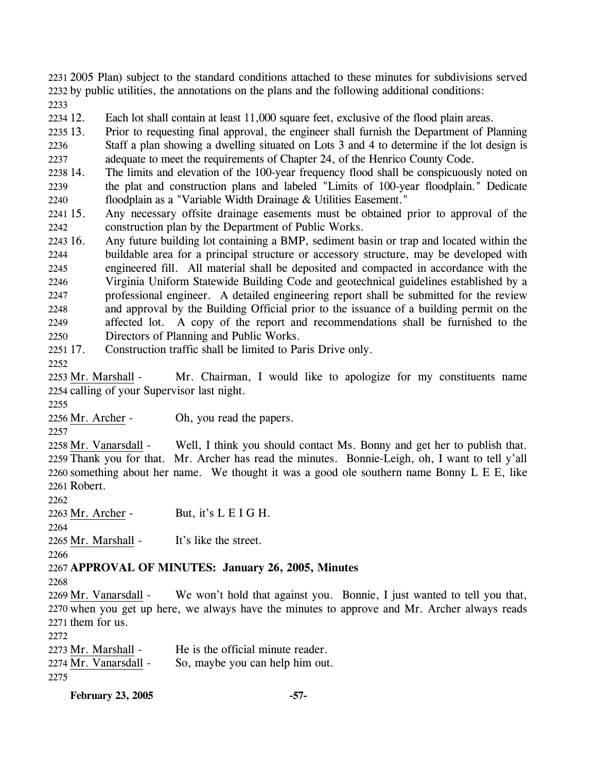2231 2005 Plan) subject to the standard conditions attached to these minutes for subdivisions served 2232 by public utilities, the annotations on the plans and the following additional conditions: 2233

2234 12. Each lot shall contain at least 11,000 square feet, exclusive of the flood plain areas.

2235 13. 2236 2237 13. Prior to requesting final approval, the engineer shall furnish the Department of Planning Staff a plan showing a dwelling situated on Lots 3 and 4 to determine if the lot design is adequate to meet the requirements of Chapter 24, of the Henrico County Code.

2238 14. 2239 2240 The limits and elevation of the 100-year frequency flood shall be conspicuously noted on the plat and construction plans and labeled "Limits of 100-year floodplain." Dedicate floodplain as a "Variable Width Drainage & Utilities Easement."

2241 15. 2242 Any necessary offsite drainage easements must be obtained prior to approval of the construction plan by the Department of Public Works.

2243 16. 2244 2245 2246 2247 2248 2249 2250 16. Any future building lot containing a BMP, sediment basin or trap and located within the buildable area for a principal structure or accessory structure, may be developed with engineered fill. All material shall be deposited and compacted in accordance with the Virginia Uniform Statewide Building Code and geotechnical guidelines established by a professional engineer. A detailed engineering report shall be submitted for the review and approval by the Building Official prior to the issuance of a building permit on the affected lot. A copy of the report and recommendations shall be furnished to the Directors of Planning and Public Works.

2251 17. Construction traffic shall be limited to Paris Drive only.

2252

Mr. Chairman, I would like to apologize for my constituents name 2254 calling of your Supervisor last night. 2253 Mr. Marshall -

2255

2256 Mr. Archer - Oh, you read the papers.

2257

Well, I think you should contact Ms. Bonny and get her to publish that. 2259 Thank you for that. Mr. Archer has read the minutes. Bonnie-Leigh, oh, I want to tell y'all 2260 something about her name. We thought it was a good ole southern name Bonny L E E, like Robert. 2261 2258 Mr. Vanarsdall -

2262

2263 Mr. Archer - But, it's L E I G H. 2264

2265 Mr. Marshall - It's like the street.

2266

2267 **APPROVAL OF MINUTES: January 26, 2005, Minutes** 

2268

We won't hold that against you. Bonnie, I just wanted to tell you that, 2270 when you get up here, we always have the minutes to approve and Mr. Archer always reads  $2271$  them for us. 2269 Mr. Vanarsdall -

2272

2273 Mr. Marshall - He is the official minute reader. 2274 Mr. Vanarsdall - So, maybe you can help him out. 2275

**February 23, 2005 -57-**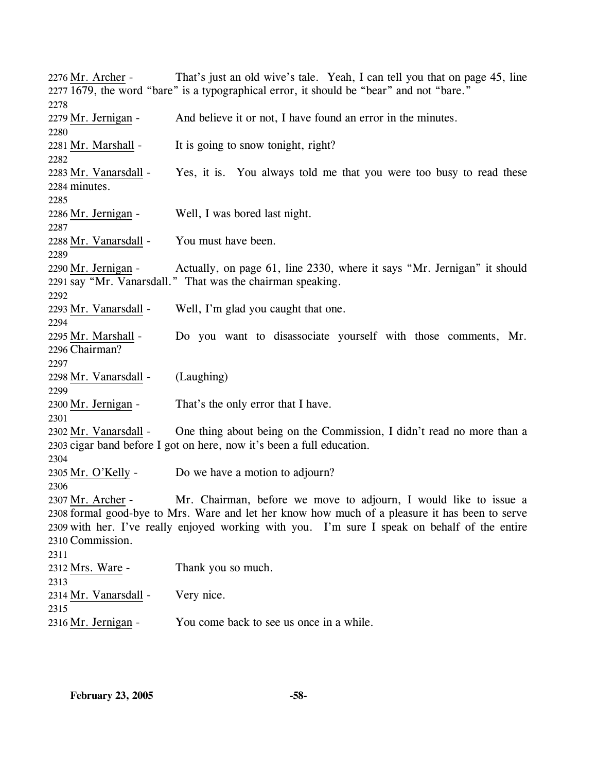That's just an old wive's tale. Yeah, I can tell you that on page 45, line 2277 1679, the word "bare" is a typographical error, it should be "bear" and not "bare." 2276 Mr. Archer -2278 2279 Mr. Jernigan - And believe it or not, I have found an error in the minutes. 2280 2281 Mr. Marshall - It is going to snow tonight, right? 2282 Yes, it is. You always told me that you were too busy to read these 2284 minutes. 2283 Mr. Vanarsdall -2285 2286 Mr. Jernigan - Well, I was bored last night. 2287 2288 Mr. Vanarsdall - You must have been. 2289 Actually, on page 61, line 2330, where it says "Mr. Jernigan" it should 2291 say "Mr. Vanarsdall." That was the chairman speaking. 2290 Mr. Jernigan -2292 2293 Mr. Vanarsdall - Well, I'm glad you caught that one. 2294 Do you want to disassociate yourself with those comments, Mr. Chairman? 2296 2295 Mr. Marshall -2297 2298 Mr. Vanarsdall - (Laughing) 2299 2300 Mr. Jernigan - That's the only error that I have. 2301 One thing about being on the Commission, I didn't read no more than a 2303 cigar band before I got on here, now it's been a full education. 2302 Mr. Vanarsdall -2304 2305 Mr. O'Kelly - Do we have a motion to adjourn? 2306 Mr. Chairman, before we move to adjourn, I would like to issue a 2308 formal good-bye to Mrs. Ware and let her know how much of a pleasure it has been to serve 2309 with her. I've really enjoyed working with you. I'm sure I speak on behalf of the entire 2310 Commission. 2307 Mr. Archer -2311 2312 Mrs. Ware - Thank you so much. 2313 2314 Mr. Vanarsdall - Very nice. 2315 2316 Mr. Jernigan - You come back to see us once in a while.